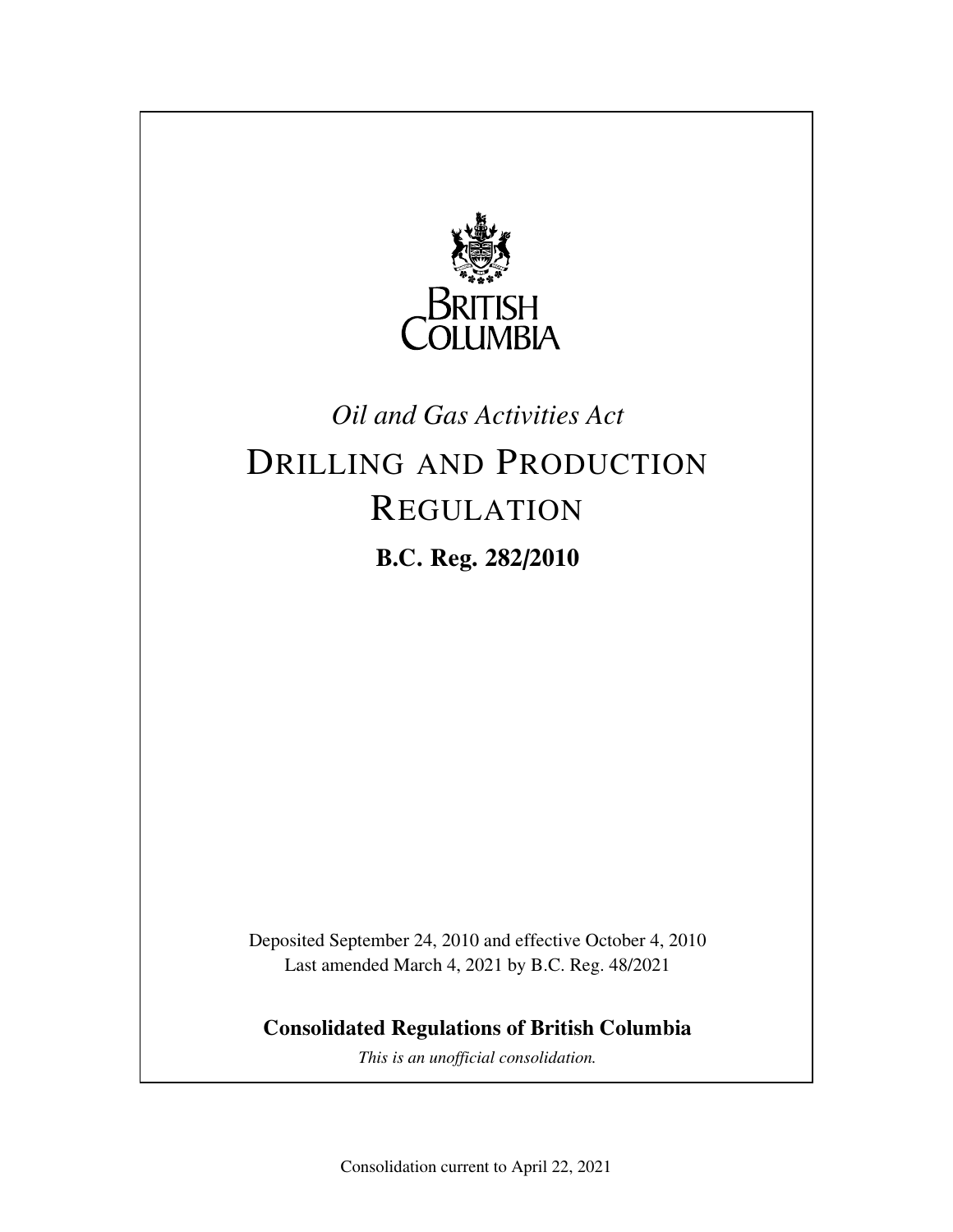

## *Oil and Gas Activities Act*

## DRILLING AND PRODUCTION REGULATION **B.C. Reg. 282/2010**

Deposited September 24, 2010 and effective October 4, 2010 Last amended March 4, 2021 by B.C. Reg. 48/2021

**Consolidated Regulations of British Columbia**

*This is an unofficial consolidation.*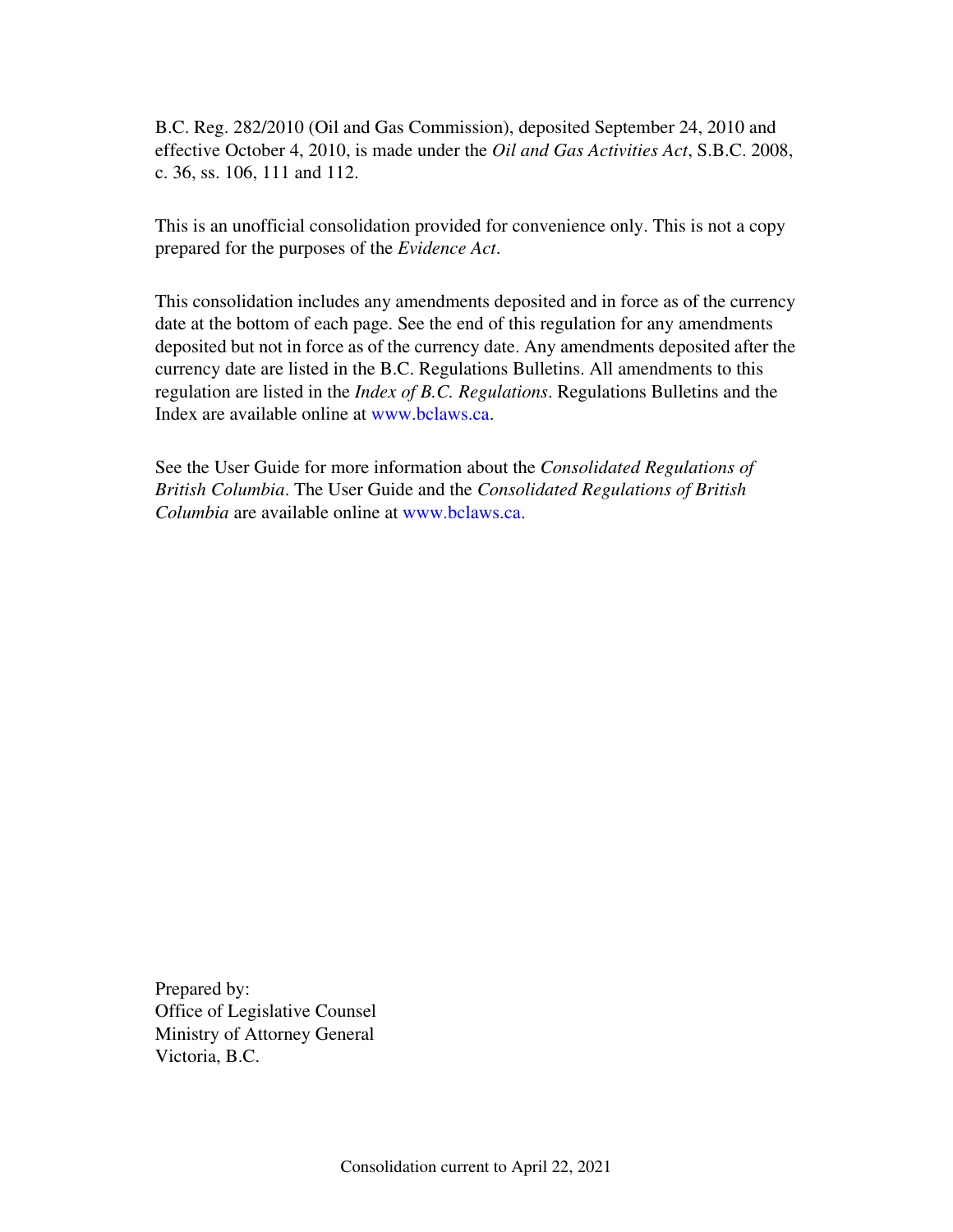B.C. Reg. 282/2010 (Oil and Gas Commission), deposited September 24, 2010 and effective October 4, 2010, is made under the *Oil and Gas Activities Act*, S.B.C. 2008, c. 36, ss. 106, 111 and 112.

This is an unofficial consolidation provided for convenience only. This is not a copy prepared for the purposes of the *Evidence Act*.

This consolidation includes any amendments deposited and in force as of the currency date at the bottom of each page. See the end of this regulation for any amendments deposited but not in force as of the currency date. Any amendments deposited after the currency date are listed in the B.C. Regulations Bulletins. All amendments to this regulation are listed in the *Index of B.C. Regulations*. Regulations Bulletins and the Index are available online at www.bclaws.ca.

See the User Guide for more information about the *Consolidated Regulations of British Columbia*. The User Guide and the *Consolidated Regulations of British Columbia* are available online at www.bclaws.ca.

Prepared by: Office of Legislative Counsel Ministry of Attorney General Victoria, B.C.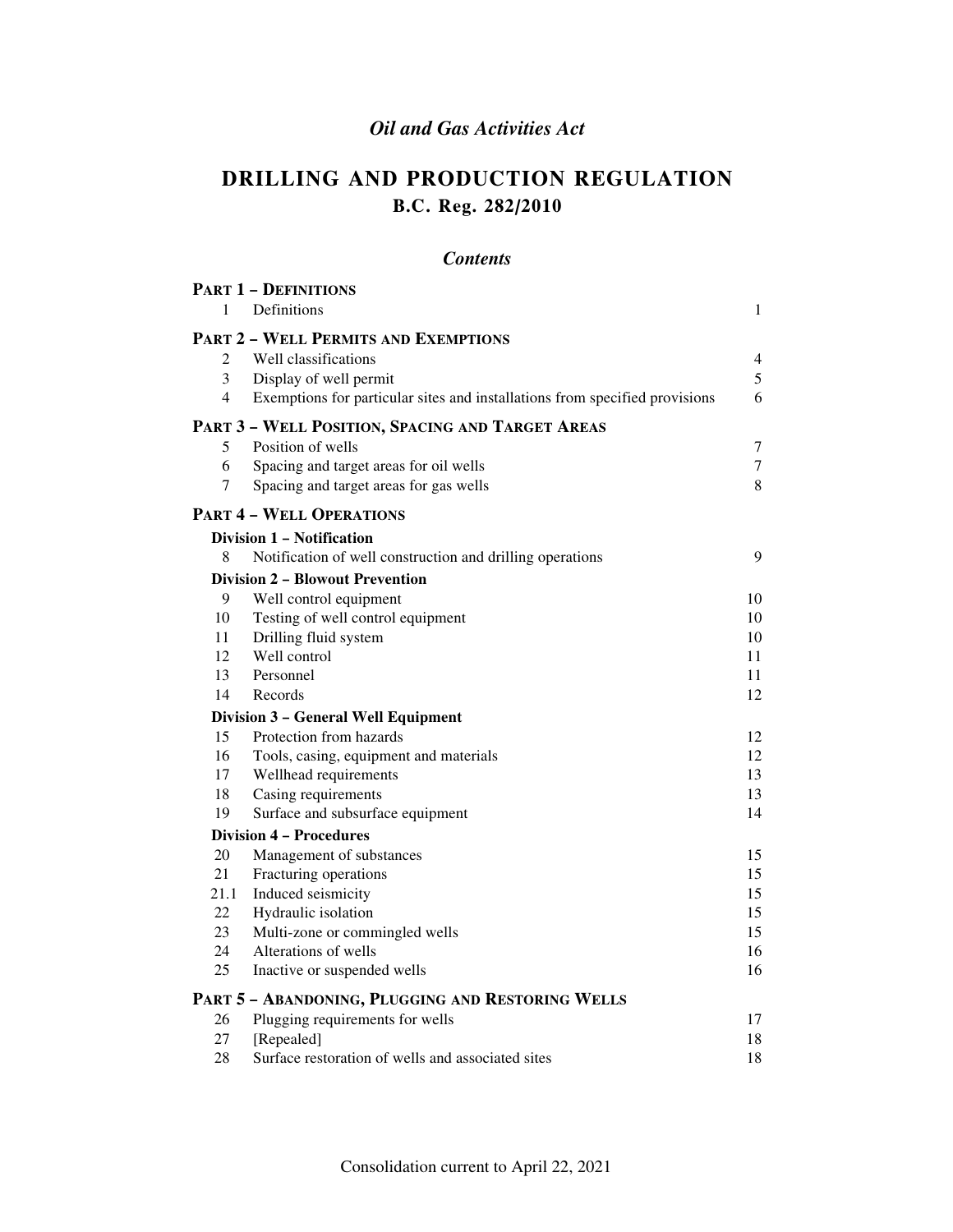### *Oil and Gas Activities Act*

### **DRILLING AND PRODUCTION REGULATION B.C. Reg. 282/2010**

### *Contents*

| <b>PART 1 - DEFINITIONS</b>                       |                                                                             |                  |  |  |  |  |
|---------------------------------------------------|-----------------------------------------------------------------------------|------------------|--|--|--|--|
| $\mathbf{1}$                                      | <b>Definitions</b>                                                          | 1                |  |  |  |  |
| <b>PART 2 - WELL PERMITS AND EXEMPTIONS</b>       |                                                                             |                  |  |  |  |  |
| $\overline{2}$                                    | Well classifications                                                        | 4                |  |  |  |  |
| 3                                                 | Display of well permit                                                      | 5                |  |  |  |  |
| $\overline{4}$                                    | Exemptions for particular sites and installations from specified provisions | 6                |  |  |  |  |
| PART 3 - WELL POSITION, SPACING AND TARGET AREAS  |                                                                             |                  |  |  |  |  |
| 5                                                 | Position of wells                                                           | $\boldsymbol{7}$ |  |  |  |  |
| 6                                                 | Spacing and target areas for oil wells                                      | $\tau$           |  |  |  |  |
| 7                                                 | Spacing and target areas for gas wells                                      | 8                |  |  |  |  |
|                                                   | <b>PART 4 - WELL OPERATIONS</b>                                             |                  |  |  |  |  |
|                                                   | Division 1 – Notification                                                   |                  |  |  |  |  |
| 8                                                 | Notification of well construction and drilling operations                   | 9                |  |  |  |  |
|                                                   | <b>Division 2 – Blowout Prevention</b>                                      |                  |  |  |  |  |
| 9                                                 | Well control equipment                                                      | 10               |  |  |  |  |
| 10                                                | Testing of well control equipment                                           | 10               |  |  |  |  |
| 11                                                | Drilling fluid system                                                       | 10               |  |  |  |  |
| 12                                                | Well control                                                                | 11               |  |  |  |  |
| 13                                                | Personnel                                                                   | 11               |  |  |  |  |
| 14                                                | Records                                                                     | 12               |  |  |  |  |
|                                                   | Division 3 - General Well Equipment                                         |                  |  |  |  |  |
| 15                                                | Protection from hazards                                                     | 12               |  |  |  |  |
| 16                                                | Tools, casing, equipment and materials                                      | 12               |  |  |  |  |
| 17                                                | Wellhead requirements                                                       | 13               |  |  |  |  |
| 18                                                | Casing requirements                                                         | 13               |  |  |  |  |
| 19                                                | Surface and subsurface equipment                                            | 14               |  |  |  |  |
|                                                   | <b>Division 4 - Procedures</b>                                              |                  |  |  |  |  |
| 20                                                | Management of substances                                                    | 15               |  |  |  |  |
| 21                                                | Fracturing operations                                                       | 15               |  |  |  |  |
| 21.1                                              | Induced seismicity                                                          | 15               |  |  |  |  |
| 22                                                | Hydraulic isolation                                                         | 15               |  |  |  |  |
| 23                                                | Multi-zone or commingled wells                                              | 15               |  |  |  |  |
| 24                                                | Alterations of wells                                                        | 16               |  |  |  |  |
| 25                                                | Inactive or suspended wells                                                 | 16               |  |  |  |  |
| PART 5 - ABANDONING, PLUGGING AND RESTORING WELLS |                                                                             |                  |  |  |  |  |
| 26                                                | Plugging requirements for wells                                             | 17               |  |  |  |  |
| 27                                                | [Repealed]                                                                  | 18               |  |  |  |  |
| 28                                                | Surface restoration of wells and associated sites                           | 18               |  |  |  |  |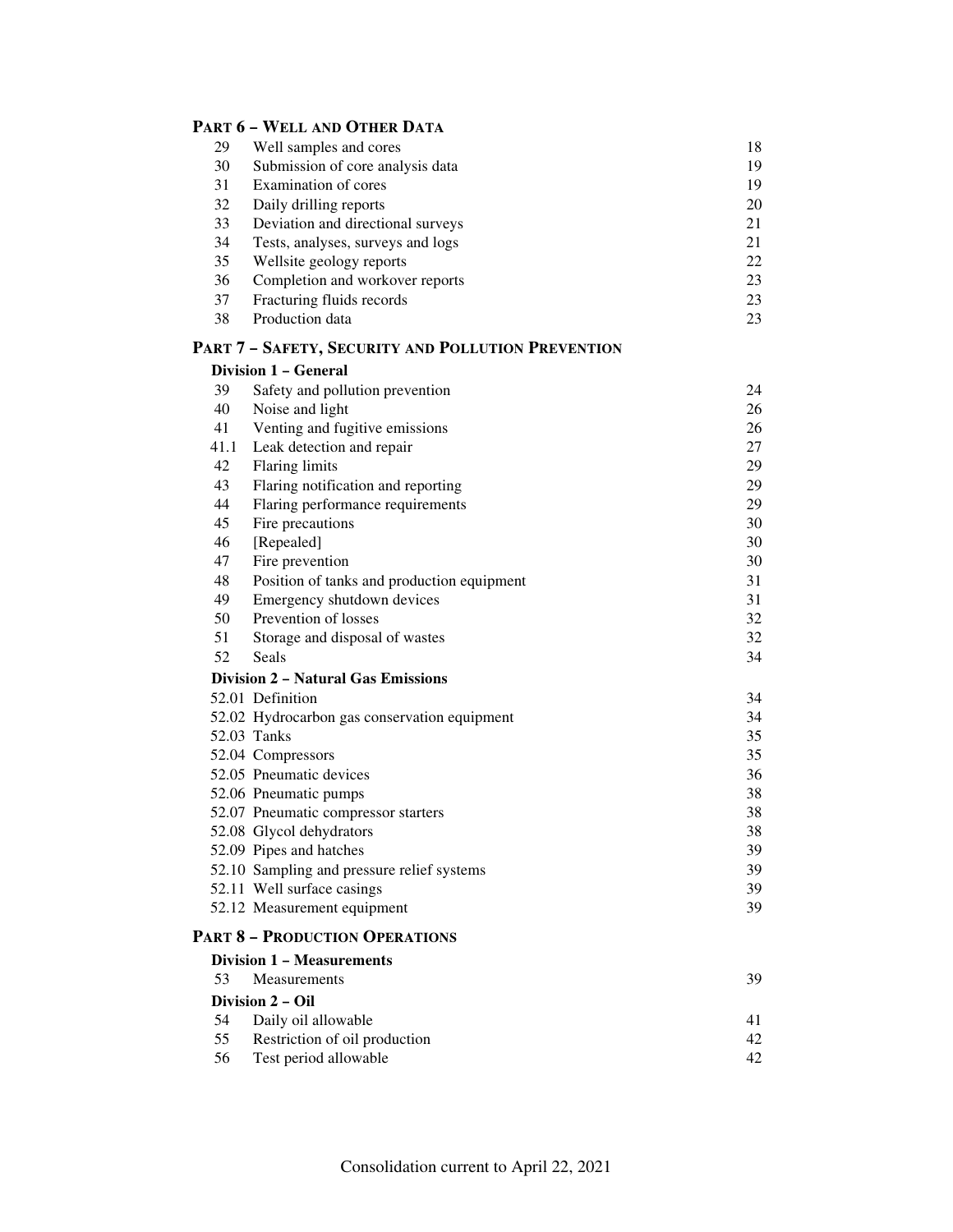### **PART 6 – WELL AND OTHER DATA**

| 29   | Well samples and cores                             | 18 |  |
|------|----------------------------------------------------|----|--|
| 30   | Submission of core analysis data                   |    |  |
| 31   | Examination of cores                               |    |  |
| 32   | Daily drilling reports                             |    |  |
| 33   | Deviation and directional surveys                  | 21 |  |
| 34   | Tests, analyses, surveys and logs                  | 21 |  |
| 35   | Wellsite geology reports                           | 22 |  |
| 36   | Completion and workover reports                    | 23 |  |
| 37   | Fracturing fluids records                          | 23 |  |
| 38   | Production data                                    | 23 |  |
|      | PART 7 - SAFETY, SECURITY AND POLLUTION PREVENTION |    |  |
|      | Division 1 - General                               |    |  |
| 39   | Safety and pollution prevention                    | 24 |  |
| 40   | Noise and light                                    | 26 |  |
| 41   | Venting and fugitive emissions                     | 26 |  |
| 41.1 | Leak detection and repair                          | 27 |  |
| 42   | <b>Flaring limits</b>                              | 29 |  |
| 43   | Flaring notification and reporting                 | 29 |  |
| 44   | Flaring performance requirements                   | 29 |  |
| 45   | Fire precautions                                   | 30 |  |
| 46   | [Repealed]                                         | 30 |  |
| 47   | Fire prevention                                    | 30 |  |
| 48   | Position of tanks and production equipment         | 31 |  |
| 49   | Emergency shutdown devices                         | 31 |  |
| 50   | Prevention of losses                               | 32 |  |
| 51   | Storage and disposal of wastes                     | 32 |  |
| 52   | Seals                                              | 34 |  |
|      | <b>Division 2 - Natural Gas Emissions</b>          |    |  |
|      | 52.01 Definition                                   | 34 |  |
|      | 52.02 Hydrocarbon gas conservation equipment       | 34 |  |
|      | 52.03 Tanks                                        | 35 |  |
|      | 52.04 Compressors                                  | 35 |  |
|      | 52.05 Pneumatic devices                            | 36 |  |
|      | 52.06 Pneumatic pumps                              | 38 |  |
|      | 52.07 Pneumatic compressor starters                | 38 |  |
|      | 52.08 Glycol dehydrators                           | 38 |  |
|      | 52.09 Pipes and hatches                            | 39 |  |
|      | 52.10 Sampling and pressure relief systems         | 39 |  |
|      | 52.11 Well surface casings                         | 39 |  |
|      | 52.12 Measurement equipment                        | 39 |  |
|      | <b>PART 8 - PRODUCTION OPERATIONS</b>              |    |  |
|      | <b>Division 1 - Measurements</b>                   |    |  |
| 53   | Measurements                                       | 39 |  |
|      | Division 2 - Oil                                   |    |  |
| 54   | Daily oil allowable                                | 41 |  |
| 55   | Restriction of oil production                      | 42 |  |
| 56   |                                                    | 42 |  |
|      | Test period allowable                              |    |  |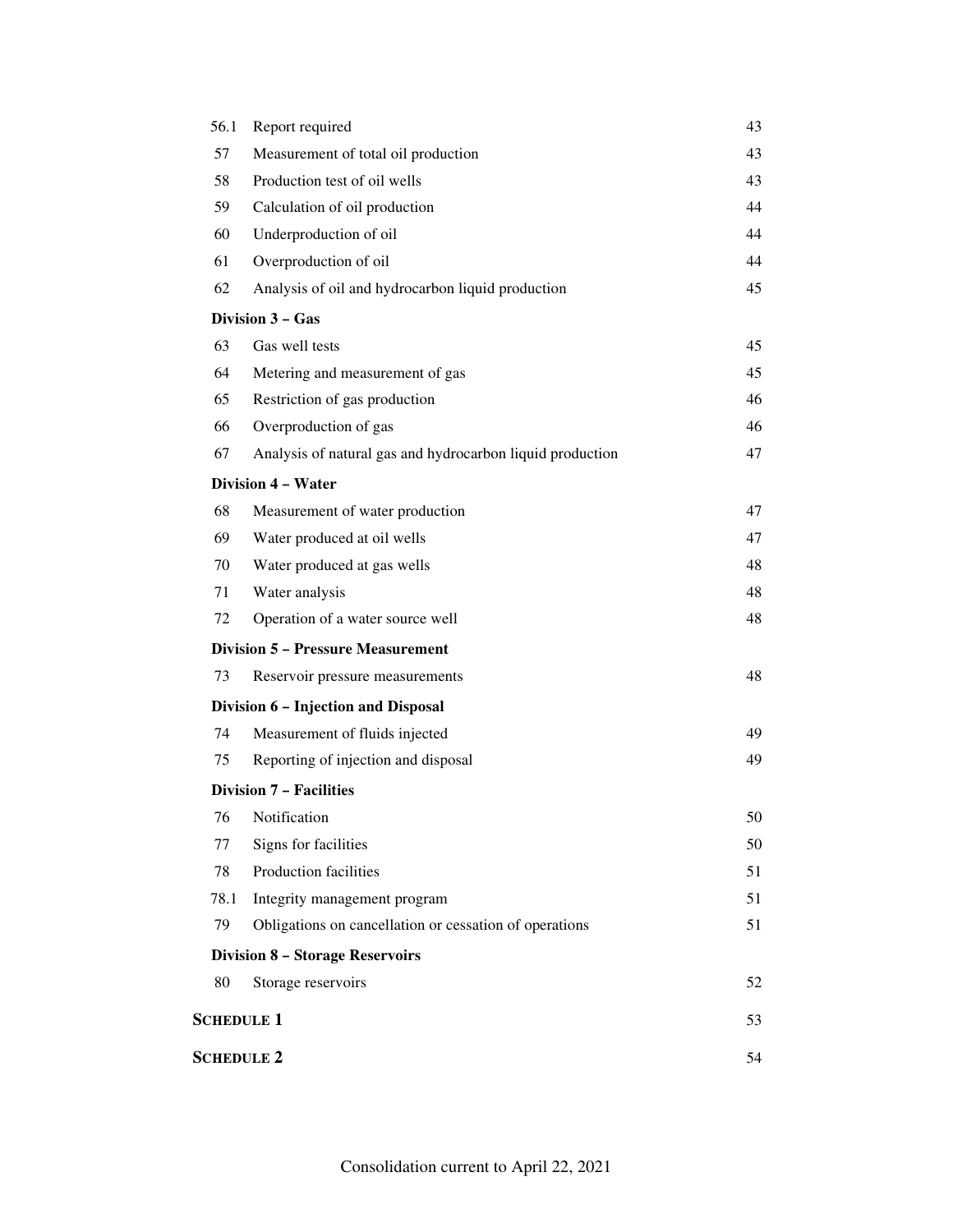| 56.1              | Report required                                           | 43 |
|-------------------|-----------------------------------------------------------|----|
| 57                | Measurement of total oil production                       |    |
| 58                | Production test of oil wells                              | 43 |
| 59                | Calculation of oil production                             | 44 |
| 60                | Underproduction of oil                                    | 44 |
| 61                | Overproduction of oil                                     | 44 |
| 62                | Analysis of oil and hydrocarbon liquid production         | 45 |
|                   | Division 3 - Gas                                          |    |
| 63                | Gas well tests                                            | 45 |
| 64                | Metering and measurement of gas                           | 45 |
| 65                | Restriction of gas production                             | 46 |
| 66                | Overproduction of gas                                     | 46 |
| 67                | Analysis of natural gas and hydrocarbon liquid production | 47 |
|                   | <b>Division 4 - Water</b>                                 |    |
| 68                | Measurement of water production                           | 47 |
| 69                | Water produced at oil wells                               | 47 |
| 70                | Water produced at gas wells                               | 48 |
| 71                | Water analysis                                            | 48 |
| 72                | Operation of a water source well                          | 48 |
|                   | <b>Division 5 - Pressure Measurement</b>                  |    |
| 73                | Reservoir pressure measurements                           | 48 |
|                   | Division 6 - Injection and Disposal                       |    |
| 74                | Measurement of fluids injected                            | 49 |
| 75                | Reporting of injection and disposal                       | 49 |
|                   | <b>Division 7 - Facilities</b>                            |    |
|                   | 76 Notification                                           | 50 |
| 77                | Signs for facilities                                      | 50 |
| 78                | Production facilities                                     | 51 |
| 78.1              | Integrity management program                              | 51 |
| 79                | Obligations on cancellation or cessation of operations    | 51 |
|                   | <b>Division 8 - Storage Reservoirs</b>                    |    |
| 80                | Storage reservoirs                                        | 52 |
| <b>SCHEDULE 1</b> |                                                           | 53 |
| <b>SCHEDULE 2</b> |                                                           | 54 |
|                   |                                                           |    |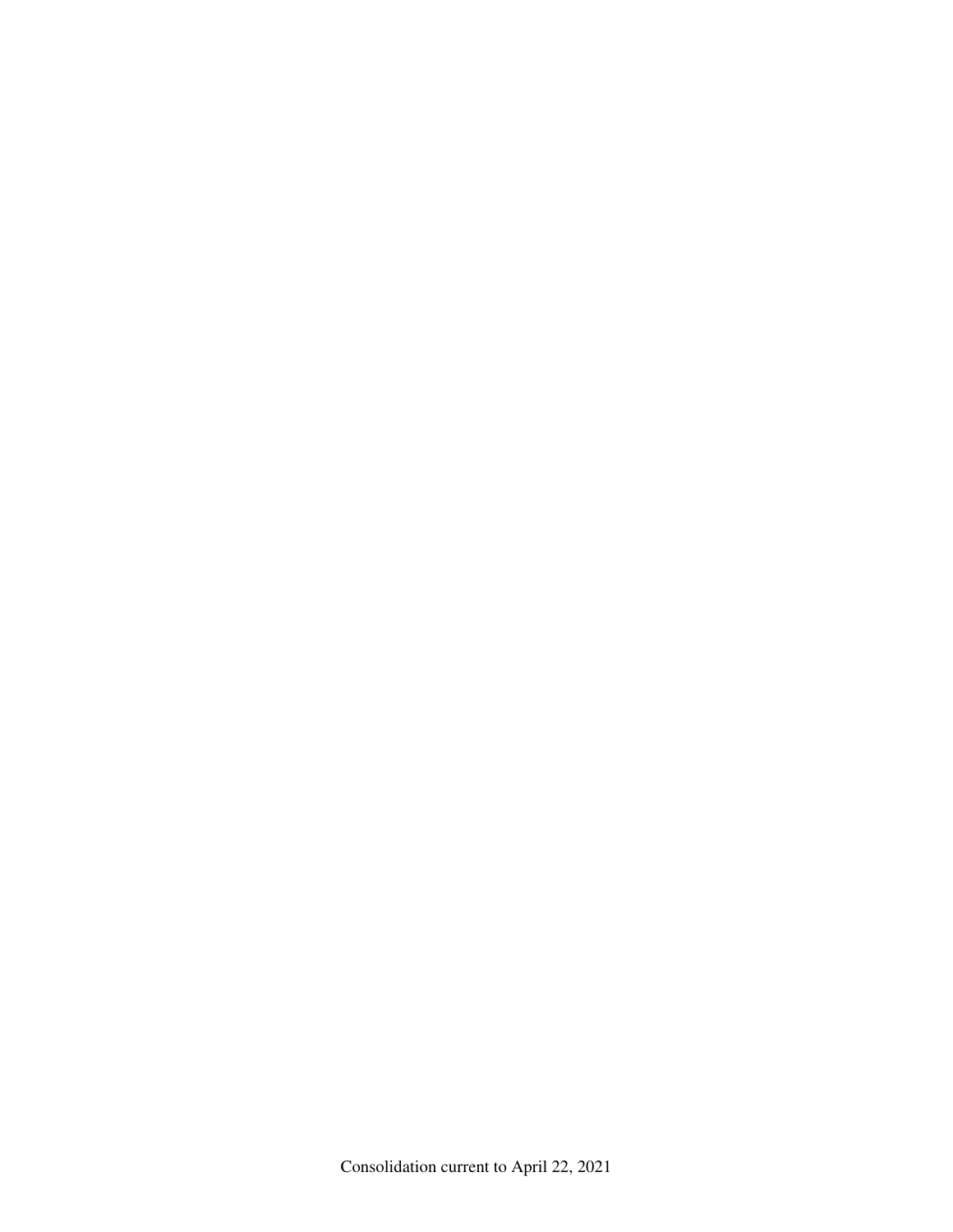Consolidation current to April 22, 2021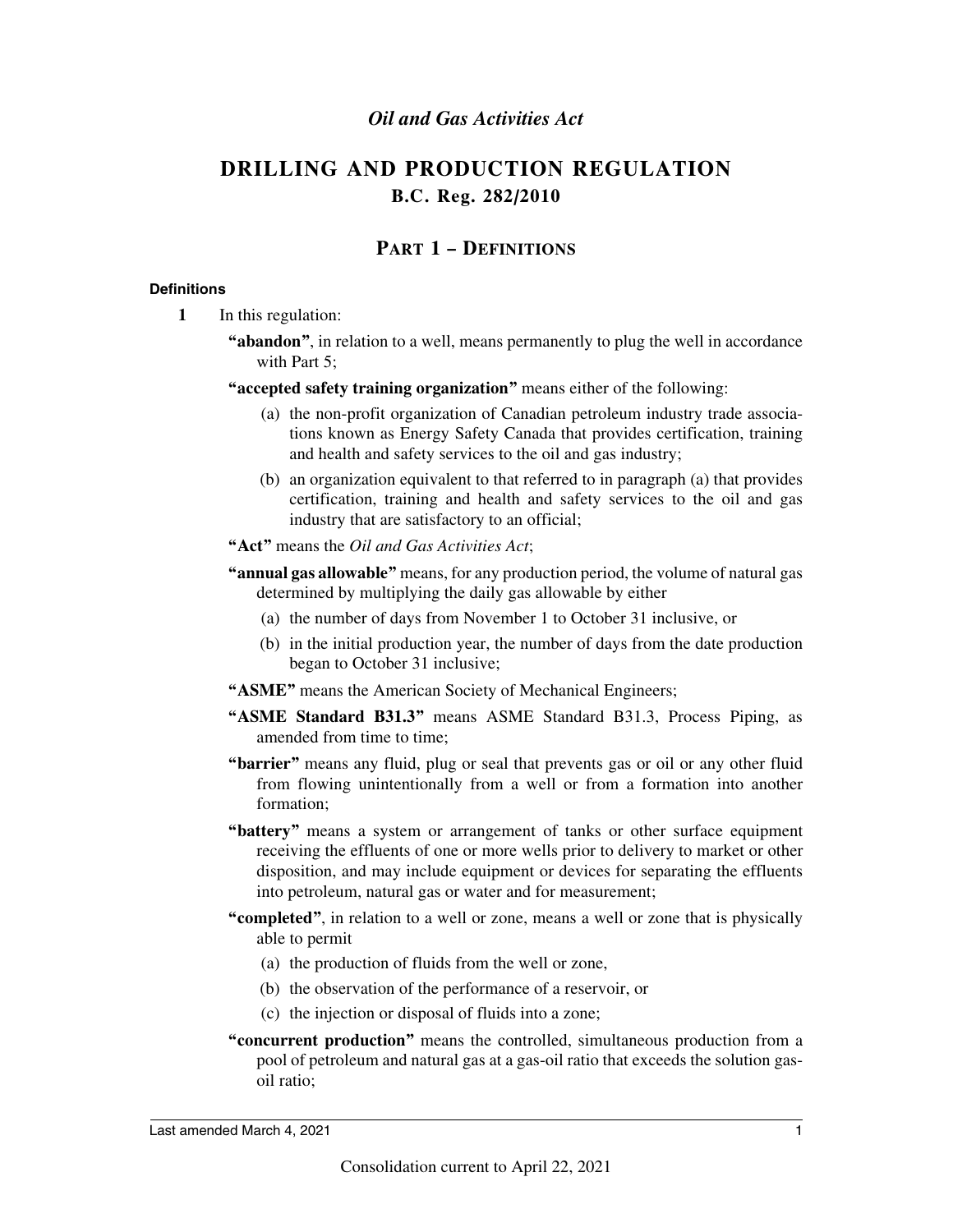### *Oil and Gas Activities Act*

### **DRILLING AND PRODUCTION REGULATION B.C. Reg. 282/2010**

### **PART 1 – DEFINITIONS**

### **Definitions**

- **1** In this regulation:
	- **"abandon"**, in relation to a well, means permanently to plug the well in accordance with Part 5:
	- **"accepted safety training organization"** means either of the following:
		- (a) the non-profit organization of Canadian petroleum industry trade associations known as Energy Safety Canada that provides certification, training and health and safety services to the oil and gas industry;
		- (b) an organization equivalent to that referred to in paragraph (a) that provides certification, training and health and safety services to the oil and gas industry that are satisfactory to an official;
	- **"Act"** means the *Oil and Gas Activities Act*;
	- **"annual gas allowable"** means, for any production period, the volume of natural gas determined by multiplying the daily gas allowable by either
		- (a) the number of days from November 1 to October 31 inclusive, or
		- (b) in the initial production year, the number of days from the date production began to October 31 inclusive;
	- **"ASME"** means the American Society of Mechanical Engineers;
	- **"ASME Standard B31.3"** means ASME Standard B31.3, Process Piping, as amended from time to time;
	- **"barrier"** means any fluid, plug or seal that prevents gas or oil or any other fluid from flowing unintentionally from a well or from a formation into another formation;
	- **"battery"** means a system or arrangement of tanks or other surface equipment receiving the effluents of one or more wells prior to delivery to market or other disposition, and may include equipment or devices for separating the effluents into petroleum, natural gas or water and for measurement;
	- **"completed"**, in relation to a well or zone, means a well or zone that is physically able to permit
		- (a) the production of fluids from the well or zone,
		- (b) the observation of the performance of a reservoir, or
		- (c) the injection or disposal of fluids into a zone;
	- **"concurrent production"** means the controlled, simultaneous production from a pool of petroleum and natural gas at a gas-oil ratio that exceeds the solution gasoil ratio;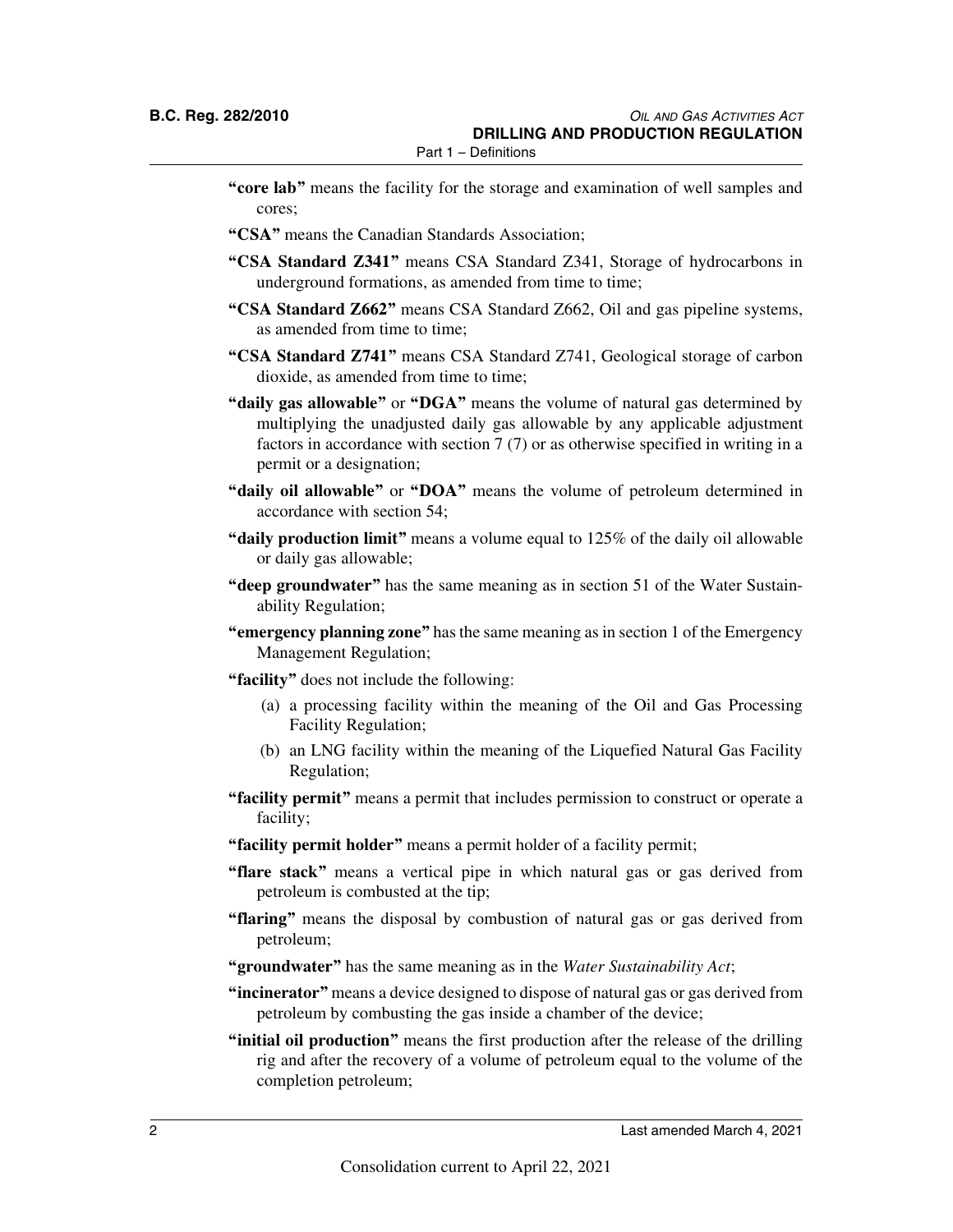- **"core lab"** means the facility for the storage and examination of well samples and cores;
- **"CSA"** means the Canadian Standards Association;
- **"CSA Standard Z341"** means CSA Standard Z341, Storage of hydrocarbons in underground formations, as amended from time to time;
- **"CSA Standard Z662"** means CSA Standard Z662, Oil and gas pipeline systems, as amended from time to time;
- **"CSA Standard Z741"** means CSA Standard Z741, Geological storage of carbon dioxide, as amended from time to time;
- **"daily gas allowable"** or **"DGA"** means the volume of natural gas determined by multiplying the unadjusted daily gas allowable by any applicable adjustment factors in accordance with section 7 (7) or as otherwise specified in writing in a permit or a designation;
- **"daily oil allowable"** or **"DOA"** means the volume of petroleum determined in accordance with section 54;
- **"daily production limit"** means a volume equal to 125% of the daily oil allowable or daily gas allowable;
- **"deep groundwater"** has the same meaning as in section 51 of the Water Sustainability Regulation;
- **"emergency planning zone"** has the same meaning as in section 1 of the Emergency Management Regulation;
- **"facility"** does not include the following:
	- (a) a processing facility within the meaning of the Oil and Gas Processing Facility Regulation;
	- (b) an LNG facility within the meaning of the Liquefied Natural Gas Facility Regulation;
- **"facility permit"** means a permit that includes permission to construct or operate a facility;
- **"facility permit holder"** means a permit holder of a facility permit;
- **"flare stack"** means a vertical pipe in which natural gas or gas derived from petroleum is combusted at the tip;
- **"flaring"** means the disposal by combustion of natural gas or gas derived from petroleum;
- **"groundwater"** has the same meaning as in the *Water Sustainability Act*;
- **"incinerator"** means a device designed to dispose of natural gas or gas derived from petroleum by combusting the gas inside a chamber of the device;
- **"initial oil production"** means the first production after the release of the drilling rig and after the recovery of a volume of petroleum equal to the volume of the completion petroleum;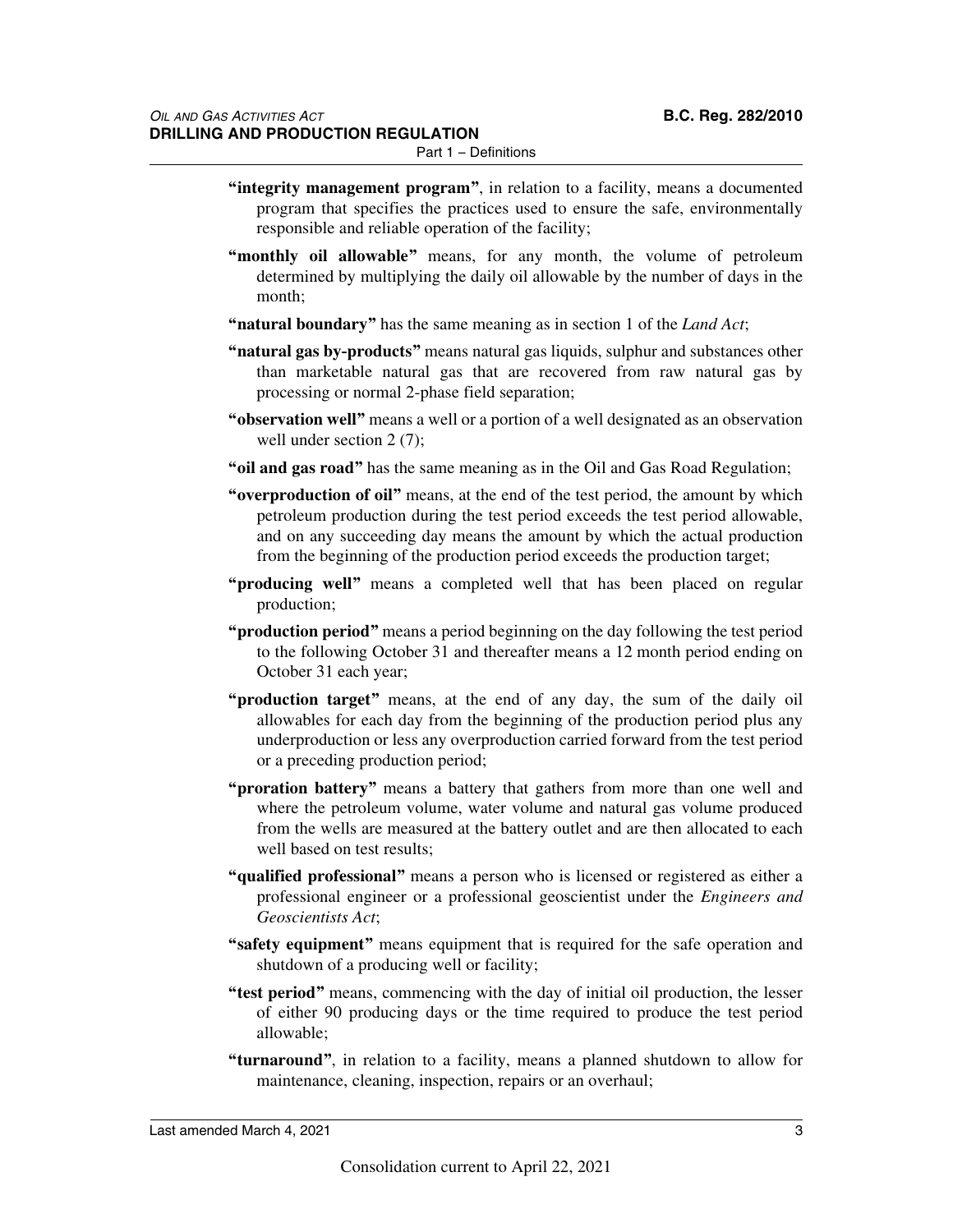Part 1 – Definitions

- **"integrity management program"**, in relation to a facility, means a documented program that specifies the practices used to ensure the safe, environmentally responsible and reliable operation of the facility;
- **"monthly oil allowable"** means, for any month, the volume of petroleum determined by multiplying the daily oil allowable by the number of days in the month;
- **"natural boundary"** has the same meaning as in section 1 of the *Land Act*;
- **"natural gas by-products"** means natural gas liquids, sulphur and substances other than marketable natural gas that are recovered from raw natural gas by processing or normal 2-phase field separation;
- **"observation well"** means a well or a portion of a well designated as an observation well under section 2 (7);
- **"oil and gas road"** has the same meaning as in the Oil and Gas Road Regulation;
- **"overproduction of oil"** means, at the end of the test period, the amount by which petroleum production during the test period exceeds the test period allowable, and on any succeeding day means the amount by which the actual production from the beginning of the production period exceeds the production target;
- **"producing well"** means a completed well that has been placed on regular production;
- **"production period"** means a period beginning on the day following the test period to the following October 31 and thereafter means a 12 month period ending on October 31 each year;
- **"production target"** means, at the end of any day, the sum of the daily oil allowables for each day from the beginning of the production period plus any underproduction or less any overproduction carried forward from the test period or a preceding production period;
- **"proration battery"** means a battery that gathers from more than one well and where the petroleum volume, water volume and natural gas volume produced from the wells are measured at the battery outlet and are then allocated to each well based on test results;
- **"qualified professional"** means a person who is licensed or registered as either a professional engineer or a professional geoscientist under the *Engineers and Geoscientists Act*;
- **"safety equipment"** means equipment that is required for the safe operation and shutdown of a producing well or facility;
- **"test period"** means, commencing with the day of initial oil production, the lesser of either 90 producing days or the time required to produce the test period allowable;
- **"turnaround"**, in relation to a facility, means a planned shutdown to allow for maintenance, cleaning, inspection, repairs or an overhaul;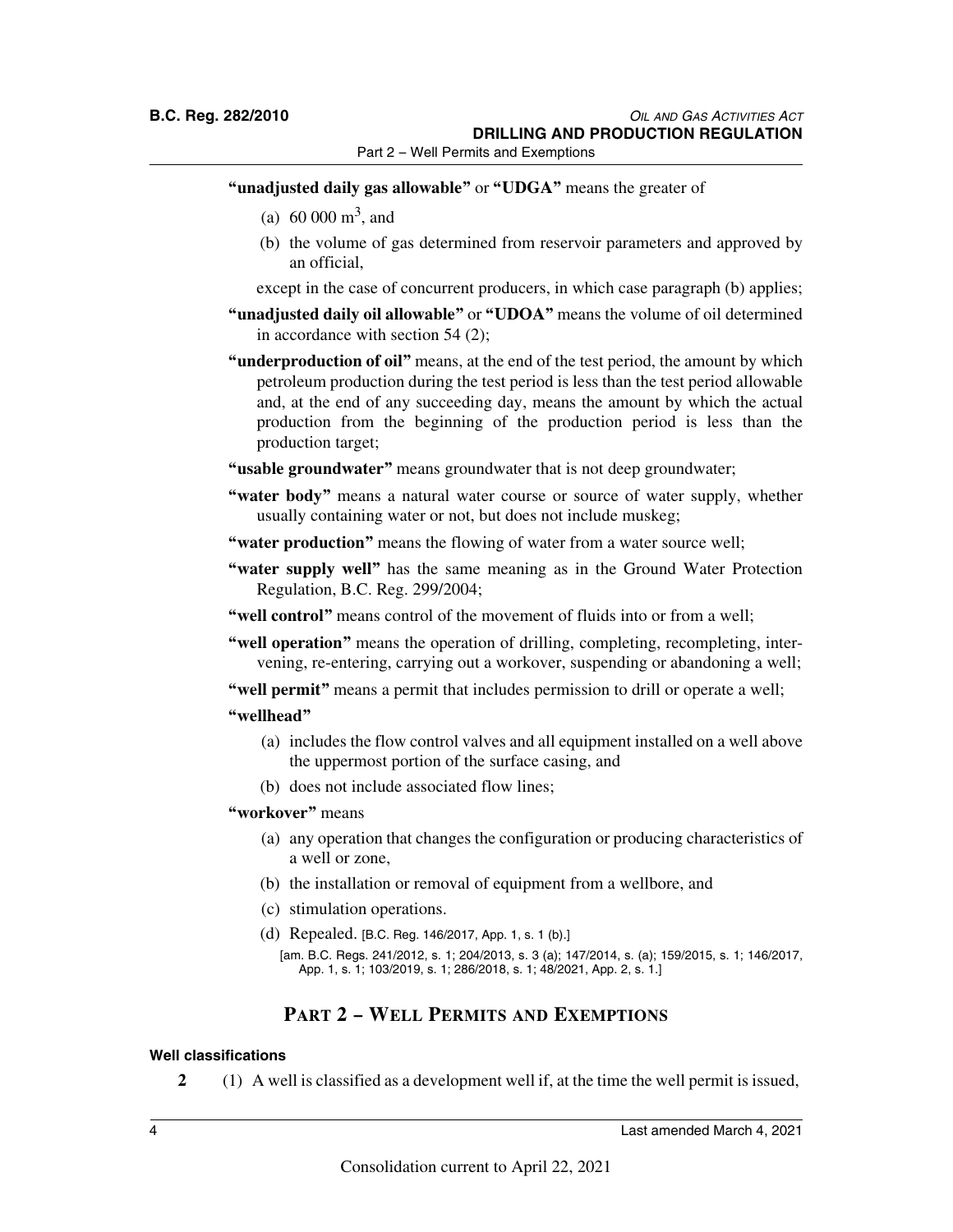Part 2 – Well Permits and Exemptions

- **"unadjusted daily gas allowable"** or **"UDGA"** means the greater of
	- (a)  $60\,000\,\mathrm{m}^3$ , and
	- (b) the volume of gas determined from reservoir parameters and approved by an official,

except in the case of concurrent producers, in which case paragraph (b) applies;

- **"unadjusted daily oil allowable"** or **"UDOA"** means the volume of oil determined in accordance with section 54 (2);
- **"underproduction of oil"** means, at the end of the test period, the amount by which petroleum production during the test period is less than the test period allowable and, at the end of any succeeding day, means the amount by which the actual production from the beginning of the production period is less than the production target;
- **"usable groundwater"** means groundwater that is not deep groundwater;
- **"water body"** means a natural water course or source of water supply, whether usually containing water or not, but does not include muskeg;
- **"water production"** means the flowing of water from a water source well;
- **"water supply well"** has the same meaning as in the Ground Water Protection Regulation, B.C. Reg. 299/2004;
- **"well control"** means control of the movement of fluids into or from a well;
- **"well operation"** means the operation of drilling, completing, recompleting, intervening, re-entering, carrying out a workover, suspending or abandoning a well;
- **"well permit"** means a permit that includes permission to drill or operate a well;

### **"wellhead"**

- (a) includes the flow control valves and all equipment installed on a well above the uppermost portion of the surface casing, and
- (b) does not include associated flow lines;

### **"workover"** means

- (a) any operation that changes the configuration or producing characteristics of a well or zone,
- (b) the installation or removal of equipment from a wellbore, and
- (c) stimulation operations.
- (d) Repealed. [B.C. Reg. 146/2017, App. 1, s. 1 (b).]

### **PART 2 – WELL PERMITS AND EXEMPTIONS**

#### **Well classifications**

**2** (1) A well is classified as a development well if, at the time the well permit is issued,

<sup>[</sup>am. B.C. Regs. 241/2012, s. 1; 204/2013, s. 3 (a); 147/2014, s. (a); 159/2015, s. 1; 146/2017, App. 1, s. 1; 103/2019, s. 1; 286/2018, s. 1; 48/2021, App. 2, s. 1.]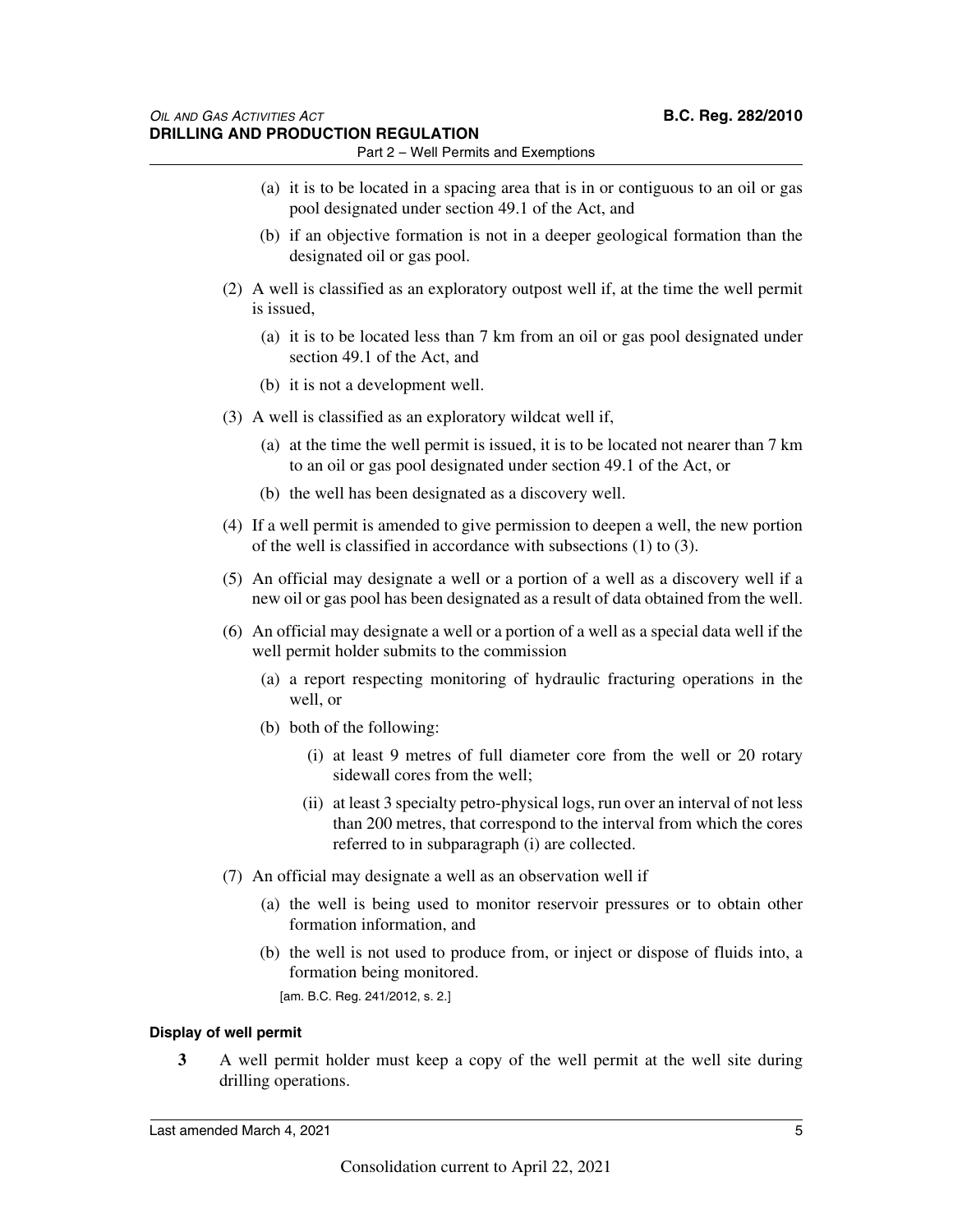- Part 2 Well Permits and Exemptions
- (a) it is to be located in a spacing area that is in or contiguous to an oil or gas pool designated under section 49.1 of the Act, and
- (b) if an objective formation is not in a deeper geological formation than the designated oil or gas pool.
- (2) A well is classified as an exploratory outpost well if, at the time the well permit is issued,
	- (a) it is to be located less than 7 km from an oil or gas pool designated under section 49.1 of the Act, and
	- (b) it is not a development well.
- (3) A well is classified as an exploratory wildcat well if,
	- (a) at the time the well permit is issued, it is to be located not nearer than 7 km to an oil or gas pool designated under section 49.1 of the Act, or
	- (b) the well has been designated as a discovery well.
- (4) If a well permit is amended to give permission to deepen a well, the new portion of the well is classified in accordance with subsections (1) to (3).
- (5) An official may designate a well or a portion of a well as a discovery well if a new oil or gas pool has been designated as a result of data obtained from the well.
- (6) An official may designate a well or a portion of a well as a special data well if the well permit holder submits to the commission
	- (a) a report respecting monitoring of hydraulic fracturing operations in the well, or
	- (b) both of the following:
		- (i) at least 9 metres of full diameter core from the well or 20 rotary sidewall cores from the well;
		- (ii) at least 3 specialty petro-physical logs, run over an interval of not less than 200 metres, that correspond to the interval from which the cores referred to in subparagraph (i) are collected.
- (7) An official may designate a well as an observation well if
	- (a) the well is being used to monitor reservoir pressures or to obtain other formation information, and
	- (b) the well is not used to produce from, or inject or dispose of fluids into, a formation being monitored.

[am. B.C. Reg. 241/2012, s. 2.]

### **Display of well permit**

**3** A well permit holder must keep a copy of the well permit at the well site during drilling operations.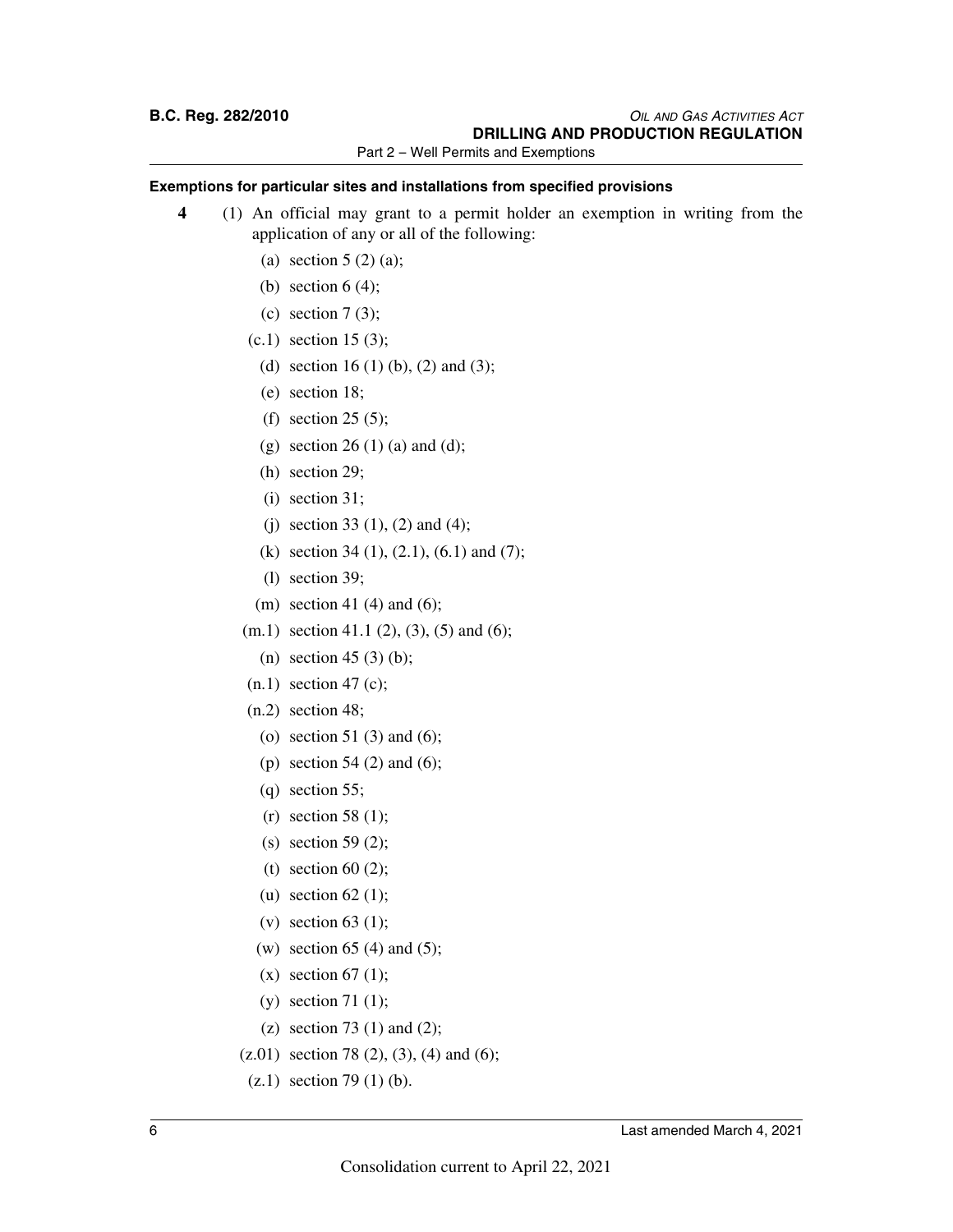Part 2 – Well Permits and Exemptions

### **Exemptions for particular sites and installations from specified provisions**

- **4** (1) An official may grant to a permit holder an exemption in writing from the application of any or all of the following:
	- (a) section  $5(2)(a)$ ;
	- (b) section  $6(4)$ ;
	- (c) section  $7(3)$ ;
	- (c.1) section 15 (3);
		- (d) section 16 (1) (b), (2) and (3);
		- (e) section 18;
		- (f) section 25 (5);
		- (g) section 26 (1) (a) and (d);
		- (h) section 29;
		- (i) section 31;
		- (i) section 33 (1), (2) and (4);
		- (k) section 34 (1), (2.1), (6.1) and (7);
		- (l) section 39;
	- (m) section 41 (4) and (6);
	- $(m.1)$  section 41.1 (2), (3), (5) and (6);
		- (n) section 45 (3) (b);
	- $(n.1)$  section 47 (c);
	- $(n.2)$  section 48;
		- (o) section 51 (3) and (6);
		- (p) section 54 (2) and (6);
		- (q) section 55;
		- $(r)$  section 58 (1);
		- (s) section 59 $(2)$ ;
		- (t) section 60 $(2)$ ;
		- (u) section  $62$  (1);
		- (v) section 63 (1);
		- (w) section 65 (4) and (5);
		- $(x)$  section 67 (1);
		- (y) section 71 (1);
		- (z) section 73 (1) and (2);
	- $(z.01)$  section 78 (2), (3), (4) and (6);
	- $(z.1)$  section 79 $(1)$  (b).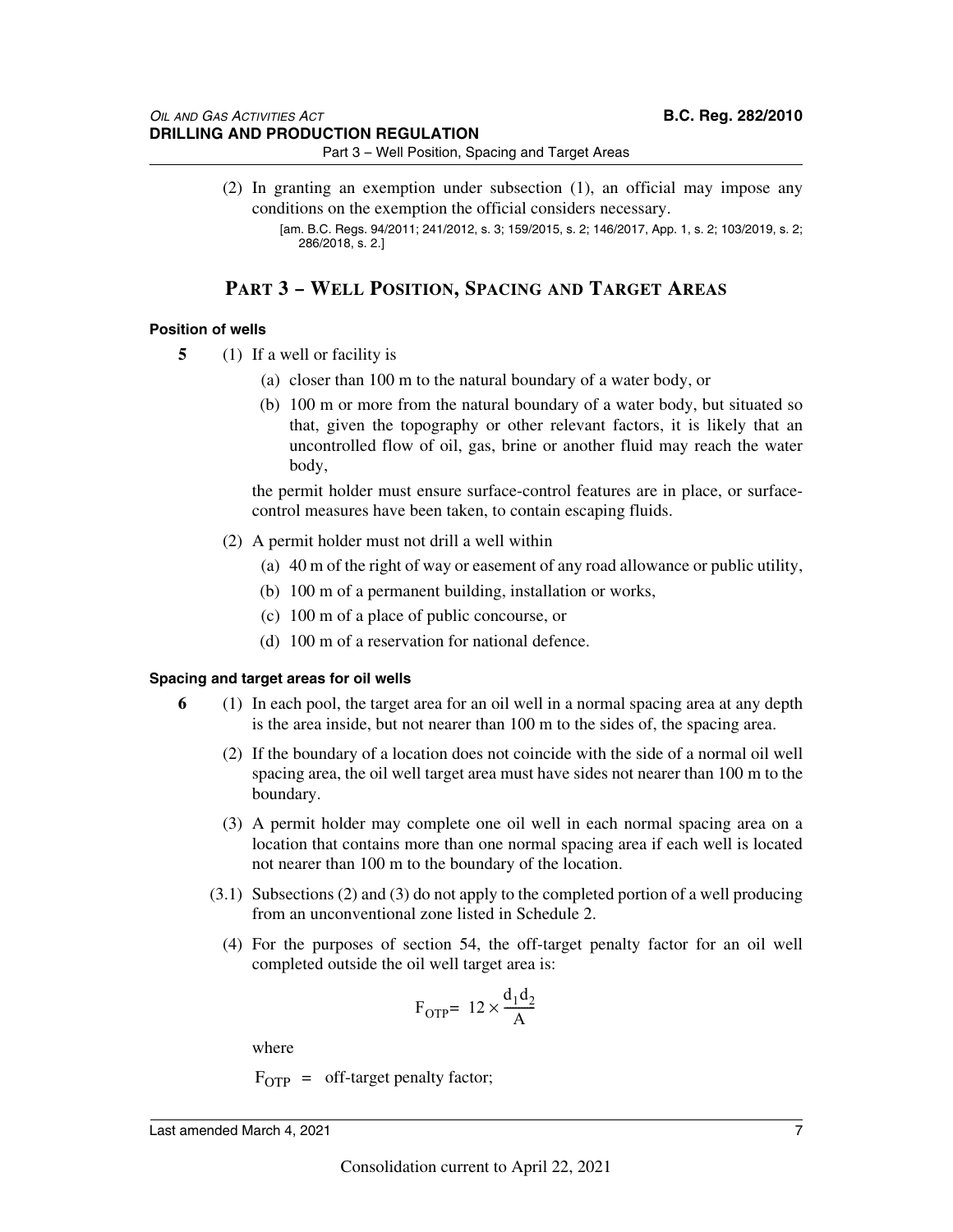Part 3 – Well Position, Spacing and Target Areas

(2) In granting an exemption under subsection (1), an official may impose any conditions on the exemption the official considers necessary.

### **PART 3 – WELL POSITION, SPACING AND TARGET AREAS**

### **Position of wells**

- **5** (1) If a well or facility is
	- (a) closer than 100 m to the natural boundary of a water body, or
	- (b) 100 m or more from the natural boundary of a water body, but situated so that, given the topography or other relevant factors, it is likely that an uncontrolled flow of oil, gas, brine or another fluid may reach the water body,

the permit holder must ensure surface-control features are in place, or surfacecontrol measures have been taken, to contain escaping fluids.

- (2) A permit holder must not drill a well within
	- (a) 40 m of the right of way or easement of any road allowance or public utility,
	- (b) 100 m of a permanent building, installation or works,
	- (c) 100 m of a place of public concourse, or
	- (d) 100 m of a reservation for national defence.

### **Spacing and target areas for oil wells**

- **6** (1) In each pool, the target area for an oil well in a normal spacing area at any depth is the area inside, but not nearer than 100 m to the sides of, the spacing area.
	- (2) If the boundary of a location does not coincide with the side of a normal oil well spacing area, the oil well target area must have sides not nearer than 100 m to the boundary.
	- (3) A permit holder may complete one oil well in each normal spacing area on a location that contains more than one normal spacing area if each well is located not nearer than 100 m to the boundary of the location.
	- (3.1) Subsections (2) and (3) do not apply to the completed portion of a well producing from an unconventional zone listed in Schedule 2.
		- (4) For the purposes of section 54, the off-target penalty factor for an oil well completed outside the oil well target area is:

$$
F_{\text{OTP}} = 12 \times \frac{d_1 d_2}{A}
$$

where

 $F_{\text{OTP}} = \text{off-target penalty factor};$ 

<sup>[</sup>am. B.C. Regs. 94/2011; 241/2012, s. 3; 159/2015, s. 2; 146/2017, App. 1, s. 2; 103/2019, s. 2; 286/2018, s. 2.]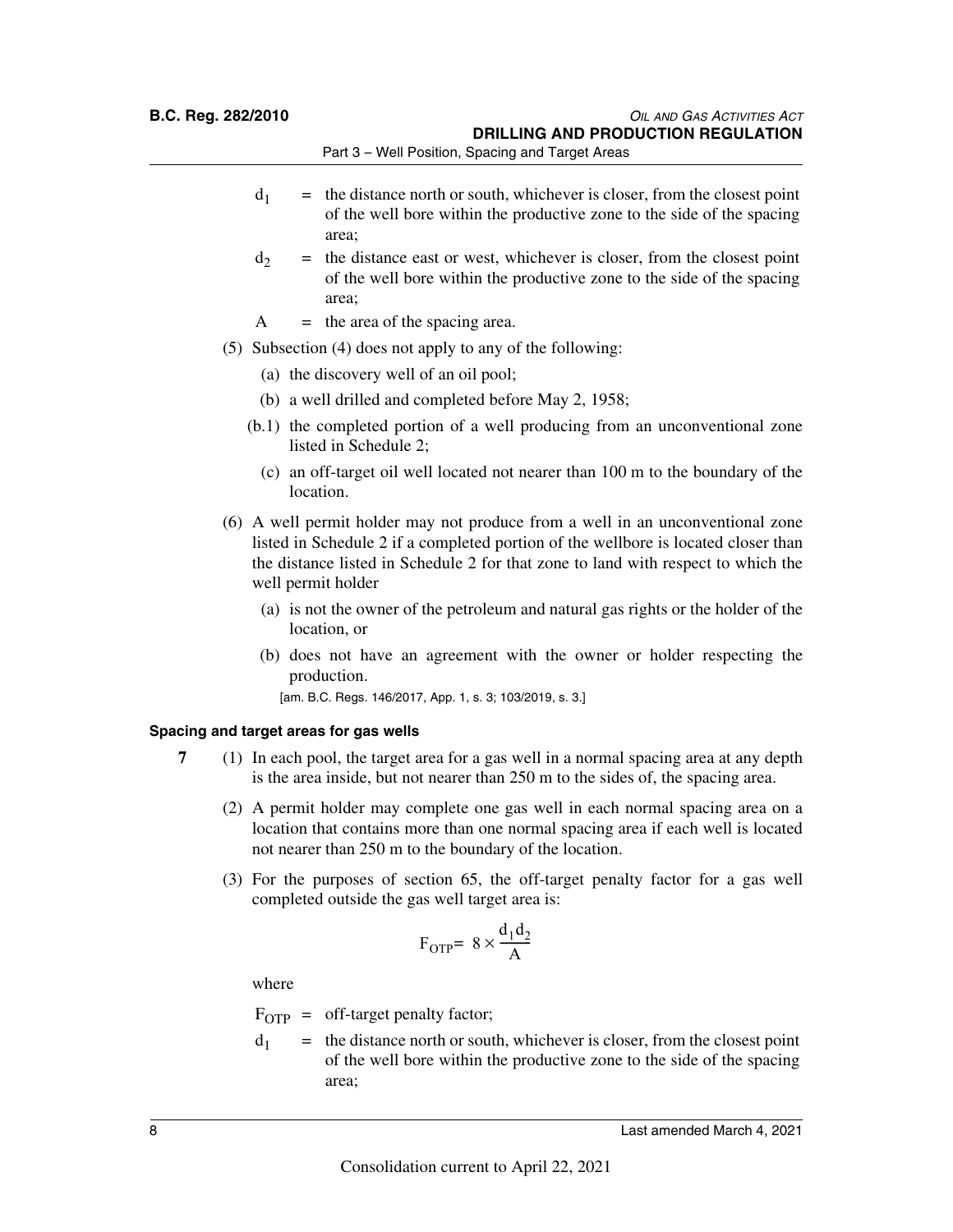**B.C. Reg. 282/2010** *OIL AND GAS ACTIVITIES ACT* **DRILLING AND PRODUCTION REGULATION**

Part 3 – Well Position, Spacing and Target Areas

- $d_1$  = the distance north or south, whichever is closer, from the closest point of the well bore within the productive zone to the side of the spacing area;
- $d<sub>2</sub>$  = the distance east or west, whichever is closer, from the closest point of the well bore within the productive zone to the side of the spacing area;
- $A =$  the area of the spacing area.
- (5) Subsection (4) does not apply to any of the following:
	- (a) the discovery well of an oil pool;
	- (b) a well drilled and completed before May 2, 1958;
	- (b.1) the completed portion of a well producing from an unconventional zone listed in Schedule 2;
		- (c) an off-target oil well located not nearer than 100 m to the boundary of the location.
- (6) A well permit holder may not produce from a well in an unconventional zone listed in Schedule 2 if a completed portion of the wellbore is located closer than the distance listed in Schedule 2 for that zone to land with respect to which the well permit holder
	- (a) is not the owner of the petroleum and natural gas rights or the holder of the location, or
	- (b) does not have an agreement with the owner or holder respecting the production.

[am. B.C. Regs. 146/2017, App. 1, s. 3; 103/2019, s. 3.]

### **Spacing and target areas for gas wells**

- **7** (1) In each pool, the target area for a gas well in a normal spacing area at any depth is the area inside, but not nearer than 250 m to the sides of, the spacing area.
	- (2) A permit holder may complete one gas well in each normal spacing area on a location that contains more than one normal spacing area if each well is located not nearer than 250 m to the boundary of the location.
	- (3) For the purposes of section 65, the off-target penalty factor for a gas well completed outside the gas well target area is:

$$
F_{\text{OTP}} = 8 \times \frac{d_1 d_2}{A}
$$

where

 $F_{\text{OTP}} = \text{off-target penalty factor};$ 

 $d_1$  = the distance north or south, whichever is closer, from the closest point of the well bore within the productive zone to the side of the spacing area;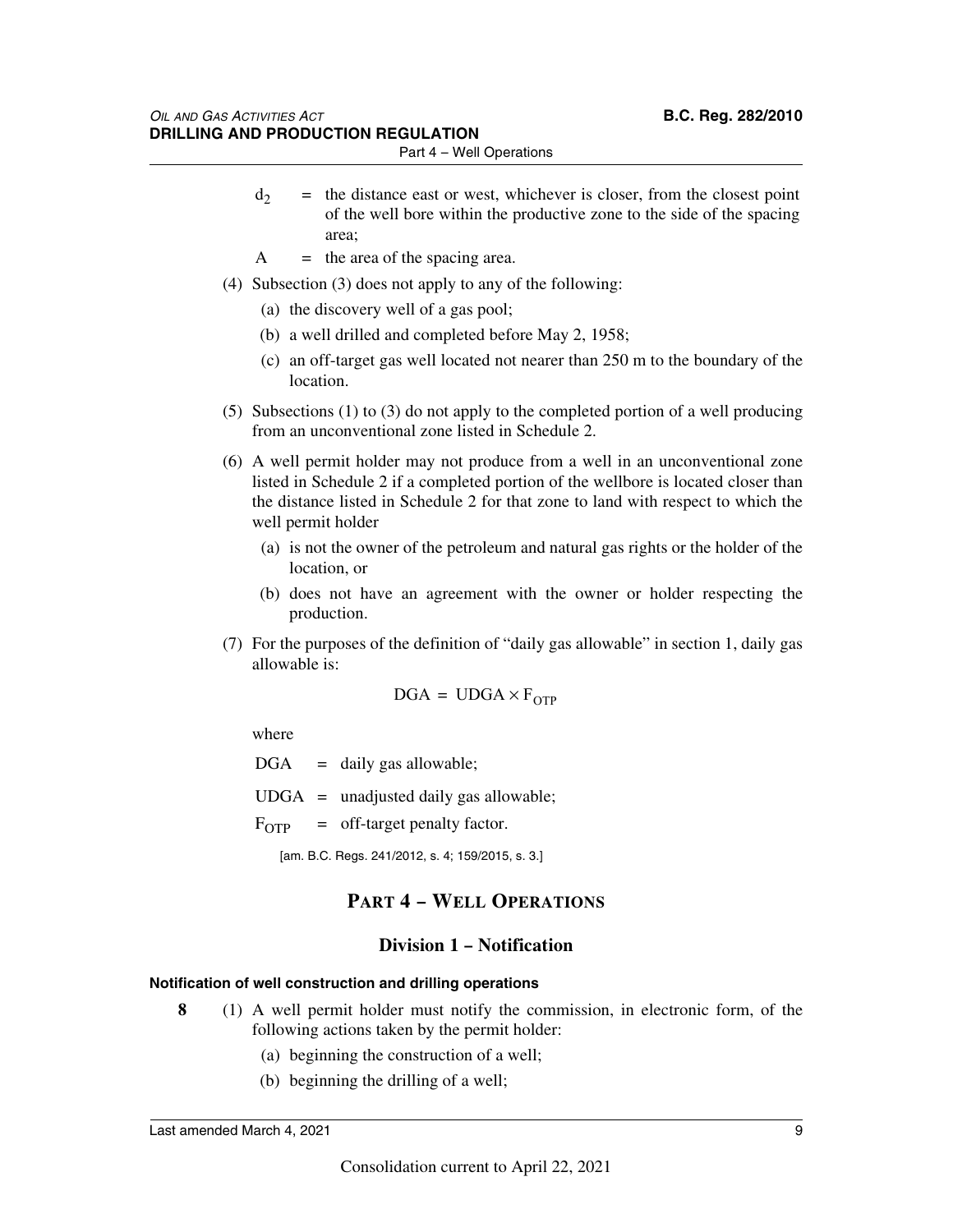- $d_2$  = the distance east or west, whichever is closer, from the closest point of the well bore within the productive zone to the side of the spacing area;
- $A =$  the area of the spacing area.
- (4) Subsection (3) does not apply to any of the following:
	- (a) the discovery well of a gas pool;
	- (b) a well drilled and completed before May 2, 1958;
	- (c) an off-target gas well located not nearer than 250 m to the boundary of the location.
- (5) Subsections (1) to (3) do not apply to the completed portion of a well producing from an unconventional zone listed in Schedule 2.
- (6) A well permit holder may not produce from a well in an unconventional zone listed in Schedule 2 if a completed portion of the wellbore is located closer than the distance listed in Schedule 2 for that zone to land with respect to which the well permit holder
	- (a) is not the owner of the petroleum and natural gas rights or the holder of the location, or
	- (b) does not have an agreement with the owner or holder respecting the production.
- (7) For the purposes of the definition of "daily gas allowable" in section 1, daily gas allowable is:

$$
\text{DGA} = \text{UDGA} \times \text{F}_{\text{OTP}}
$$

where

 $DGA = \text{daily gas allowable};$ 

 $UDGA =$  unadjusted daily gas allowable;

 $F_{\text{OTP}}$  = off-target penalty factor.

[am. B.C. Regs. 241/2012, s. 4; 159/2015, s. 3.]

### **PART 4 – WELL OPERATIONS**

### **Division 1 – Notification**

### **Notification of well construction and drilling operations**

- **8** (1) A well permit holder must notify the commission, in electronic form, of the following actions taken by the permit holder:
	- (a) beginning the construction of a well;
	- (b) beginning the drilling of a well;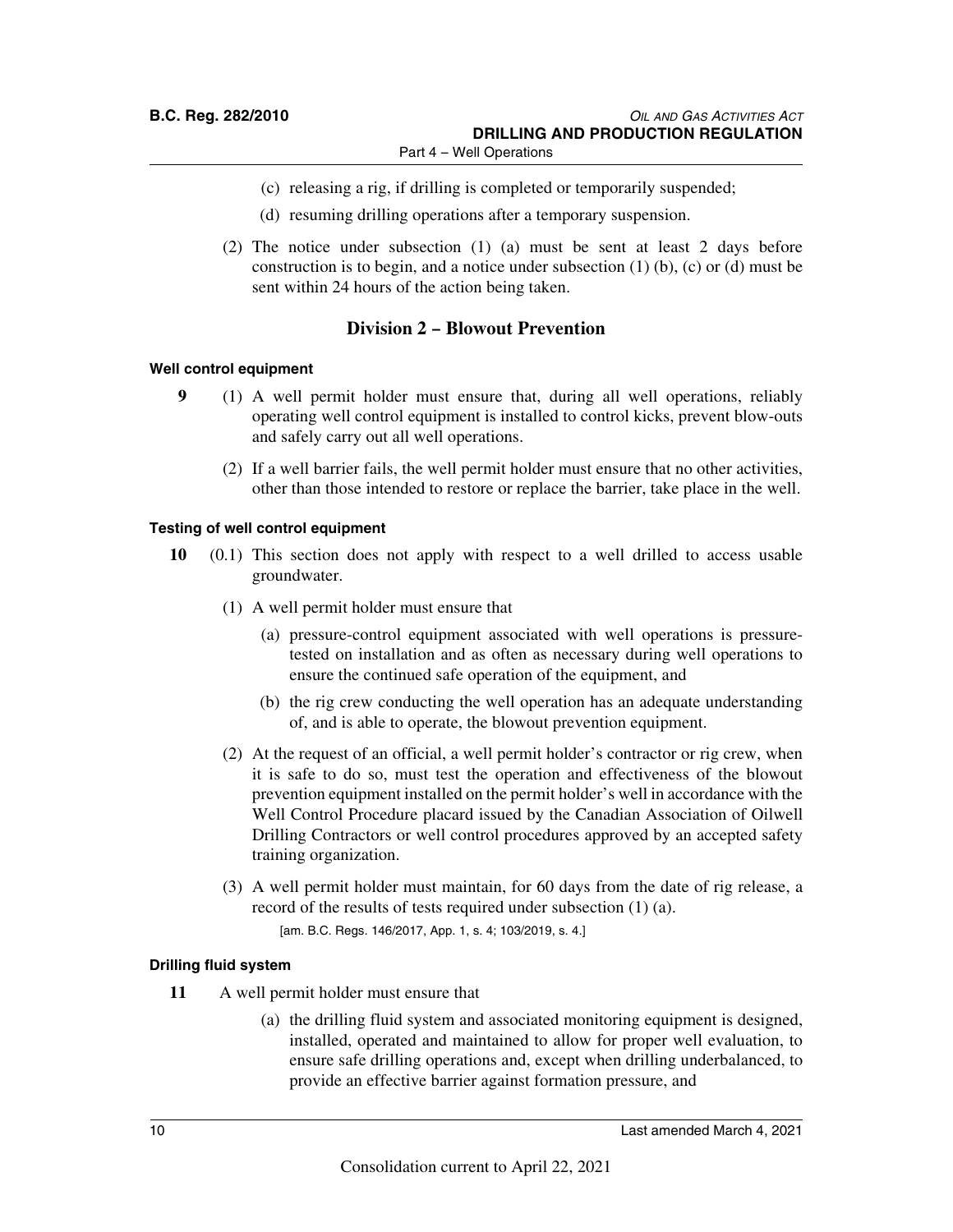- (c) releasing a rig, if drilling is completed or temporarily suspended;
- (d) resuming drilling operations after a temporary suspension.
- (2) The notice under subsection (1) (a) must be sent at least 2 days before construction is to begin, and a notice under subsection (1) (b), (c) or (d) must be sent within 24 hours of the action being taken.

### **Division 2 – Blowout Prevention**

### **Well control equipment**

- **9** (1) A well permit holder must ensure that, during all well operations, reliably operating well control equipment is installed to control kicks, prevent blow-outs and safely carry out all well operations.
	- (2) If a well barrier fails, the well permit holder must ensure that no other activities, other than those intended to restore or replace the barrier, take place in the well.

### **Testing of well control equipment**

- **10** (0.1) This section does not apply with respect to a well drilled to access usable groundwater.
	- (1) A well permit holder must ensure that
		- (a) pressure-control equipment associated with well operations is pressuretested on installation and as often as necessary during well operations to ensure the continued safe operation of the equipment, and
		- (b) the rig crew conducting the well operation has an adequate understanding of, and is able to operate, the blowout prevention equipment.
	- (2) At the request of an official, a well permit holder's contractor or rig crew, when it is safe to do so, must test the operation and effectiveness of the blowout prevention equipment installed on the permit holder's well in accordance with the Well Control Procedure placard issued by the Canadian Association of Oilwell Drilling Contractors or well control procedures approved by an accepted safety training organization.
	- (3) A well permit holder must maintain, for 60 days from the date of rig release, a record of the results of tests required under subsection (1) (a).

[am. B.C. Regs. 146/2017, App. 1, s. 4; 103/2019, s. 4.]

### **Drilling fluid system**

- **11** A well permit holder must ensure that
	- (a) the drilling fluid system and associated monitoring equipment is designed, installed, operated and maintained to allow for proper well evaluation, to ensure safe drilling operations and, except when drilling underbalanced, to provide an effective barrier against formation pressure, and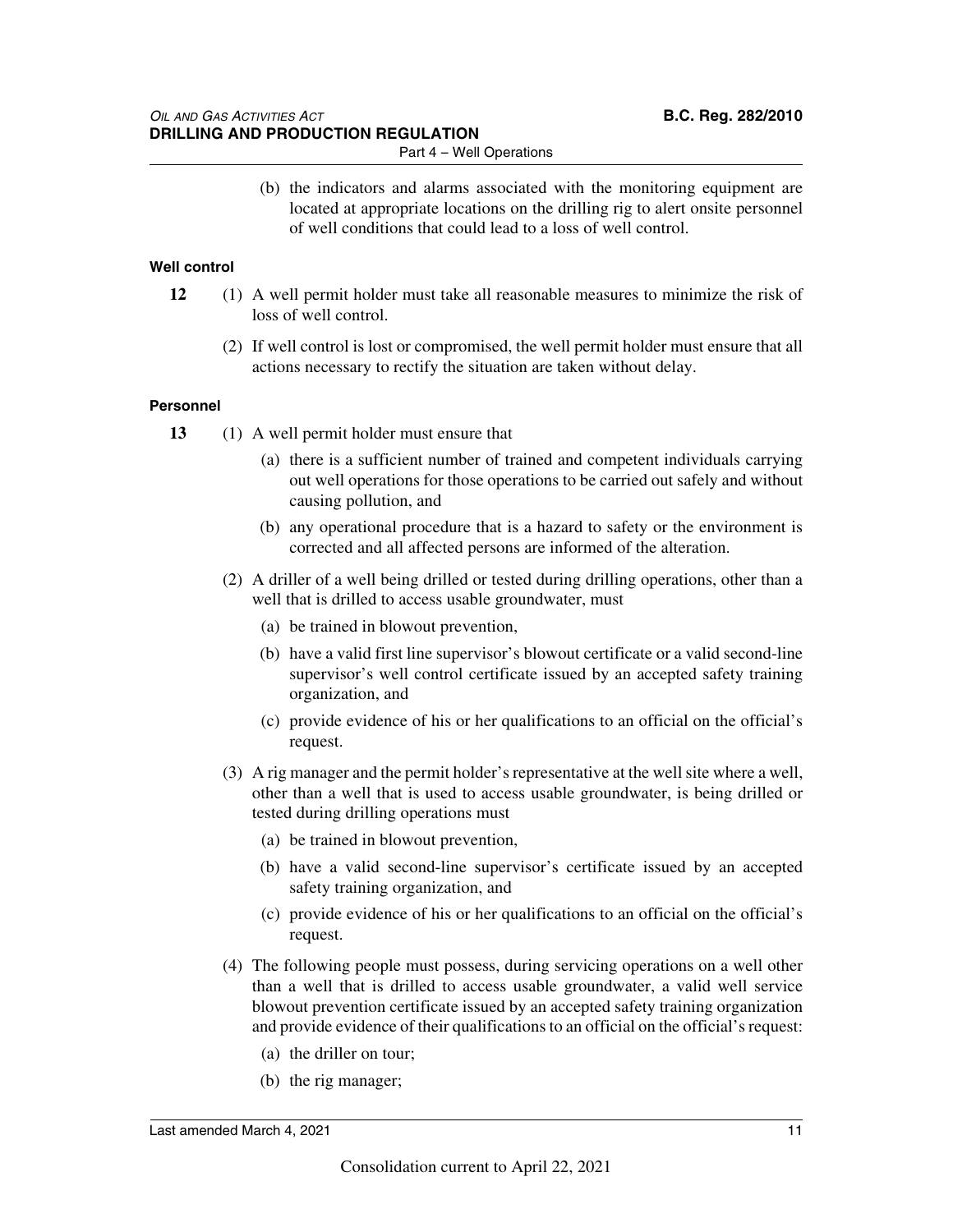(b) the indicators and alarms associated with the monitoring equipment are located at appropriate locations on the drilling rig to alert onsite personnel of well conditions that could lead to a loss of well control.

### **Well control**

- **12** (1) A well permit holder must take all reasonable measures to minimize the risk of loss of well control.
	- (2) If well control is lost or compromised, the well permit holder must ensure that all actions necessary to rectify the situation are taken without delay.

### **Personnel**

- **13** (1) A well permit holder must ensure that
	- (a) there is a sufficient number of trained and competent individuals carrying out well operations for those operations to be carried out safely and without causing pollution, and
	- (b) any operational procedure that is a hazard to safety or the environment is corrected and all affected persons are informed of the alteration.
	- (2) A driller of a well being drilled or tested during drilling operations, other than a well that is drilled to access usable groundwater, must
		- (a) be trained in blowout prevention,
		- (b) have a valid first line supervisor's blowout certificate or a valid second-line supervisor's well control certificate issued by an accepted safety training organization, and
		- (c) provide evidence of his or her qualifications to an official on the official's request.
	- (3) A rig manager and the permit holder's representative at the well site where a well, other than a well that is used to access usable groundwater, is being drilled or tested during drilling operations must
		- (a) be trained in blowout prevention,
		- (b) have a valid second-line supervisor's certificate issued by an accepted safety training organization, and
		- (c) provide evidence of his or her qualifications to an official on the official's request.
	- (4) The following people must possess, during servicing operations on a well other than a well that is drilled to access usable groundwater, a valid well service blowout prevention certificate issued by an accepted safety training organization and provide evidence of their qualifications to an official on the official's request:
		- (a) the driller on tour;
		- (b) the rig manager;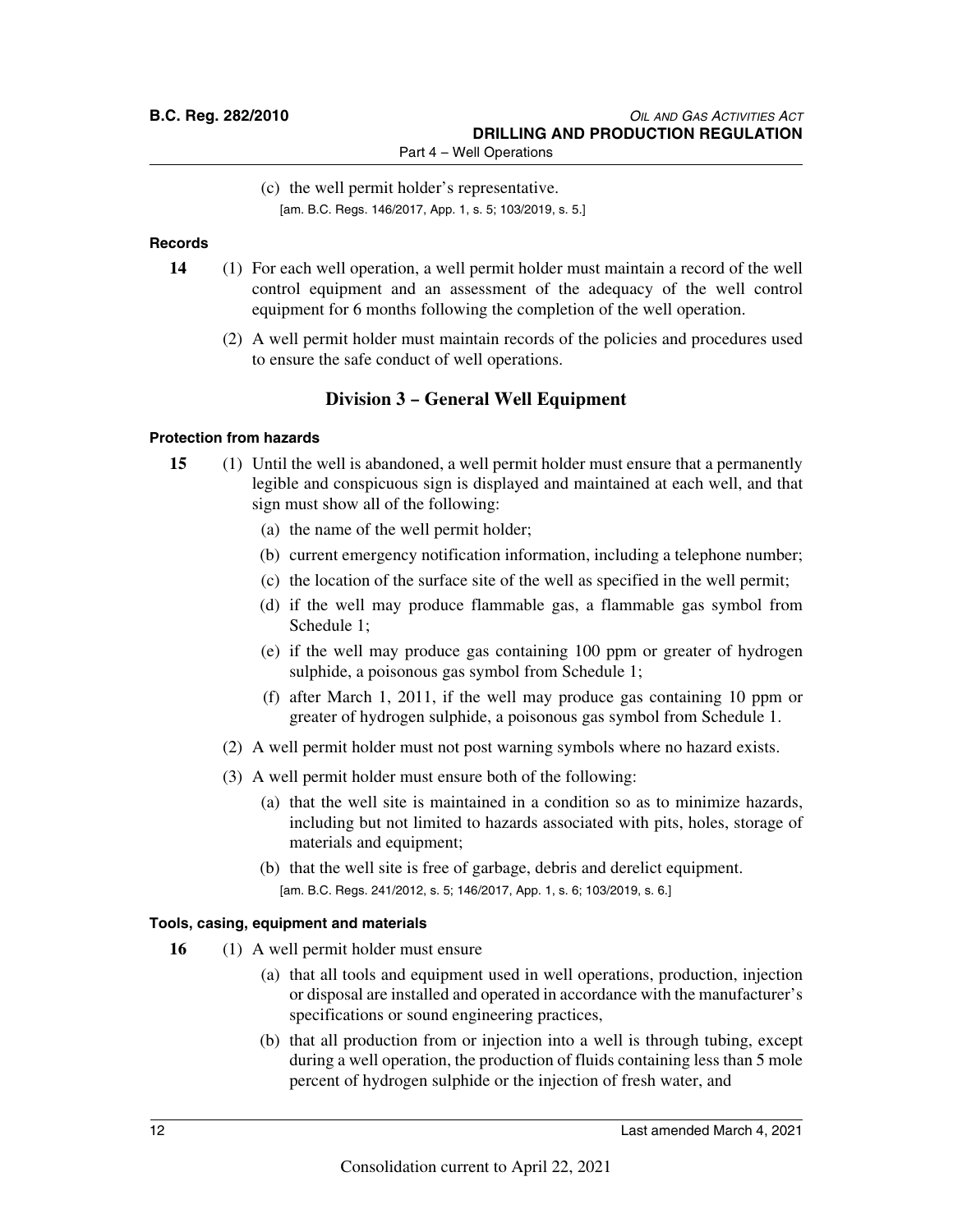(c) the well permit holder's representative. [am. B.C. Regs. 146/2017, App. 1, s. 5; 103/2019, s. 5.]

### **Records**

- **14** (1) For each well operation, a well permit holder must maintain a record of the well control equipment and an assessment of the adequacy of the well control equipment for 6 months following the completion of the well operation.
	- (2) A well permit holder must maintain records of the policies and procedures used to ensure the safe conduct of well operations.

### **Division 3 – General Well Equipment**

### **Protection from hazards**

- **15** (1) Until the well is abandoned, a well permit holder must ensure that a permanently legible and conspicuous sign is displayed and maintained at each well, and that sign must show all of the following:
	- (a) the name of the well permit holder;
	- (b) current emergency notification information, including a telephone number;
	- (c) the location of the surface site of the well as specified in the well permit;
	- (d) if the well may produce flammable gas, a flammable gas symbol from Schedule 1;
	- (e) if the well may produce gas containing 100 ppm or greater of hydrogen sulphide, a poisonous gas symbol from Schedule 1;
	- (f) after March 1, 2011, if the well may produce gas containing 10 ppm or greater of hydrogen sulphide, a poisonous gas symbol from Schedule 1.
	- (2) A well permit holder must not post warning symbols where no hazard exists.
	- (3) A well permit holder must ensure both of the following:
		- (a) that the well site is maintained in a condition so as to minimize hazards, including but not limited to hazards associated with pits, holes, storage of materials and equipment;
		- (b) that the well site is free of garbage, debris and derelict equipment. [am. B.C. Regs. 241/2012, s. 5; 146/2017, App. 1, s. 6; 103/2019, s. 6.]

### **Tools, casing, equipment and materials**

- **16** (1) A well permit holder must ensure
	- (a) that all tools and equipment used in well operations, production, injection or disposal are installed and operated in accordance with the manufacturer's specifications or sound engineering practices,
	- (b) that all production from or injection into a well is through tubing, except during a well operation, the production of fluids containing less than 5 mole percent of hydrogen sulphide or the injection of fresh water, and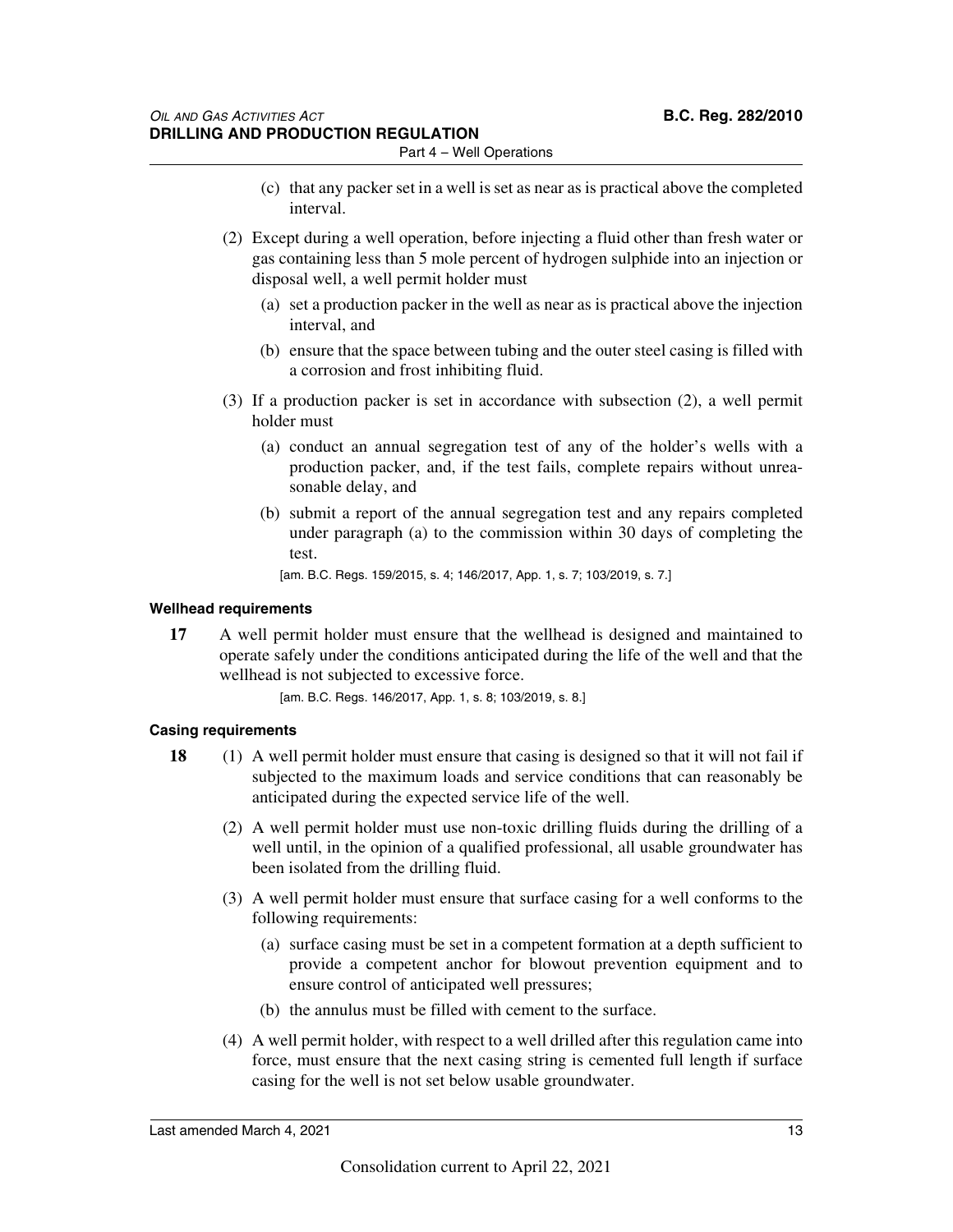- (c) that any packer set in a well is set as near as is practical above the completed interval.
- (2) Except during a well operation, before injecting a fluid other than fresh water or gas containing less than 5 mole percent of hydrogen sulphide into an injection or disposal well, a well permit holder must
	- (a) set a production packer in the well as near as is practical above the injection interval, and
	- (b) ensure that the space between tubing and the outer steel casing is filled with a corrosion and frost inhibiting fluid.
- (3) If a production packer is set in accordance with subsection (2), a well permit holder must
	- (a) conduct an annual segregation test of any of the holder's wells with a production packer, and, if the test fails, complete repairs without unreasonable delay, and
	- (b) submit a report of the annual segregation test and any repairs completed under paragraph (a) to the commission within 30 days of completing the test.

[am. B.C. Regs. 159/2015, s. 4; 146/2017, App. 1, s. 7; 103/2019, s. 7.]

### **Wellhead requirements**

**17** A well permit holder must ensure that the wellhead is designed and maintained to operate safely under the conditions anticipated during the life of the well and that the wellhead is not subjected to excessive force.

[am. B.C. Regs. 146/2017, App. 1, s. 8; 103/2019, s. 8.]

### **Casing requirements**

- **18** (1) A well permit holder must ensure that casing is designed so that it will not fail if subjected to the maximum loads and service conditions that can reasonably be anticipated during the expected service life of the well.
	- (2) A well permit holder must use non-toxic drilling fluids during the drilling of a well until, in the opinion of a qualified professional, all usable groundwater has been isolated from the drilling fluid.
	- (3) A well permit holder must ensure that surface casing for a well conforms to the following requirements:
		- (a) surface casing must be set in a competent formation at a depth sufficient to provide a competent anchor for blowout prevention equipment and to ensure control of anticipated well pressures;
		- (b) the annulus must be filled with cement to the surface.
	- (4) A well permit holder, with respect to a well drilled after this regulation came into force, must ensure that the next casing string is cemented full length if surface casing for the well is not set below usable groundwater.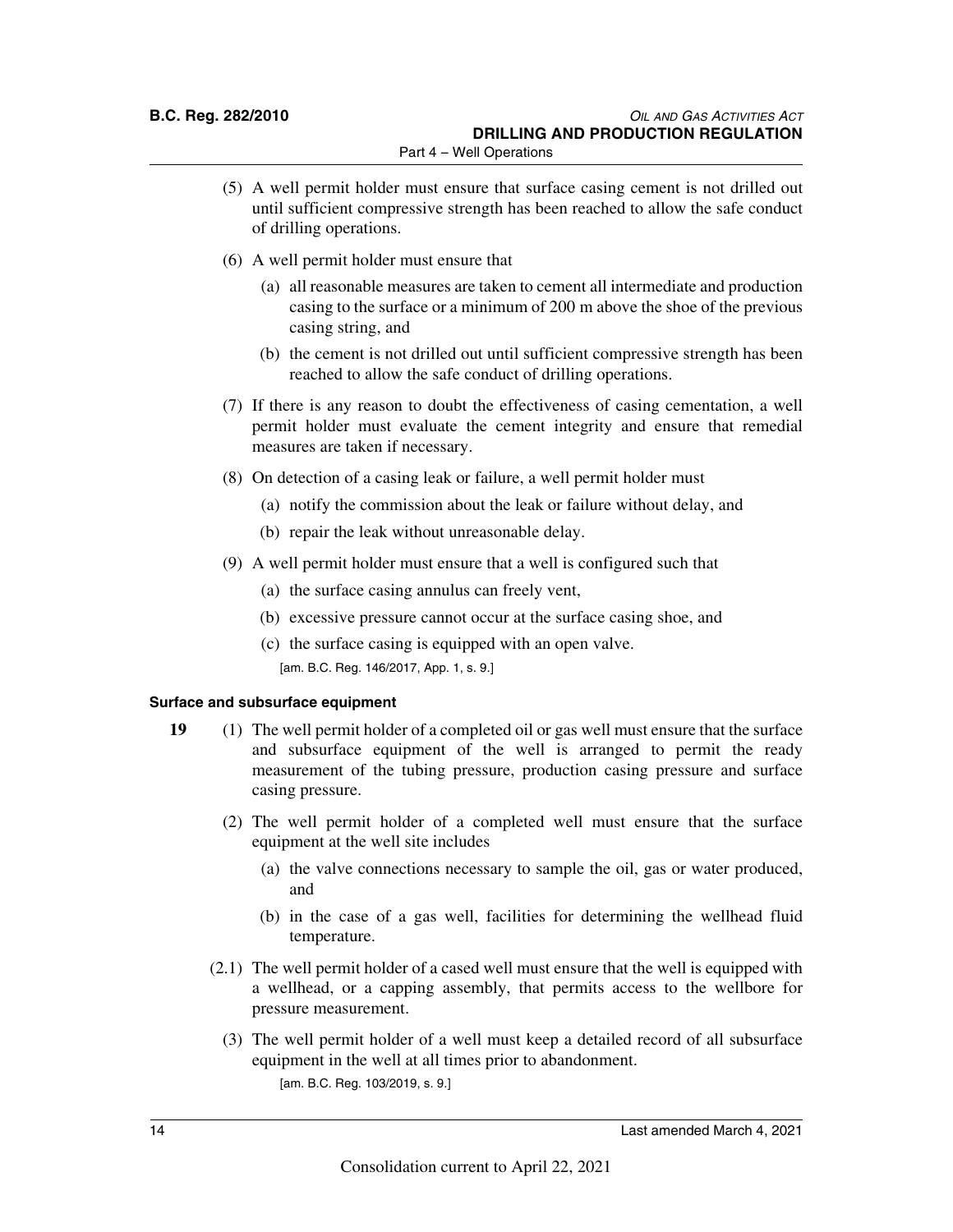- (5) A well permit holder must ensure that surface casing cement is not drilled out until sufficient compressive strength has been reached to allow the safe conduct of drilling operations.
- (6) A well permit holder must ensure that
	- (a) all reasonable measures are taken to cement all intermediate and production casing to the surface or a minimum of 200 m above the shoe of the previous casing string, and
	- (b) the cement is not drilled out until sufficient compressive strength has been reached to allow the safe conduct of drilling operations.
- (7) If there is any reason to doubt the effectiveness of casing cementation, a well permit holder must evaluate the cement integrity and ensure that remedial measures are taken if necessary.
- (8) On detection of a casing leak or failure, a well permit holder must
	- (a) notify the commission about the leak or failure without delay, and
	- (b) repair the leak without unreasonable delay.
- (9) A well permit holder must ensure that a well is configured such that
	- (a) the surface casing annulus can freely vent,
	- (b) excessive pressure cannot occur at the surface casing shoe, and
	- (c) the surface casing is equipped with an open valve. [am. B.C. Reg. 146/2017, App. 1, s. 9.]

### **Surface and subsurface equipment**

- **19** (1) The well permit holder of a completed oil or gas well must ensure that the surface and subsurface equipment of the well is arranged to permit the ready measurement of the tubing pressure, production casing pressure and surface casing pressure.
	- (2) The well permit holder of a completed well must ensure that the surface equipment at the well site includes
		- (a) the valve connections necessary to sample the oil, gas or water produced, and
		- (b) in the case of a gas well, facilities for determining the wellhead fluid temperature.
	- (2.1) The well permit holder of a cased well must ensure that the well is equipped with a wellhead, or a capping assembly, that permits access to the wellbore for pressure measurement.
		- (3) The well permit holder of a well must keep a detailed record of all subsurface equipment in the well at all times prior to abandonment. [am. B.C. Reg. 103/2019, s. 9.]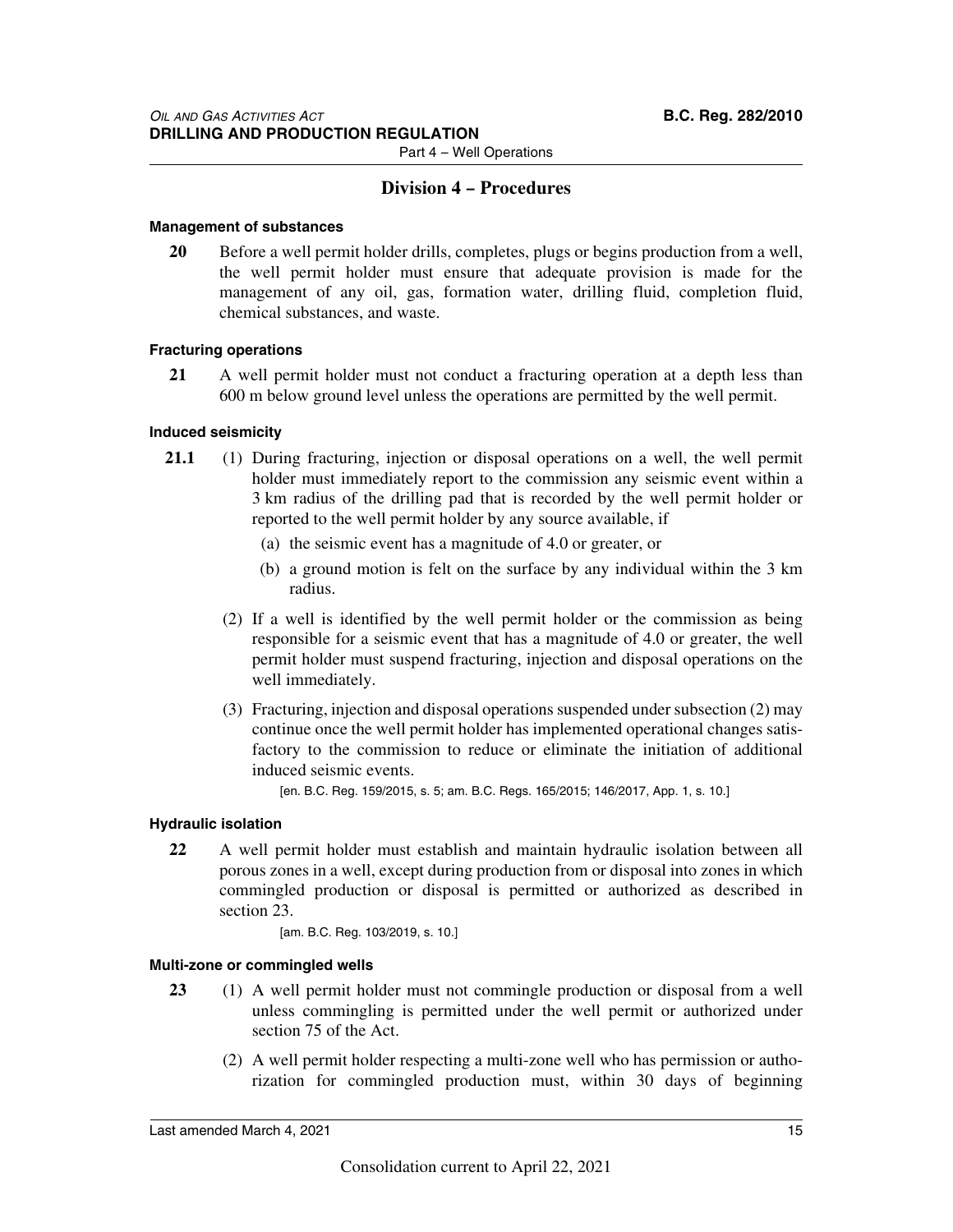### **Division 4 – Procedures**

### **Management of substances**

**20** Before a well permit holder drills, completes, plugs or begins production from a well, the well permit holder must ensure that adequate provision is made for the management of any oil, gas, formation water, drilling fluid, completion fluid, chemical substances, and waste.

### **Fracturing operations**

**21** A well permit holder must not conduct a fracturing operation at a depth less than 600 m below ground level unless the operations are permitted by the well permit.

### **Induced seismicity**

- **21.1** (1) During fracturing, injection or disposal operations on a well, the well permit holder must immediately report to the commission any seismic event within a 3 km radius of the drilling pad that is recorded by the well permit holder or reported to the well permit holder by any source available, if
	- (a) the seismic event has a magnitude of 4.0 or greater, or
	- (b) a ground motion is felt on the surface by any individual within the 3 km radius.
	- (2) If a well is identified by the well permit holder or the commission as being responsible for a seismic event that has a magnitude of 4.0 or greater, the well permit holder must suspend fracturing, injection and disposal operations on the well immediately.
	- (3) Fracturing, injection and disposal operations suspended under subsection (2) may continue once the well permit holder has implemented operational changes satisfactory to the commission to reduce or eliminate the initiation of additional induced seismic events.

[en. B.C. Reg. 159/2015, s. 5; am. B.C. Regs. 165/2015; 146/2017, App. 1, s. 10.]

#### **Hydraulic isolation**

**22** A well permit holder must establish and maintain hydraulic isolation between all porous zones in a well, except during production from or disposal into zones in which commingled production or disposal is permitted or authorized as described in section 23.

[am. B.C. Reg. 103/2019, s. 10.]

#### **Multi-zone or commingled wells**

- **23** (1) A well permit holder must not commingle production or disposal from a well unless commingling is permitted under the well permit or authorized under section 75 of the Act.
	- (2) A well permit holder respecting a multi-zone well who has permission or authorization for commingled production must, within 30 days of beginning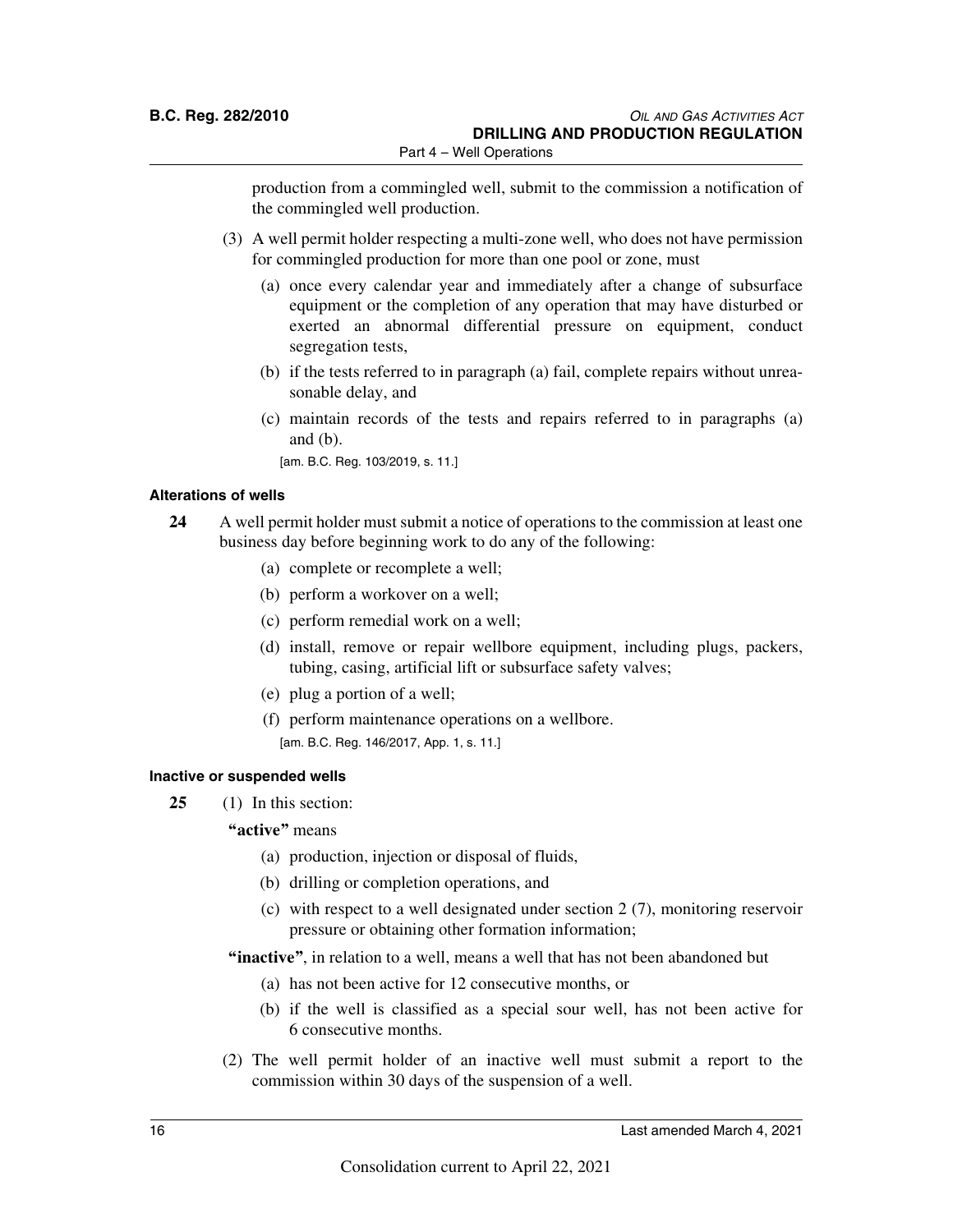production from a commingled well, submit to the commission a notification of the commingled well production.

- (3) A well permit holder respecting a multi-zone well, who does not have permission for commingled production for more than one pool or zone, must
	- (a) once every calendar year and immediately after a change of subsurface equipment or the completion of any operation that may have disturbed or exerted an abnormal differential pressure on equipment, conduct segregation tests,
	- (b) if the tests referred to in paragraph (a) fail, complete repairs without unreasonable delay, and
	- (c) maintain records of the tests and repairs referred to in paragraphs (a) and (b).
		- [am. B.C. Reg. 103/2019, s. 11.]

### **Alterations of wells**

- **24** A well permit holder must submit a notice of operations to the commission at least one business day before beginning work to do any of the following:
	- (a) complete or recomplete a well;
	- (b) perform a workover on a well;
	- (c) perform remedial work on a well;
	- (d) install, remove or repair wellbore equipment, including plugs, packers, tubing, casing, artificial lift or subsurface safety valves;
	- (e) plug a portion of a well;
	- (f) perform maintenance operations on a wellbore. [am. B.C. Reg. 146/2017, App. 1, s. 11.]

#### **Inactive or suspended wells**

- **25** (1) In this section:
	- **"active"** means
		- (a) production, injection or disposal of fluids,
		- (b) drilling or completion operations, and
		- (c) with respect to a well designated under section 2 (7), monitoring reservoir pressure or obtaining other formation information;
	- **"inactive"**, in relation to a well, means a well that has not been abandoned but
		- (a) has not been active for 12 consecutive months, or
		- (b) if the well is classified as a special sour well, has not been active for 6 consecutive months.
	- (2) The well permit holder of an inactive well must submit a report to the commission within 30 days of the suspension of a well.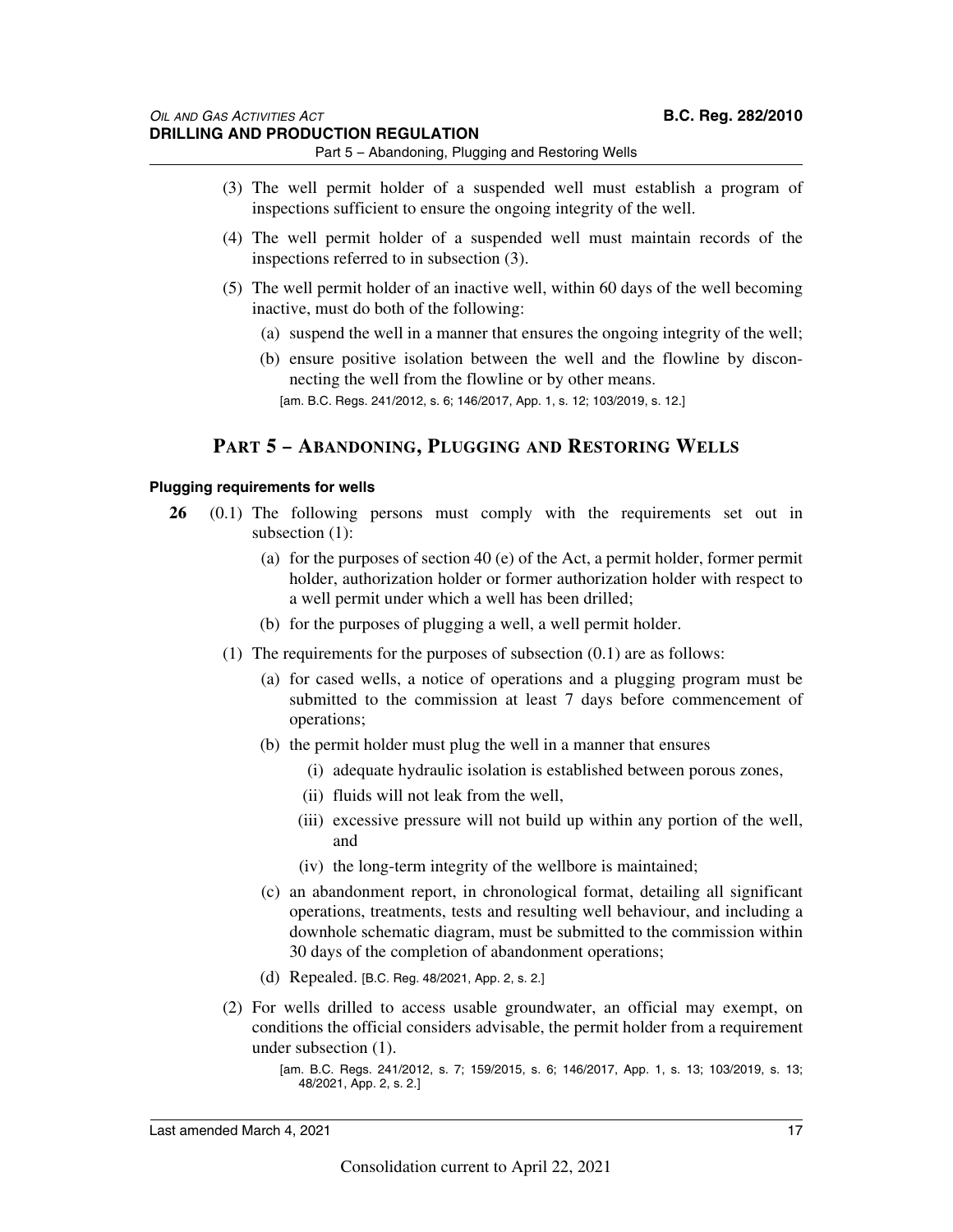Part 5 – Abandoning, Plugging and Restoring Wells

- (3) The well permit holder of a suspended well must establish a program of inspections sufficient to ensure the ongoing integrity of the well.
- (4) The well permit holder of a suspended well must maintain records of the inspections referred to in subsection (3).
- (5) The well permit holder of an inactive well, within 60 days of the well becoming inactive, must do both of the following:
	- (a) suspend the well in a manner that ensures the ongoing integrity of the well;
	- (b) ensure positive isolation between the well and the flowline by disconnecting the well from the flowline or by other means. [am. B.C. Regs. 241/2012, s. 6; 146/2017, App. 1, s. 12; 103/2019, s. 12.]

### **PART 5 – ABANDONING, PLUGGING AND RESTORING WELLS**

### **Plugging requirements for wells**

- **26** (0.1) The following persons must comply with the requirements set out in subsection (1):
	- (a) for the purposes of section 40 (e) of the Act, a permit holder, former permit holder, authorization holder or former authorization holder with respect to a well permit under which a well has been drilled;
	- (b) for the purposes of plugging a well, a well permit holder.
	- (1) The requirements for the purposes of subsection (0.1) are as follows:
		- (a) for cased wells, a notice of operations and a plugging program must be submitted to the commission at least 7 days before commencement of operations;
		- (b) the permit holder must plug the well in a manner that ensures
			- (i) adequate hydraulic isolation is established between porous zones,
			- (ii) fluids will not leak from the well,
			- (iii) excessive pressure will not build up within any portion of the well, and
			- (iv) the long-term integrity of the wellbore is maintained;
		- (c) an abandonment report, in chronological format, detailing all significant operations, treatments, tests and resulting well behaviour, and including a downhole schematic diagram, must be submitted to the commission within 30 days of the completion of abandonment operations;
		- (d) Repealed. [B.C. Reg. 48/2021, App. 2, s. 2.]
	- (2) For wells drilled to access usable groundwater, an official may exempt, on conditions the official considers advisable, the permit holder from a requirement under subsection (1).

<sup>[</sup>am. B.C. Regs. 241/2012, s. 7; 159/2015, s. 6; 146/2017, App. 1, s. 13; 103/2019, s. 13; 48/2021, App. 2, s. 2.]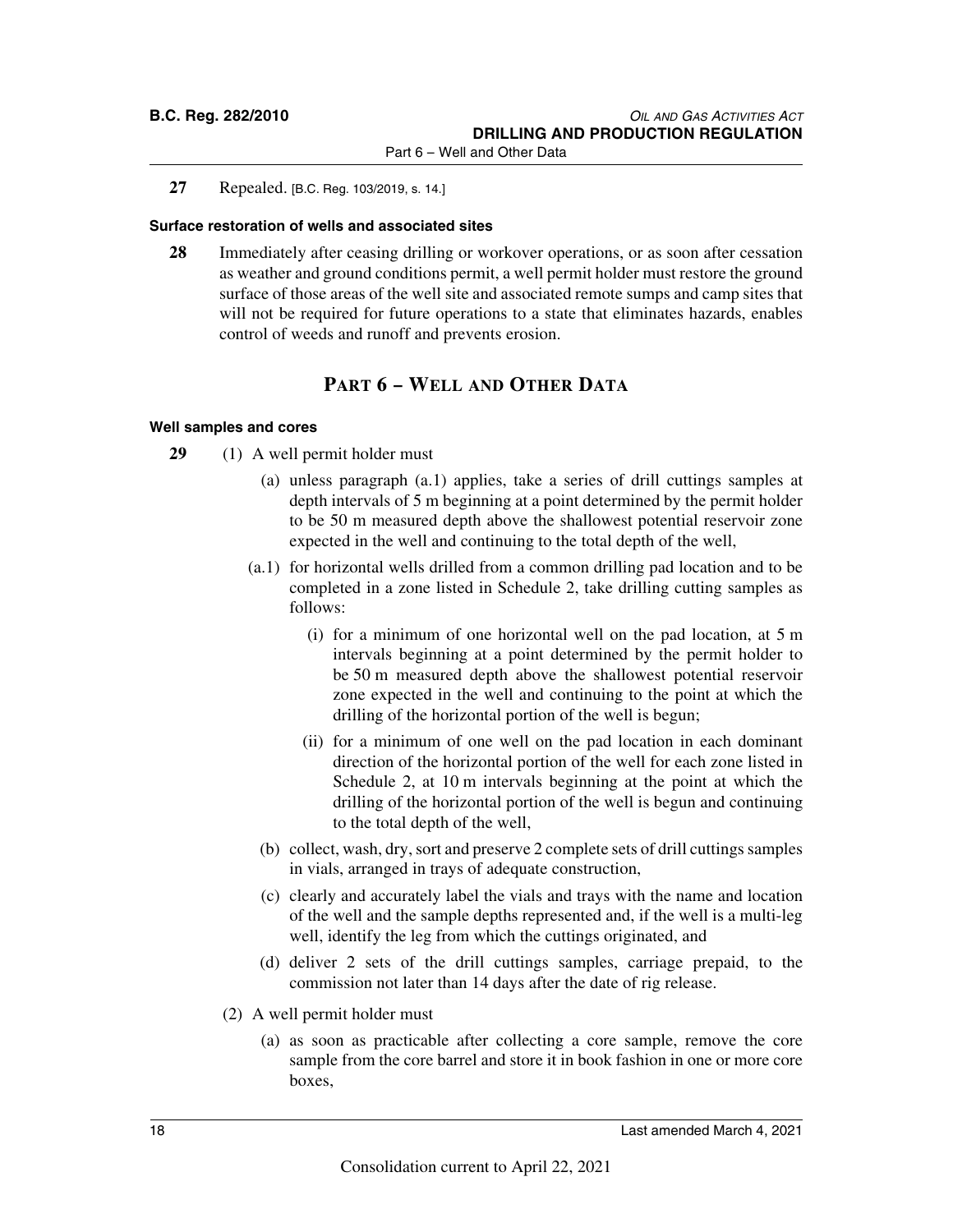**27** Repealed. [B.C. Reg. 103/2019, s. 14.]

### **Surface restoration of wells and associated sites**

**28** Immediately after ceasing drilling or workover operations, or as soon after cessation as weather and ground conditions permit, a well permit holder must restore the ground surface of those areas of the well site and associated remote sumps and camp sites that will not be required for future operations to a state that eliminates hazards, enables control of weeds and runoff and prevents erosion.

### **PART 6 – WELL AND OTHER DATA**

### **Well samples and cores**

- **29** (1) A well permit holder must
	- (a) unless paragraph (a.1) applies, take a series of drill cuttings samples at depth intervals of 5 m beginning at a point determined by the permit holder to be 50 m measured depth above the shallowest potential reservoir zone expected in the well and continuing to the total depth of the well,
	- (a.1) for horizontal wells drilled from a common drilling pad location and to be completed in a zone listed in Schedule 2, take drilling cutting samples as follows:
		- (i) for a minimum of one horizontal well on the pad location, at 5 m intervals beginning at a point determined by the permit holder to be 50 m measured depth above the shallowest potential reservoir zone expected in the well and continuing to the point at which the drilling of the horizontal portion of the well is begun;
		- (ii) for a minimum of one well on the pad location in each dominant direction of the horizontal portion of the well for each zone listed in Schedule 2, at 10 m intervals beginning at the point at which the drilling of the horizontal portion of the well is begun and continuing to the total depth of the well,
		- (b) collect, wash, dry, sort and preserve 2 complete sets of drill cuttings samples in vials, arranged in trays of adequate construction,
		- (c) clearly and accurately label the vials and trays with the name and location of the well and the sample depths represented and, if the well is a multi-leg well, identify the leg from which the cuttings originated, and
		- (d) deliver 2 sets of the drill cuttings samples, carriage prepaid, to the commission not later than 14 days after the date of rig release.
	- (2) A well permit holder must
		- (a) as soon as practicable after collecting a core sample, remove the core sample from the core barrel and store it in book fashion in one or more core boxes,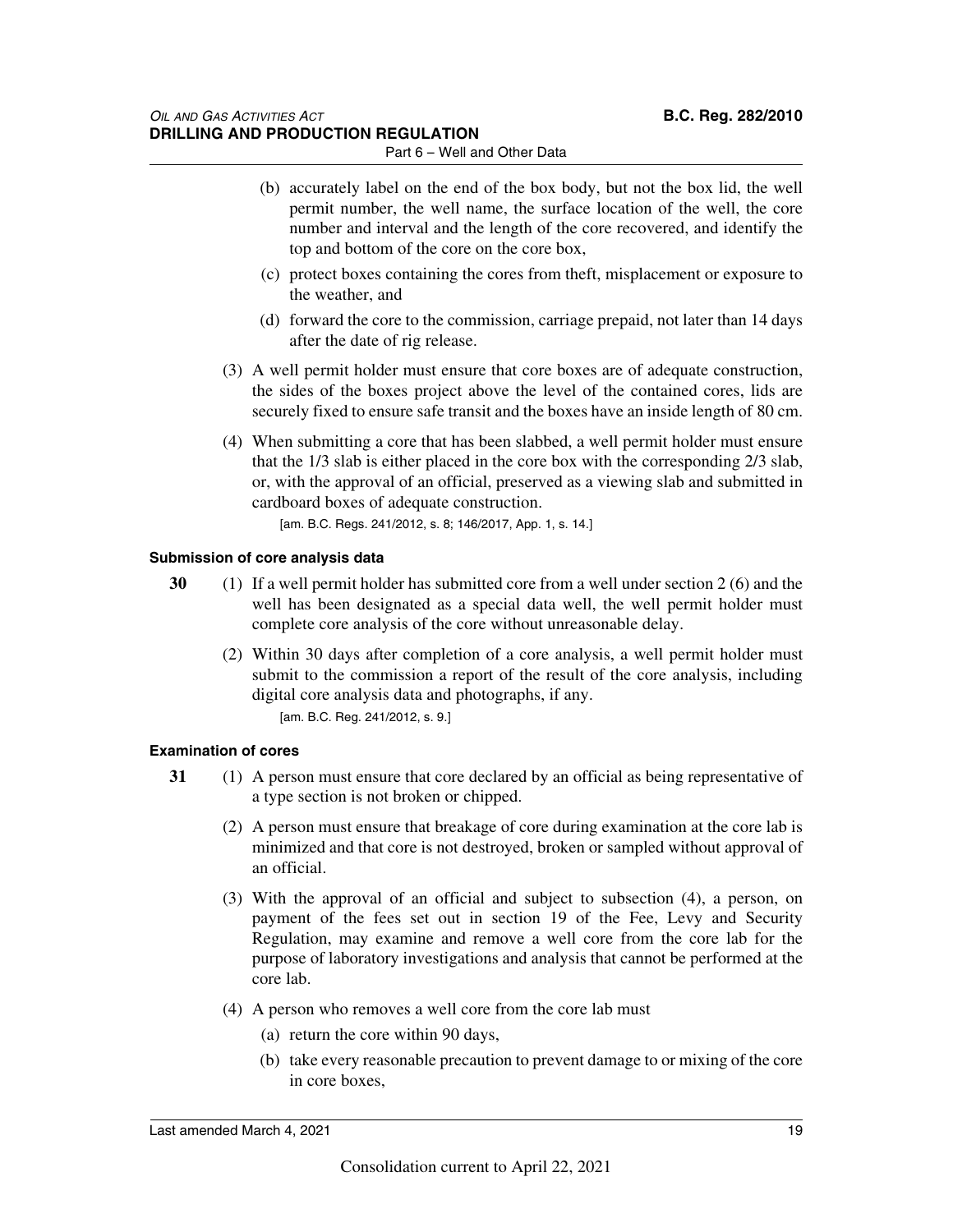- Part 6 Well and Other Data
- (b) accurately label on the end of the box body, but not the box lid, the well permit number, the well name, the surface location of the well, the core number and interval and the length of the core recovered, and identify the top and bottom of the core on the core box,
- (c) protect boxes containing the cores from theft, misplacement or exposure to the weather, and
- (d) forward the core to the commission, carriage prepaid, not later than 14 days after the date of rig release.
- (3) A well permit holder must ensure that core boxes are of adequate construction, the sides of the boxes project above the level of the contained cores, lids are securely fixed to ensure safe transit and the boxes have an inside length of 80 cm.
- (4) When submitting a core that has been slabbed, a well permit holder must ensure that the 1/3 slab is either placed in the core box with the corresponding 2/3 slab, or, with the approval of an official, preserved as a viewing slab and submitted in cardboard boxes of adequate construction.

[am. B.C. Regs. 241/2012, s. 8; 146/2017, App. 1, s. 14.]

### **Submission of core analysis data**

- **30** (1) If a well permit holder has submitted core from a well under section 2 (6) and the well has been designated as a special data well, the well permit holder must complete core analysis of the core without unreasonable delay.
	- (2) Within 30 days after completion of a core analysis, a well permit holder must submit to the commission a report of the result of the core analysis, including digital core analysis data and photographs, if any. [am. B.C. Reg. 241/2012, s. 9.]

### **Examination of cores**

- **31** (1) A person must ensure that core declared by an official as being representative of a type section is not broken or chipped.
	- (2) A person must ensure that breakage of core during examination at the core lab is minimized and that core is not destroyed, broken or sampled without approval of an official.
	- (3) With the approval of an official and subject to subsection (4), a person, on payment of the fees set out in section 19 of the Fee, Levy and Security Regulation, may examine and remove a well core from the core lab for the purpose of laboratory investigations and analysis that cannot be performed at the core lab.
	- (4) A person who removes a well core from the core lab must
		- (a) return the core within 90 days,
		- (b) take every reasonable precaution to prevent damage to or mixing of the core in core boxes,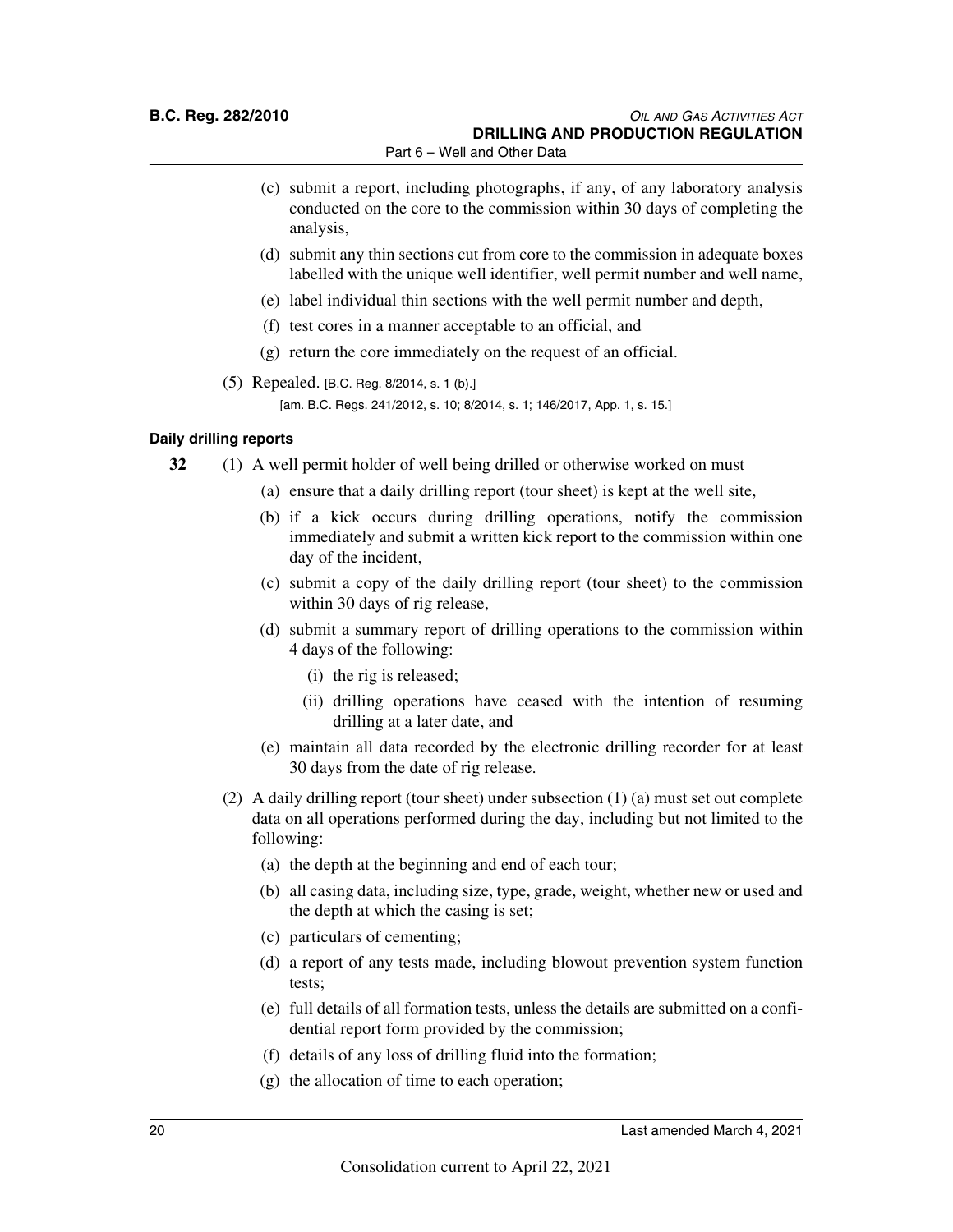Part 6 – Well and Other Data

- (c) submit a report, including photographs, if any, of any laboratory analysis conducted on the core to the commission within 30 days of completing the analysis,
- (d) submit any thin sections cut from core to the commission in adequate boxes labelled with the unique well identifier, well permit number and well name,
- (e) label individual thin sections with the well permit number and depth,
- (f) test cores in a manner acceptable to an official, and
- (g) return the core immediately on the request of an official.
- (5) Repealed. [B.C. Reg. 8/2014, s. 1 (b).] [am. B.C. Regs. 241/2012, s. 10; 8/2014, s. 1; 146/2017, App. 1, s. 15.]

### **Daily drilling reports**

- **32** (1) A well permit holder of well being drilled or otherwise worked on must
	- (a) ensure that a daily drilling report (tour sheet) is kept at the well site,
	- (b) if a kick occurs during drilling operations, notify the commission immediately and submit a written kick report to the commission within one day of the incident,
	- (c) submit a copy of the daily drilling report (tour sheet) to the commission within 30 days of rig release,
	- (d) submit a summary report of drilling operations to the commission within 4 days of the following:
		- (i) the rig is released;
		- (ii) drilling operations have ceased with the intention of resuming drilling at a later date, and
	- (e) maintain all data recorded by the electronic drilling recorder for at least 30 days from the date of rig release.
	- (2) A daily drilling report (tour sheet) under subsection (1) (a) must set out complete data on all operations performed during the day, including but not limited to the following:
		- (a) the depth at the beginning and end of each tour;
		- (b) all casing data, including size, type, grade, weight, whether new or used and the depth at which the casing is set;
		- (c) particulars of cementing;
		- (d) a report of any tests made, including blowout prevention system function tests;
		- (e) full details of all formation tests, unless the details are submitted on a confidential report form provided by the commission;
		- (f) details of any loss of drilling fluid into the formation;
		- (g) the allocation of time to each operation;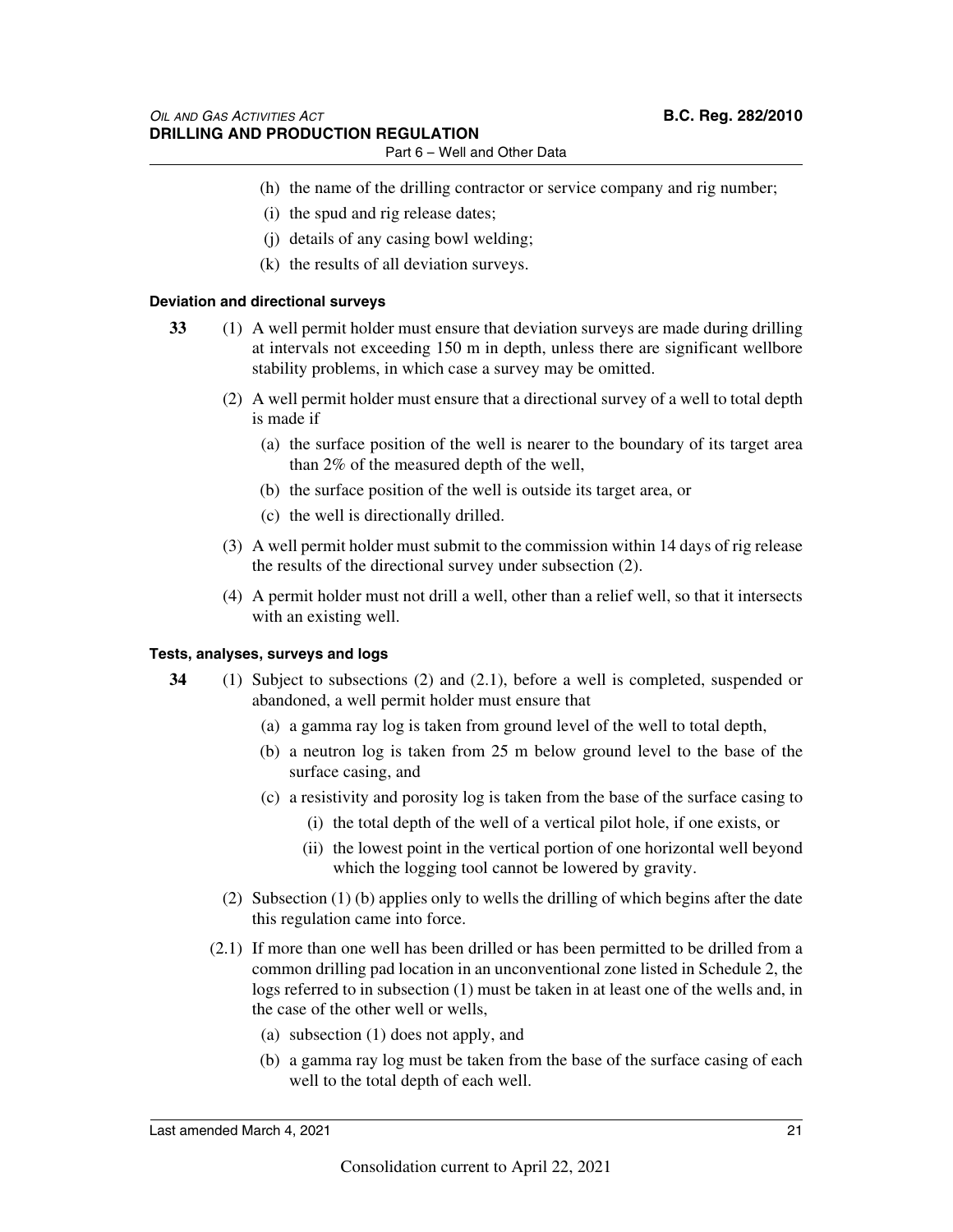- Part 6 Well and Other Data
- (h) the name of the drilling contractor or service company and rig number;
	- (i) the spud and rig release dates;
- (j) details of any casing bowl welding;
- (k) the results of all deviation surveys.

### **Deviation and directional surveys**

- **33** (1) A well permit holder must ensure that deviation surveys are made during drilling at intervals not exceeding 150 m in depth, unless there are significant wellbore stability problems, in which case a survey may be omitted.
	- (2) A well permit holder must ensure that a directional survey of a well to total depth is made if
		- (a) the surface position of the well is nearer to the boundary of its target area than 2% of the measured depth of the well,
		- (b) the surface position of the well is outside its target area, or
		- (c) the well is directionally drilled.
	- (3) A well permit holder must submit to the commission within 14 days of rig release the results of the directional survey under subsection (2).
	- (4) A permit holder must not drill a well, other than a relief well, so that it intersects with an existing well.

### **Tests, analyses, surveys and logs**

- **34** (1) Subject to subsections (2) and (2.1), before a well is completed, suspended or abandoned, a well permit holder must ensure that
	- (a) a gamma ray log is taken from ground level of the well to total depth,
	- (b) a neutron log is taken from 25 m below ground level to the base of the surface casing, and
	- (c) a resistivity and porosity log is taken from the base of the surface casing to
		- (i) the total depth of the well of a vertical pilot hole, if one exists, or
		- (ii) the lowest point in the vertical portion of one horizontal well beyond which the logging tool cannot be lowered by gravity.
	- (2) Subsection (1) (b) applies only to wells the drilling of which begins after the date this regulation came into force.
	- (2.1) If more than one well has been drilled or has been permitted to be drilled from a common drilling pad location in an unconventional zone listed in Schedule 2, the logs referred to in subsection (1) must be taken in at least one of the wells and, in the case of the other well or wells,
		- (a) subsection (1) does not apply, and
		- (b) a gamma ray log must be taken from the base of the surface casing of each well to the total depth of each well.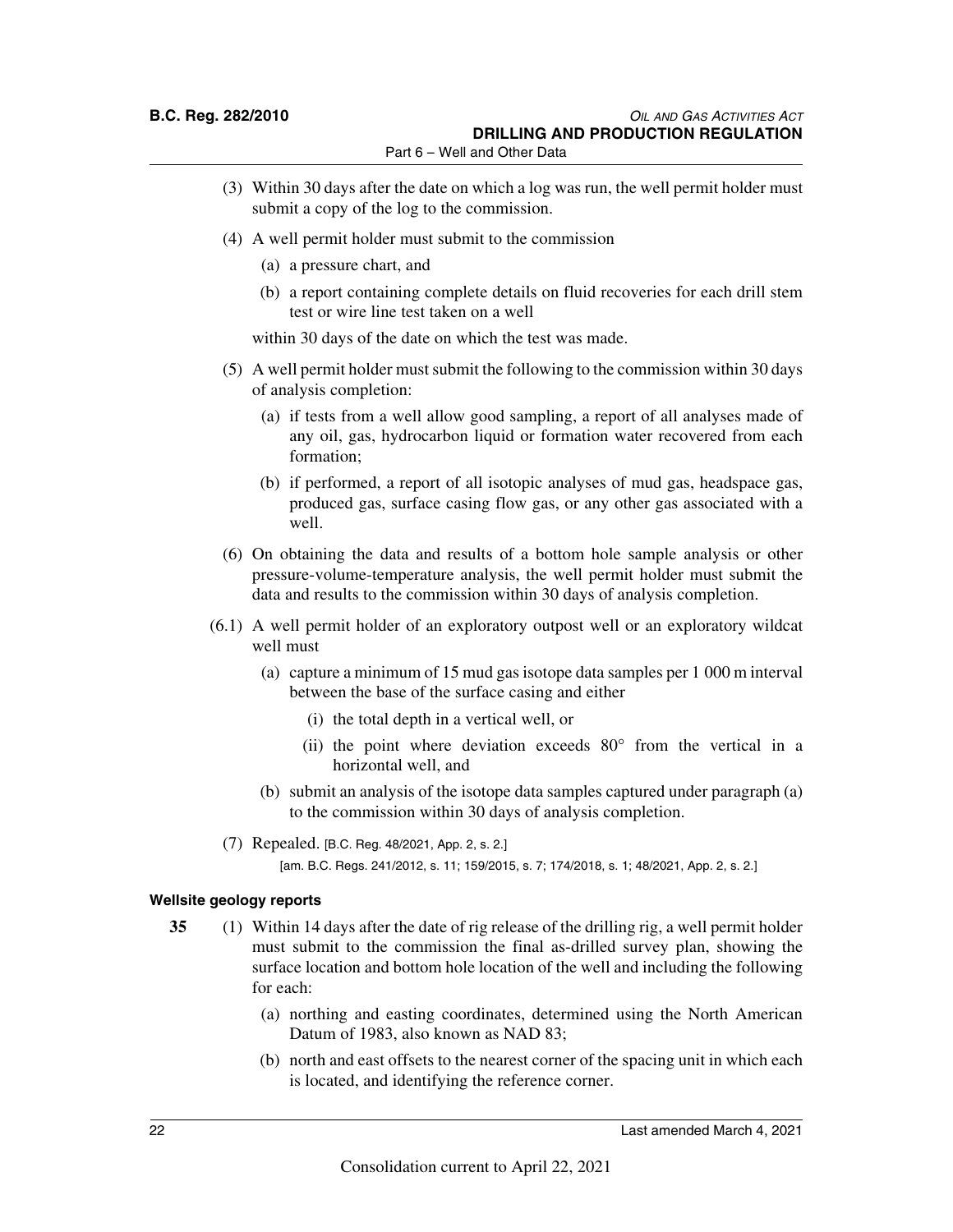Part 6 – Well and Other Data

- (3) Within 30 days after the date on which a log was run, the well permit holder must submit a copy of the log to the commission.
- (4) A well permit holder must submit to the commission
	- (a) a pressure chart, and
	- (b) a report containing complete details on fluid recoveries for each drill stem test or wire line test taken on a well

within 30 days of the date on which the test was made.

- (5) A well permit holder must submit the following to the commission within 30 days of analysis completion:
	- (a) if tests from a well allow good sampling, a report of all analyses made of any oil, gas, hydrocarbon liquid or formation water recovered from each formation;
	- (b) if performed, a report of all isotopic analyses of mud gas, headspace gas, produced gas, surface casing flow gas, or any other gas associated with a well.
- (6) On obtaining the data and results of a bottom hole sample analysis or other pressure-volume-temperature analysis, the well permit holder must submit the data and results to the commission within 30 days of analysis completion.
- (6.1) A well permit holder of an exploratory outpost well or an exploratory wildcat well must
	- (a) capture a minimum of 15 mud gas isotope data samples per 1 000 m interval between the base of the surface casing and either
		- (i) the total depth in a vertical well, or
		- (ii) the point where deviation exceeds 80° from the vertical in a horizontal well, and
	- (b) submit an analysis of the isotope data samples captured under paragraph (a) to the commission within 30 days of analysis completion.
	- (7) Repealed. [B.C. Reg. 48/2021, App. 2, s. 2.]
		- [am. B.C. Regs. 241/2012, s. 11; 159/2015, s. 7; 174/2018, s. 1; 48/2021, App. 2, s. 2.]

### **Wellsite geology reports**

- **35** (1) Within 14 days after the date of rig release of the drilling rig, a well permit holder must submit to the commission the final as-drilled survey plan, showing the surface location and bottom hole location of the well and including the following for each:
	- (a) northing and easting coordinates, determined using the North American Datum of 1983, also known as NAD 83;
	- (b) north and east offsets to the nearest corner of the spacing unit in which each is located, and identifying the reference corner.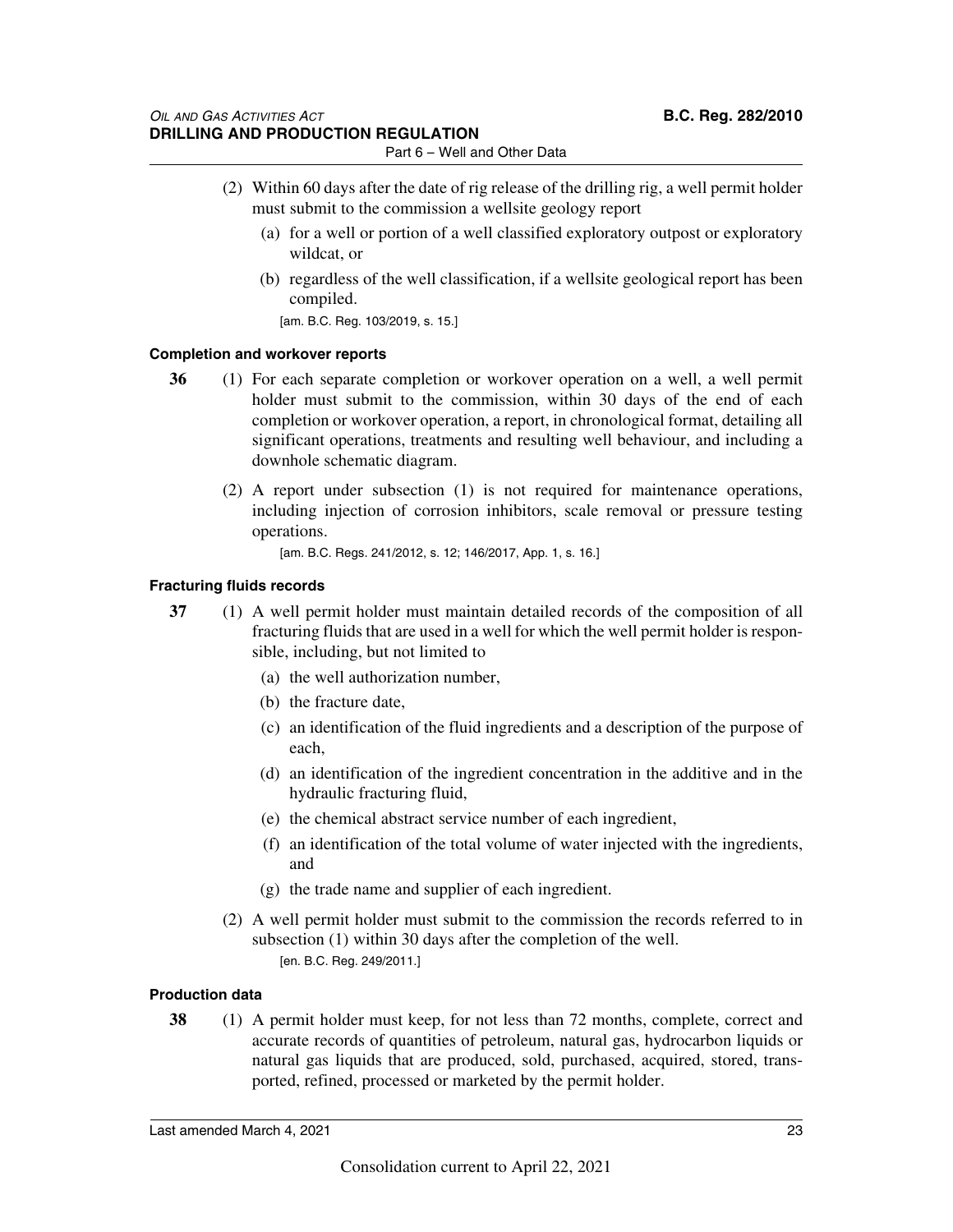- (2) Within 60 days after the date of rig release of the drilling rig, a well permit holder must submit to the commission a wellsite geology report
	- (a) for a well or portion of a well classified exploratory outpost or exploratory wildcat, or
	- (b) regardless of the well classification, if a wellsite geological report has been compiled.

[am. B.C. Reg. 103/2019, s. 15.]

### **Completion and workover reports**

- **36** (1) For each separate completion or workover operation on a well, a well permit holder must submit to the commission, within 30 days of the end of each completion or workover operation, a report, in chronological format, detailing all significant operations, treatments and resulting well behaviour, and including a downhole schematic diagram.
	- (2) A report under subsection (1) is not required for maintenance operations, including injection of corrosion inhibitors, scale removal or pressure testing operations.
		- [am. B.C. Regs. 241/2012, s. 12; 146/2017, App. 1, s. 16.]

### **Fracturing fluids records**

- **37** (1) A well permit holder must maintain detailed records of the composition of all fracturing fluids that are used in a well for which the well permit holder is responsible, including, but not limited to
	- (a) the well authorization number,
	- (b) the fracture date,
	- (c) an identification of the fluid ingredients and a description of the purpose of each,
	- (d) an identification of the ingredient concentration in the additive and in the hydraulic fracturing fluid,
	- (e) the chemical abstract service number of each ingredient,
	- (f) an identification of the total volume of water injected with the ingredients, and
	- (g) the trade name and supplier of each ingredient.
	- (2) A well permit holder must submit to the commission the records referred to in subsection (1) within 30 days after the completion of the well. [en. B.C. Reg. 249/2011.]

### **Production data**

**38** (1) A permit holder must keep, for not less than 72 months, complete, correct and accurate records of quantities of petroleum, natural gas, hydrocarbon liquids or natural gas liquids that are produced, sold, purchased, acquired, stored, transported, refined, processed or marketed by the permit holder.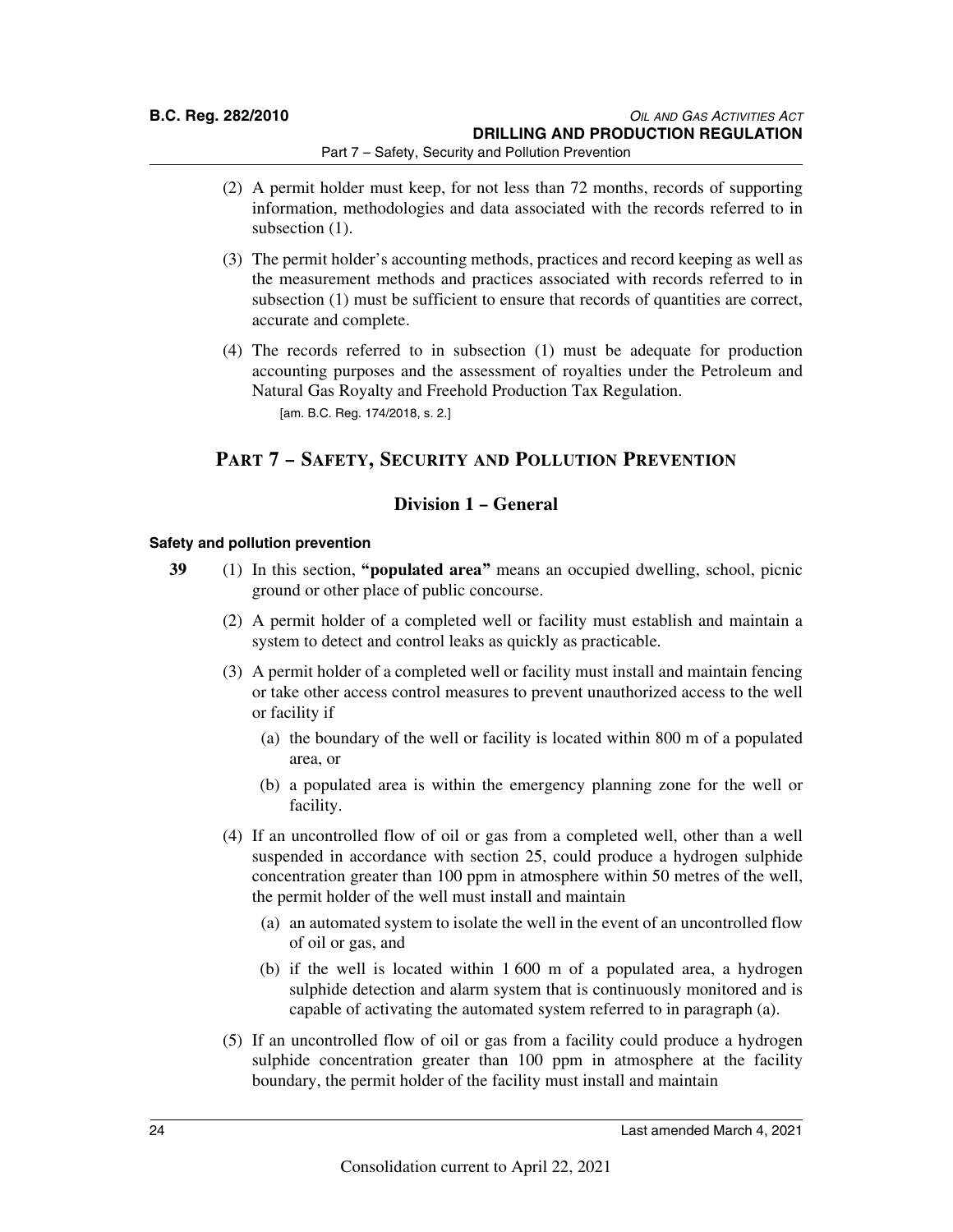- (2) A permit holder must keep, for not less than 72 months, records of supporting information, methodologies and data associated with the records referred to in subsection  $(1)$ .
- (3) The permit holder's accounting methods, practices and record keeping as well as the measurement methods and practices associated with records referred to in subsection (1) must be sufficient to ensure that records of quantities are correct, accurate and complete.
- (4) The records referred to in subsection (1) must be adequate for production accounting purposes and the assessment of royalties under the Petroleum and Natural Gas Royalty and Freehold Production Tax Regulation. [am. B.C. Reg. 174/2018, s. 2.]

### **PART 7 – SAFETY, SECURITY AND POLLUTION PREVENTION**

### **Division 1 – General**

### **Safety and pollution prevention**

- **39** (1) In this section, **"populated area"** means an occupied dwelling, school, picnic ground or other place of public concourse.
	- (2) A permit holder of a completed well or facility must establish and maintain a system to detect and control leaks as quickly as practicable.
	- (3) A permit holder of a completed well or facility must install and maintain fencing or take other access control measures to prevent unauthorized access to the well or facility if
		- (a) the boundary of the well or facility is located within 800 m of a populated area, or
		- (b) a populated area is within the emergency planning zone for the well or facility.
	- (4) If an uncontrolled flow of oil or gas from a completed well, other than a well suspended in accordance with section 25, could produce a hydrogen sulphide concentration greater than 100 ppm in atmosphere within 50 metres of the well, the permit holder of the well must install and maintain
		- (a) an automated system to isolate the well in the event of an uncontrolled flow of oil or gas, and
		- (b) if the well is located within 1 600 m of a populated area, a hydrogen sulphide detection and alarm system that is continuously monitored and is capable of activating the automated system referred to in paragraph (a).
	- (5) If an uncontrolled flow of oil or gas from a facility could produce a hydrogen sulphide concentration greater than 100 ppm in atmosphere at the facility boundary, the permit holder of the facility must install and maintain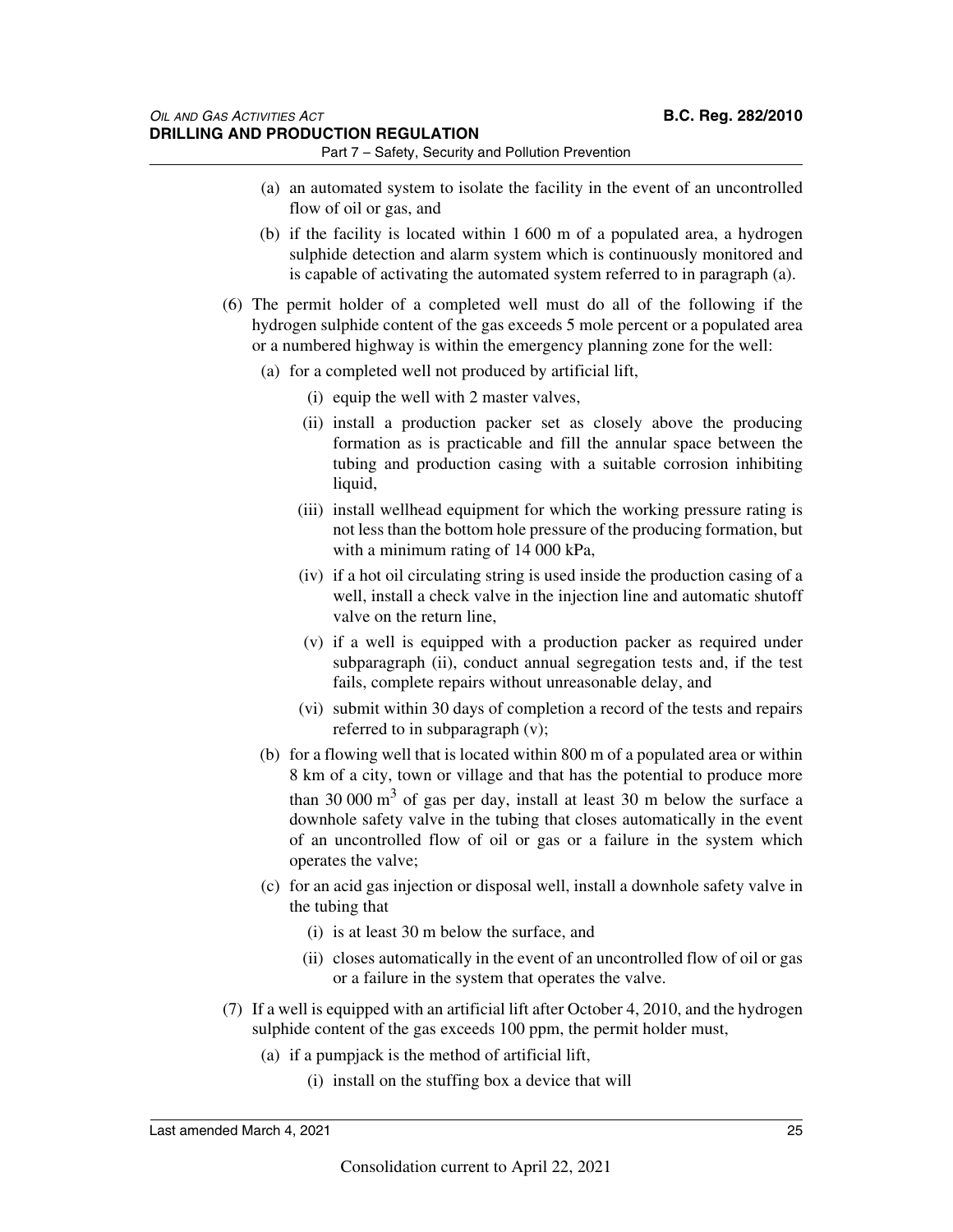- (a) an automated system to isolate the facility in the event of an uncontrolled flow of oil or gas, and
- (b) if the facility is located within 1 600 m of a populated area, a hydrogen sulphide detection and alarm system which is continuously monitored and is capable of activating the automated system referred to in paragraph (a).
- (6) The permit holder of a completed well must do all of the following if the hydrogen sulphide content of the gas exceeds 5 mole percent or a populated area or a numbered highway is within the emergency planning zone for the well:
	- (a) for a completed well not produced by artificial lift,
		- (i) equip the well with 2 master valves,
		- (ii) install a production packer set as closely above the producing formation as is practicable and fill the annular space between the tubing and production casing with a suitable corrosion inhibiting liquid,
		- (iii) install wellhead equipment for which the working pressure rating is not less than the bottom hole pressure of the producing formation, but with a minimum rating of 14 000 kPa,
		- (iv) if a hot oil circulating string is used inside the production casing of a well, install a check valve in the injection line and automatic shutoff valve on the return line,
		- (v) if a well is equipped with a production packer as required under subparagraph (ii), conduct annual segregation tests and, if the test fails, complete repairs without unreasonable delay, and
		- (vi) submit within 30 days of completion a record of the tests and repairs referred to in subparagraph (v);
	- (b) for a flowing well that is located within 800 m of a populated area or within 8 km of a city, town or village and that has the potential to produce more than 30 000  $\text{m}^3$  of gas per day, install at least 30 m below the surface a downhole safety valve in the tubing that closes automatically in the event of an uncontrolled flow of oil or gas or a failure in the system which operates the valve;
	- (c) for an acid gas injection or disposal well, install a downhole safety valve in the tubing that
		- (i) is at least 30 m below the surface, and
		- (ii) closes automatically in the event of an uncontrolled flow of oil or gas or a failure in the system that operates the valve.
- (7) If a well is equipped with an artificial lift after October 4, 2010, and the hydrogen sulphide content of the gas exceeds 100 ppm, the permit holder must,
	- (a) if a pumpjack is the method of artificial lift,
		- (i) install on the stuffing box a device that will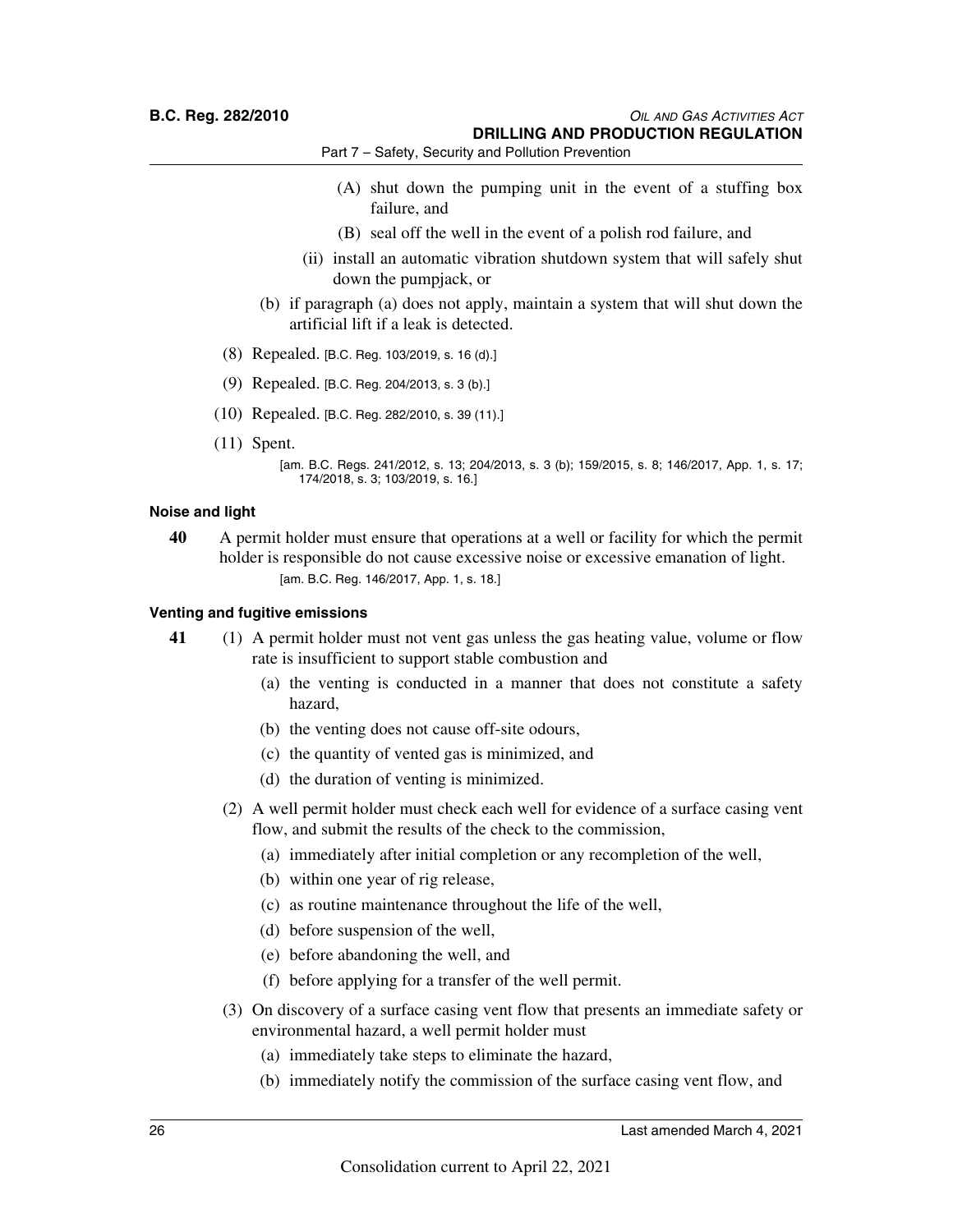- (A) shut down the pumping unit in the event of a stuffing box failure, and
- (B) seal off the well in the event of a polish rod failure, and
- (ii) install an automatic vibration shutdown system that will safely shut down the pumpjack, or
- (b) if paragraph (a) does not apply, maintain a system that will shut down the artificial lift if a leak is detected.
- (8) Repealed. [B.C. Reg. 103/2019, s. 16 (d).]
- (9) Repealed. [B.C. Reg. 204/2013, s. 3 (b).]
- (10) Repealed. [B.C. Reg. 282/2010, s. 39 (11).]
- (11) Spent.

### **Noise and light**

**40** A permit holder must ensure that operations at a well or facility for which the permit holder is responsible do not cause excessive noise or excessive emanation of light. [am. B.C. Reg. 146/2017, App. 1, s. 18.]

### **Venting and fugitive emissions**

- **41** (1) A permit holder must not vent gas unless the gas heating value, volume or flow rate is insufficient to support stable combustion and
	- (a) the venting is conducted in a manner that does not constitute a safety hazard,
	- (b) the venting does not cause off-site odours,
	- (c) the quantity of vented gas is minimized, and
	- (d) the duration of venting is minimized.
	- (2) A well permit holder must check each well for evidence of a surface casing vent flow, and submit the results of the check to the commission,
		- (a) immediately after initial completion or any recompletion of the well,
		- (b) within one year of rig release,
		- (c) as routine maintenance throughout the life of the well,
		- (d) before suspension of the well,
		- (e) before abandoning the well, and
		- (f) before applying for a transfer of the well permit.
	- (3) On discovery of a surface casing vent flow that presents an immediate safety or environmental hazard, a well permit holder must
		- (a) immediately take steps to eliminate the hazard,
		- (b) immediately notify the commission of the surface casing vent flow, and

<sup>[</sup>am. B.C. Regs. 241/2012, s. 13; 204/2013, s. 3 (b); 159/2015, s. 8; 146/2017, App. 1, s. 17; 174/2018, s. 3; 103/2019, s. 16.]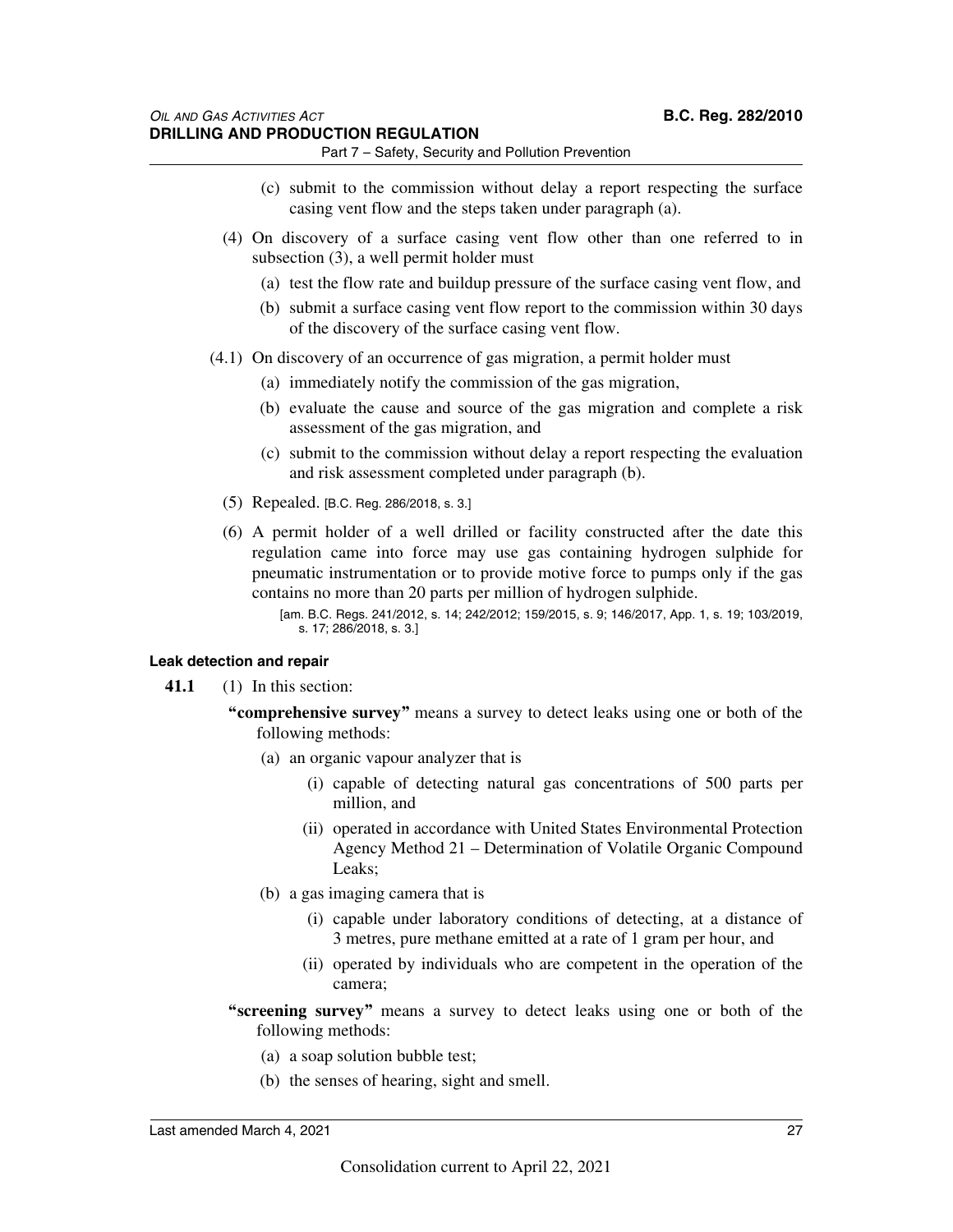- (c) submit to the commission without delay a report respecting the surface casing vent flow and the steps taken under paragraph (a).
- (4) On discovery of a surface casing vent flow other than one referred to in subsection (3), a well permit holder must
	- (a) test the flow rate and buildup pressure of the surface casing vent flow, and
	- (b) submit a surface casing vent flow report to the commission within 30 days of the discovery of the surface casing vent flow.
- (4.1) On discovery of an occurrence of gas migration, a permit holder must
	- (a) immediately notify the commission of the gas migration,
	- (b) evaluate the cause and source of the gas migration and complete a risk assessment of the gas migration, and
	- (c) submit to the commission without delay a report respecting the evaluation and risk assessment completed under paragraph (b).
	- (5) Repealed. [B.C. Reg. 286/2018, s. 3.]
	- (6) A permit holder of a well drilled or facility constructed after the date this regulation came into force may use gas containing hydrogen sulphide for pneumatic instrumentation or to provide motive force to pumps only if the gas contains no more than 20 parts per million of hydrogen sulphide.
		- [am. B.C. Regs. 241/2012, s. 14; 242/2012; 159/2015, s. 9; 146/2017, App. 1, s. 19; 103/2019, s. 17; 286/2018, s. 3.]

#### **Leak detection and repair**

- **41.1** (1) In this section:
	- **"comprehensive survey"** means a survey to detect leaks using one or both of the following methods:
		- (a) an organic vapour analyzer that is
			- (i) capable of detecting natural gas concentrations of 500 parts per million, and
			- (ii) operated in accordance with United States Environmental Protection Agency Method 21 – Determination of Volatile Organic Compound Leaks;
		- (b) a gas imaging camera that is
			- (i) capable under laboratory conditions of detecting, at a distance of 3 metres, pure methane emitted at a rate of 1 gram per hour, and
			- (ii) operated by individuals who are competent in the operation of the camera;
	- **"screening survey"** means a survey to detect leaks using one or both of the following methods:
		- (a) a soap solution bubble test;
		- (b) the senses of hearing, sight and smell.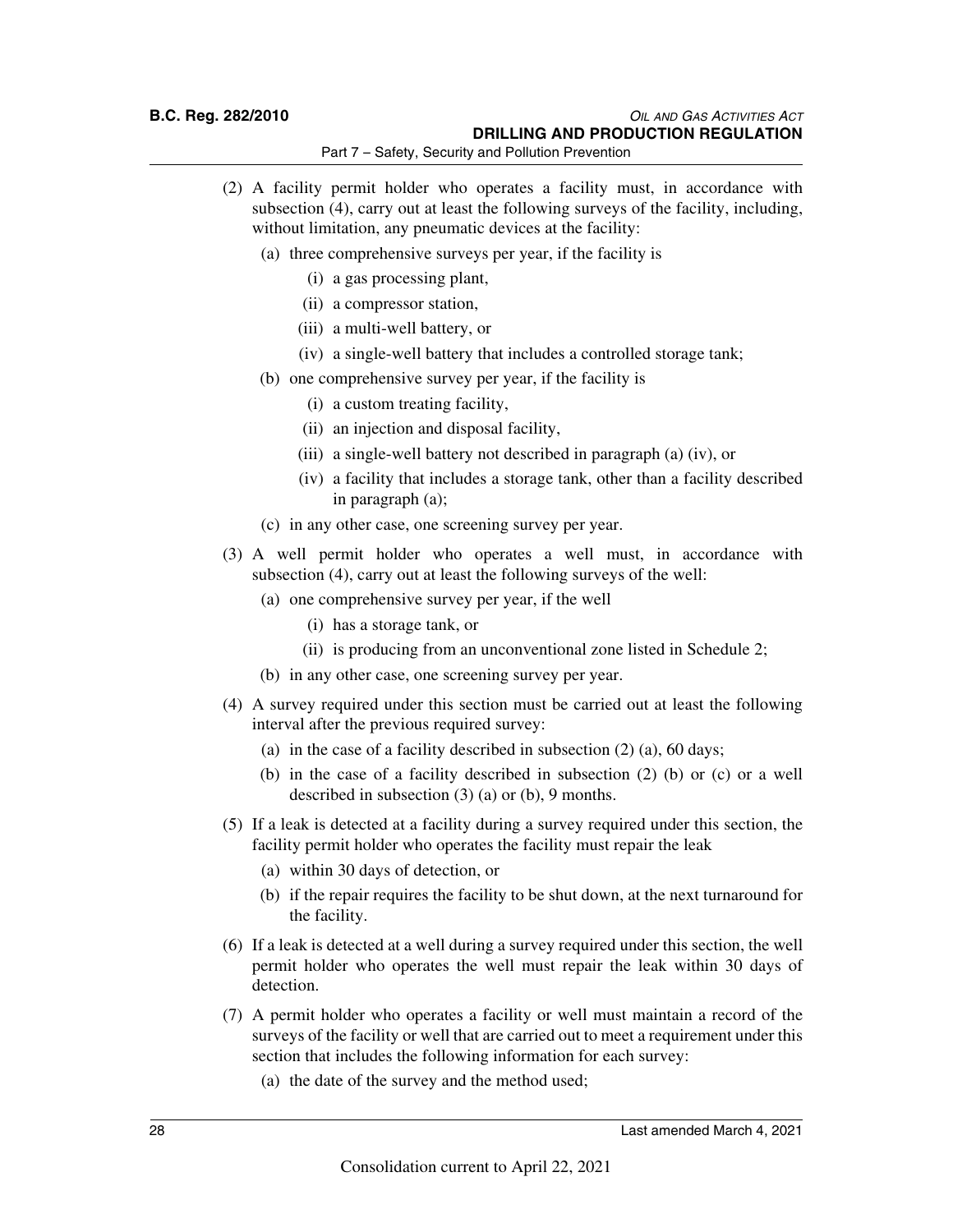### **B.C. Reg. 282/2010** *OIL AND GAS ACTIVITIES ACT* **DRILLING AND PRODUCTION REGULATION**

Part 7 – Safety, Security and Pollution Prevention

- (2) A facility permit holder who operates a facility must, in accordance with subsection (4), carry out at least the following surveys of the facility, including, without limitation, any pneumatic devices at the facility:
	- (a) three comprehensive surveys per year, if the facility is
		- (i) a gas processing plant,
		- (ii) a compressor station,
		- (iii) a multi-well battery, or
		- (iv) a single-well battery that includes a controlled storage tank;
	- (b) one comprehensive survey per year, if the facility is
		- (i) a custom treating facility,
		- (ii) an injection and disposal facility,
		- (iii) a single-well battery not described in paragraph (a) (iv), or
		- (iv) a facility that includes a storage tank, other than a facility described in paragraph (a);
	- (c) in any other case, one screening survey per year.
- (3) A well permit holder who operates a well must, in accordance with subsection (4), carry out at least the following surveys of the well:
	- (a) one comprehensive survey per year, if the well
		- (i) has a storage tank, or
		- (ii) is producing from an unconventional zone listed in Schedule 2;
	- (b) in any other case, one screening survey per year.
- (4) A survey required under this section must be carried out at least the following interval after the previous required survey:
	- (a) in the case of a facility described in subsection (2) (a), 60 days;
	- (b) in the case of a facility described in subsection (2) (b) or (c) or a well described in subsection (3) (a) or (b), 9 months.
- (5) If a leak is detected at a facility during a survey required under this section, the facility permit holder who operates the facility must repair the leak
	- (a) within 30 days of detection, or
	- (b) if the repair requires the facility to be shut down, at the next turnaround for the facility.
- (6) If a leak is detected at a well during a survey required under this section, the well permit holder who operates the well must repair the leak within 30 days of detection.
- (7) A permit holder who operates a facility or well must maintain a record of the surveys of the facility or well that are carried out to meet a requirement under this section that includes the following information for each survey:
	- (a) the date of the survey and the method used;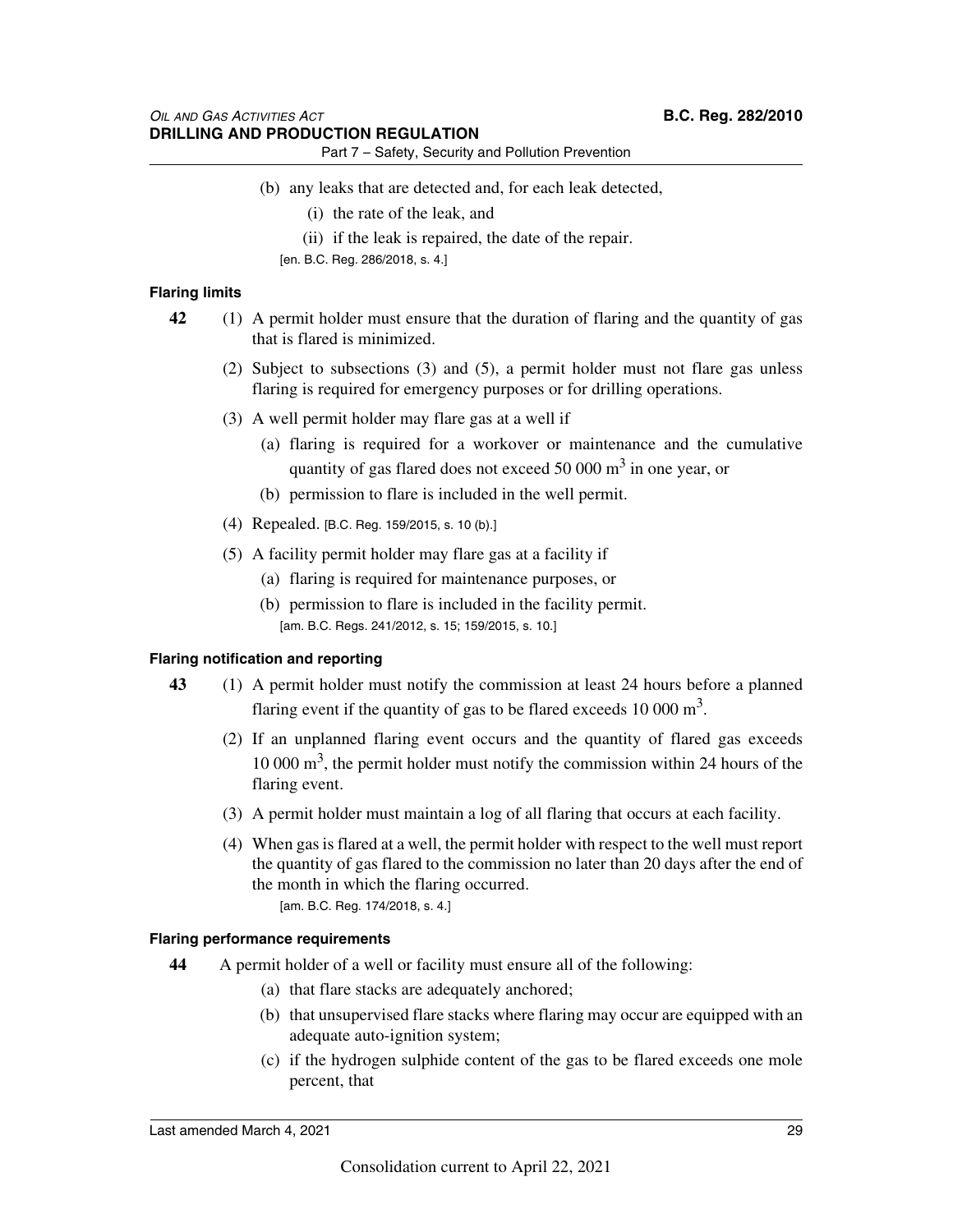- (b) any leaks that are detected and, for each leak detected,
	- (i) the rate of the leak, and
	- (ii) if the leak is repaired, the date of the repair.
	- [en. B.C. Reg. 286/2018, s. 4.]

### **Flaring limits**

- **42** (1) A permit holder must ensure that the duration of flaring and the quantity of gas that is flared is minimized.
	- (2) Subject to subsections (3) and (5), a permit holder must not flare gas unless flaring is required for emergency purposes or for drilling operations.
	- (3) A well permit holder may flare gas at a well if
		- (a) flaring is required for a workover or maintenance and the cumulative quantity of gas flared does not exceed 50 000  $\text{m}^3$  in one year, or
		- (b) permission to flare is included in the well permit.
	- (4) Repealed. [B.C. Reg. 159/2015, s. 10 (b).]
	- (5) A facility permit holder may flare gas at a facility if
		- (a) flaring is required for maintenance purposes, or
		- (b) permission to flare is included in the facility permit. [am. B.C. Regs. 241/2012, s. 15; 159/2015, s. 10.]

### **Flaring notification and reporting**

- **43** (1) A permit holder must notify the commission at least 24 hours before a planned flaring event if the quantity of gas to be flared exceeds  $10\,000\,\mathrm{m}^3$ .
	- (2) If an unplanned flaring event occurs and the quantity of flared gas exceeds  $10\,000\,\mathrm{m}^3$ , the permit holder must notify the commission within 24 hours of the flaring event.
	- (3) A permit holder must maintain a log of all flaring that occurs at each facility.
	- (4) When gas is flared at a well, the permit holder with respect to the well must report the quantity of gas flared to the commission no later than 20 days after the end of the month in which the flaring occurred. [am. B.C. Reg. 174/2018, s. 4.]

### **Flaring performance requirements**

- **44** A permit holder of a well or facility must ensure all of the following:
	- (a) that flare stacks are adequately anchored;
	- (b) that unsupervised flare stacks where flaring may occur are equipped with an adequate auto-ignition system;
	- (c) if the hydrogen sulphide content of the gas to be flared exceeds one mole percent, that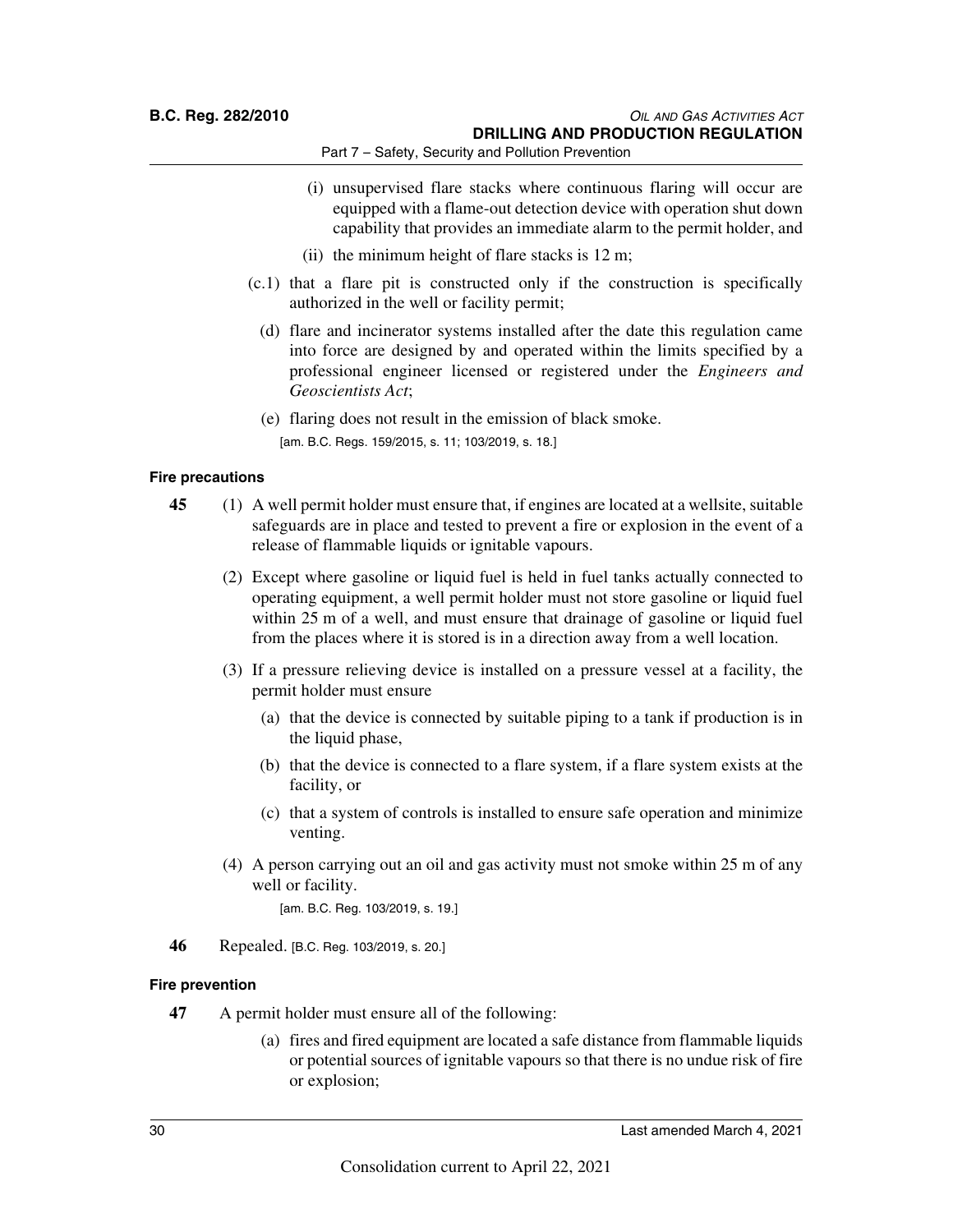- (i) unsupervised flare stacks where continuous flaring will occur are equipped with a flame-out detection device with operation shut down capability that provides an immediate alarm to the permit holder, and
- (ii) the minimum height of flare stacks is 12 m;
- (c.1) that a flare pit is constructed only if the construction is specifically authorized in the well or facility permit;
	- (d) flare and incinerator systems installed after the date this regulation came into force are designed by and operated within the limits specified by a professional engineer licensed or registered under the *Engineers and Geoscientists Act*;
	- (e) flaring does not result in the emission of black smoke.

[am. B.C. Regs. 159/2015, s. 11; 103/2019, s. 18.]

### **Fire precautions**

- **45** (1) A well permit holder must ensure that, if engines are located at a wellsite, suitable safeguards are in place and tested to prevent a fire or explosion in the event of a release of flammable liquids or ignitable vapours.
	- (2) Except where gasoline or liquid fuel is held in fuel tanks actually connected to operating equipment, a well permit holder must not store gasoline or liquid fuel within 25 m of a well, and must ensure that drainage of gasoline or liquid fuel from the places where it is stored is in a direction away from a well location.
	- (3) If a pressure relieving device is installed on a pressure vessel at a facility, the permit holder must ensure
		- (a) that the device is connected by suitable piping to a tank if production is in the liquid phase,
		- (b) that the device is connected to a flare system, if a flare system exists at the facility, or
		- (c) that a system of controls is installed to ensure safe operation and minimize venting.
	- (4) A person carrying out an oil and gas activity must not smoke within 25 m of any well or facility.

[am. B.C. Reg. 103/2019, s. 19.]

**46** Repealed. [B.C. Reg. 103/2019, s. 20.]

### **Fire prevention**

**47** A permit holder must ensure all of the following:

(a) fires and fired equipment are located a safe distance from flammable liquids or potential sources of ignitable vapours so that there is no undue risk of fire or explosion;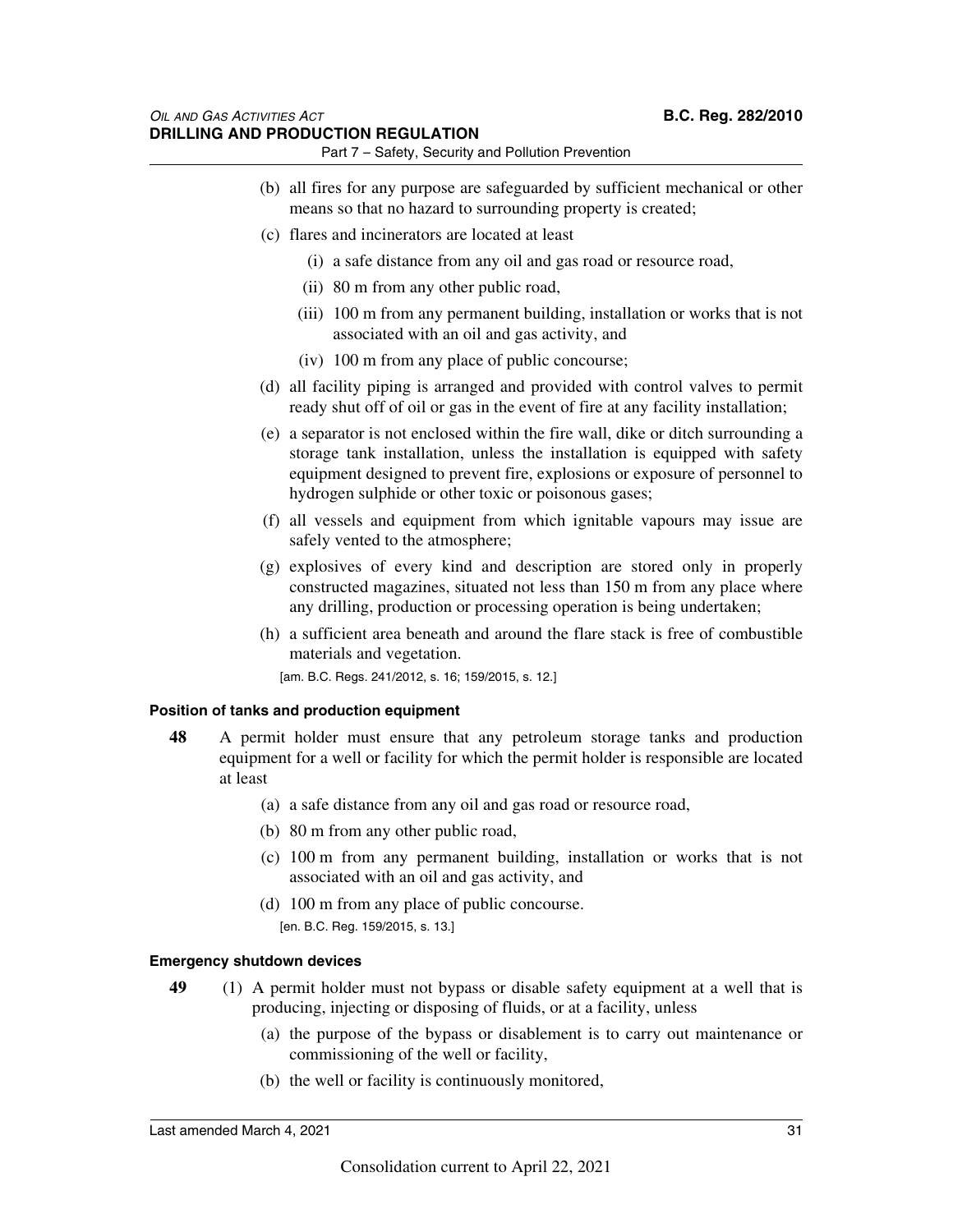### *OIL AND GAS ACTIVITIES ACT* **B.C. Reg. 282/2010 DRILLING AND PRODUCTION REGULATION**

Part 7 – Safety, Security and Pollution Prevention

- (b) all fires for any purpose are safeguarded by sufficient mechanical or other means so that no hazard to surrounding property is created;
- (c) flares and incinerators are located at least
	- (i) a safe distance from any oil and gas road or resource road,
	- (ii) 80 m from any other public road,
	- (iii) 100 m from any permanent building, installation or works that is not associated with an oil and gas activity, and
	- (iv) 100 m from any place of public concourse;
- (d) all facility piping is arranged and provided with control valves to permit ready shut off of oil or gas in the event of fire at any facility installation;
- (e) a separator is not enclosed within the fire wall, dike or ditch surrounding a storage tank installation, unless the installation is equipped with safety equipment designed to prevent fire, explosions or exposure of personnel to hydrogen sulphide or other toxic or poisonous gases;
- (f) all vessels and equipment from which ignitable vapours may issue are safely vented to the atmosphere;
- (g) explosives of every kind and description are stored only in properly constructed magazines, situated not less than 150 m from any place where any drilling, production or processing operation is being undertaken;
- (h) a sufficient area beneath and around the flare stack is free of combustible materials and vegetation.

[am. B.C. Regs. 241/2012, s. 16; 159/2015, s. 12.]

#### **Position of tanks and production equipment**

- **48** A permit holder must ensure that any petroleum storage tanks and production equipment for a well or facility for which the permit holder is responsible are located at least
	- (a) a safe distance from any oil and gas road or resource road,
	- (b) 80 m from any other public road,
	- (c) 100 m from any permanent building, installation or works that is not associated with an oil and gas activity, and
	- (d) 100 m from any place of public concourse. [en. B.C. Reg. 159/2015, s. 13.]

### **Emergency shutdown devices**

- **49** (1) A permit holder must not bypass or disable safety equipment at a well that is producing, injecting or disposing of fluids, or at a facility, unless
	- (a) the purpose of the bypass or disablement is to carry out maintenance or commissioning of the well or facility,
	- (b) the well or facility is continuously monitored,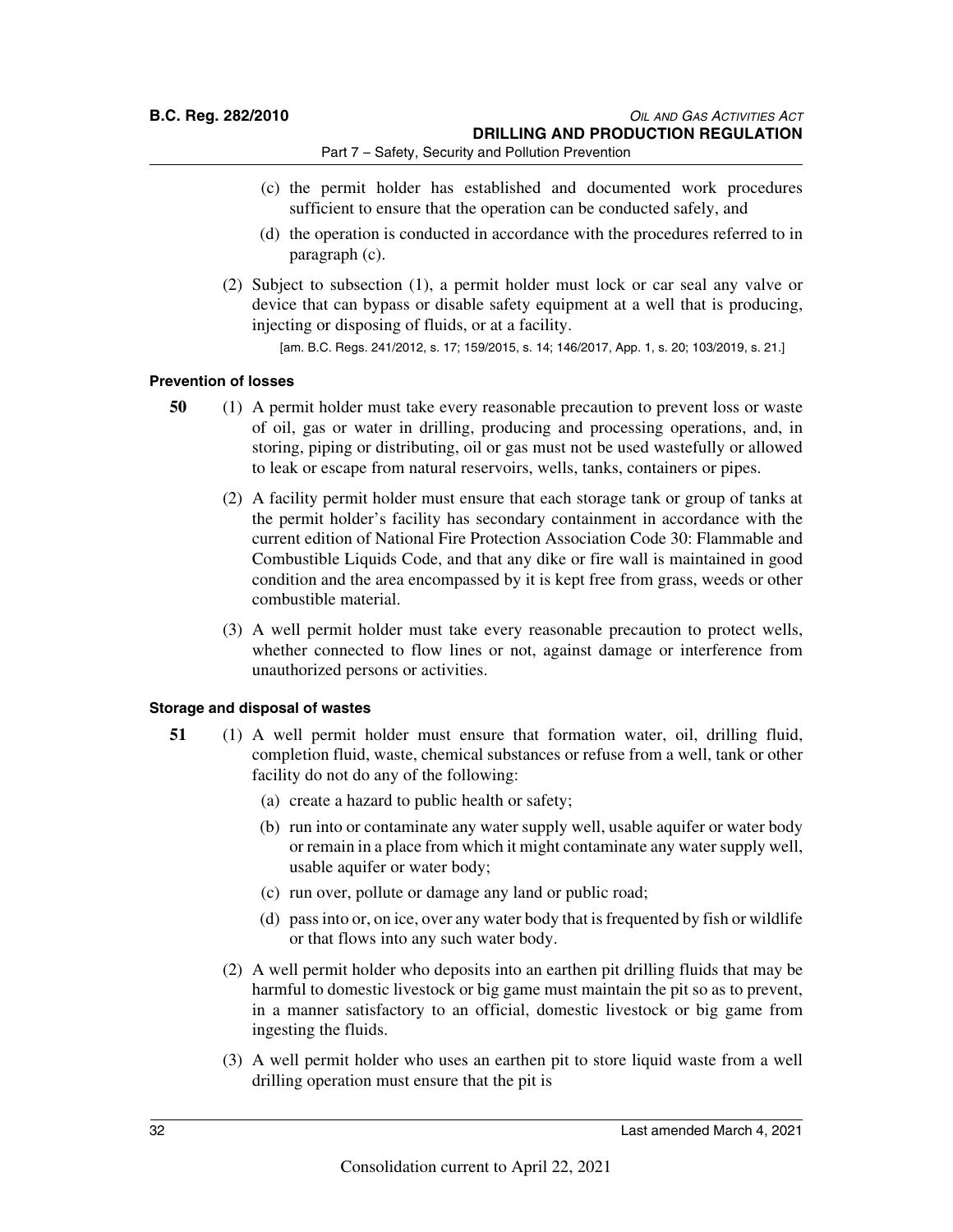- (c) the permit holder has established and documented work procedures sufficient to ensure that the operation can be conducted safely, and
- (d) the operation is conducted in accordance with the procedures referred to in paragraph (c).
- (2) Subject to subsection (1), a permit holder must lock or car seal any valve or device that can bypass or disable safety equipment at a well that is producing, injecting or disposing of fluids, or at a facility.

[am. B.C. Regs. 241/2012, s. 17; 159/2015, s. 14; 146/2017, App. 1, s. 20; 103/2019, s. 21.]

### **Prevention of losses**

- **50** (1) A permit holder must take every reasonable precaution to prevent loss or waste of oil, gas or water in drilling, producing and processing operations, and, in storing, piping or distributing, oil or gas must not be used wastefully or allowed to leak or escape from natural reservoirs, wells, tanks, containers or pipes.
	- (2) A facility permit holder must ensure that each storage tank or group of tanks at the permit holder's facility has secondary containment in accordance with the current edition of National Fire Protection Association Code 30: Flammable and Combustible Liquids Code, and that any dike or fire wall is maintained in good condition and the area encompassed by it is kept free from grass, weeds or other combustible material.
	- (3) A well permit holder must take every reasonable precaution to protect wells, whether connected to flow lines or not, against damage or interference from unauthorized persons or activities.

### **Storage and disposal of wastes**

- **51** (1) A well permit holder must ensure that formation water, oil, drilling fluid, completion fluid, waste, chemical substances or refuse from a well, tank or other facility do not do any of the following:
	- (a) create a hazard to public health or safety;
	- (b) run into or contaminate any water supply well, usable aquifer or water body or remain in a place from which it might contaminate any water supply well, usable aquifer or water body;
	- (c) run over, pollute or damage any land or public road;
	- (d) pass into or, on ice, over any water body that is frequented by fish or wildlife or that flows into any such water body.
	- (2) A well permit holder who deposits into an earthen pit drilling fluids that may be harmful to domestic livestock or big game must maintain the pit so as to prevent, in a manner satisfactory to an official, domestic livestock or big game from ingesting the fluids.
	- (3) A well permit holder who uses an earthen pit to store liquid waste from a well drilling operation must ensure that the pit is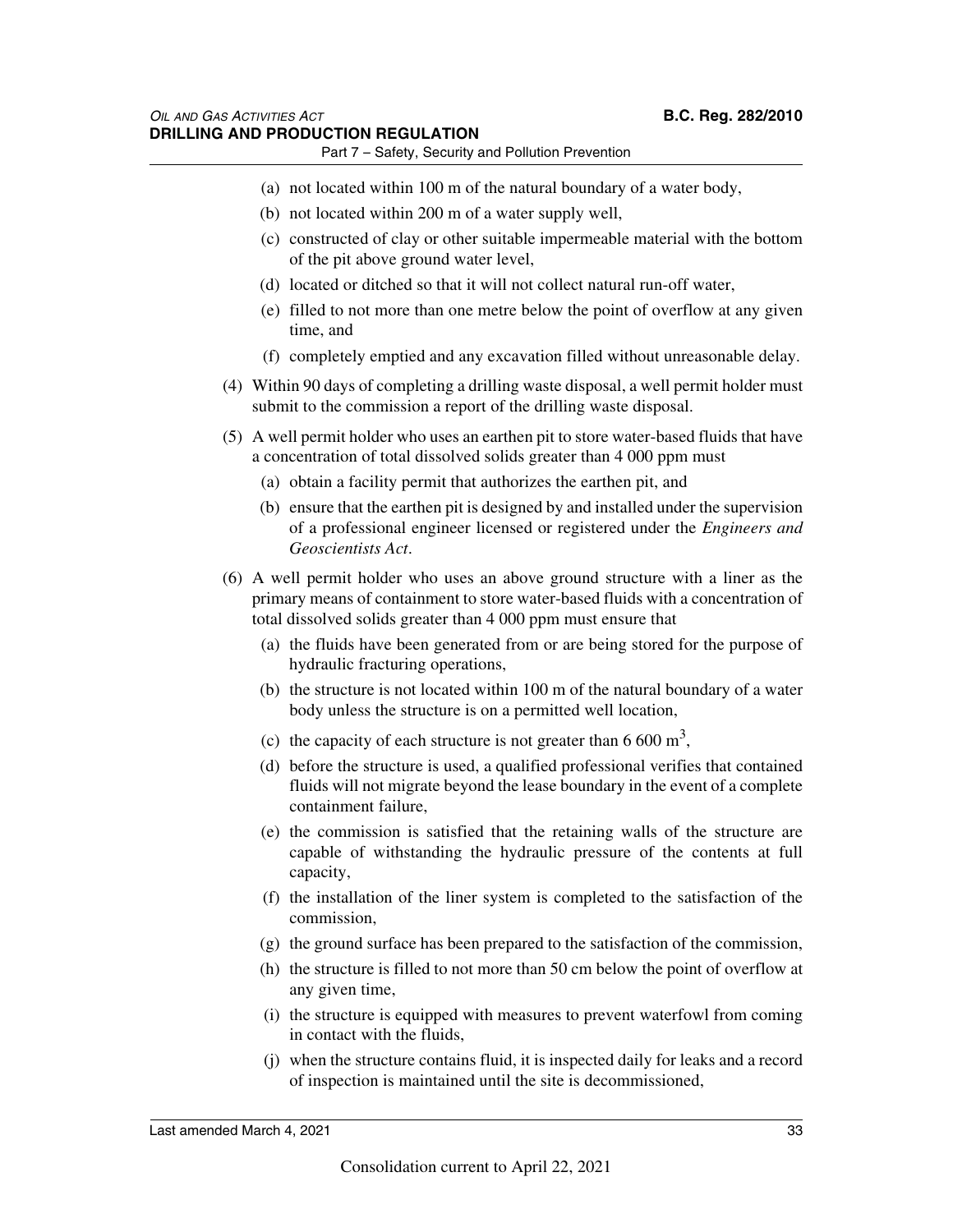- (a) not located within 100 m of the natural boundary of a water body,
- (b) not located within 200 m of a water supply well,
- (c) constructed of clay or other suitable impermeable material with the bottom of the pit above ground water level,
- (d) located or ditched so that it will not collect natural run-off water,
- (e) filled to not more than one metre below the point of overflow at any given time, and
- (f) completely emptied and any excavation filled without unreasonable delay.
- (4) Within 90 days of completing a drilling waste disposal, a well permit holder must submit to the commission a report of the drilling waste disposal.
- (5) A well permit holder who uses an earthen pit to store water-based fluids that have a concentration of total dissolved solids greater than 4 000 ppm must
	- (a) obtain a facility permit that authorizes the earthen pit, and
	- (b) ensure that the earthen pit is designed by and installed under the supervision of a professional engineer licensed or registered under the *Engineers and Geoscientists Act*.
- (6) A well permit holder who uses an above ground structure with a liner as the primary means of containment to store water-based fluids with a concentration of total dissolved solids greater than 4 000 ppm must ensure that
	- (a) the fluids have been generated from or are being stored for the purpose of hydraulic fracturing operations,
	- (b) the structure is not located within 100 m of the natural boundary of a water body unless the structure is on a permitted well location,
	- (c) the capacity of each structure is not greater than 6 600  $m<sup>3</sup>$ ,
	- (d) before the structure is used, a qualified professional verifies that contained fluids will not migrate beyond the lease boundary in the event of a complete containment failure,
	- (e) the commission is satisfied that the retaining walls of the structure are capable of withstanding the hydraulic pressure of the contents at full capacity,
	- (f) the installation of the liner system is completed to the satisfaction of the commission,
	- (g) the ground surface has been prepared to the satisfaction of the commission,
	- (h) the structure is filled to not more than 50 cm below the point of overflow at any given time,
	- (i) the structure is equipped with measures to prevent waterfowl from coming in contact with the fluids,
	- (j) when the structure contains fluid, it is inspected daily for leaks and a record of inspection is maintained until the site is decommissioned,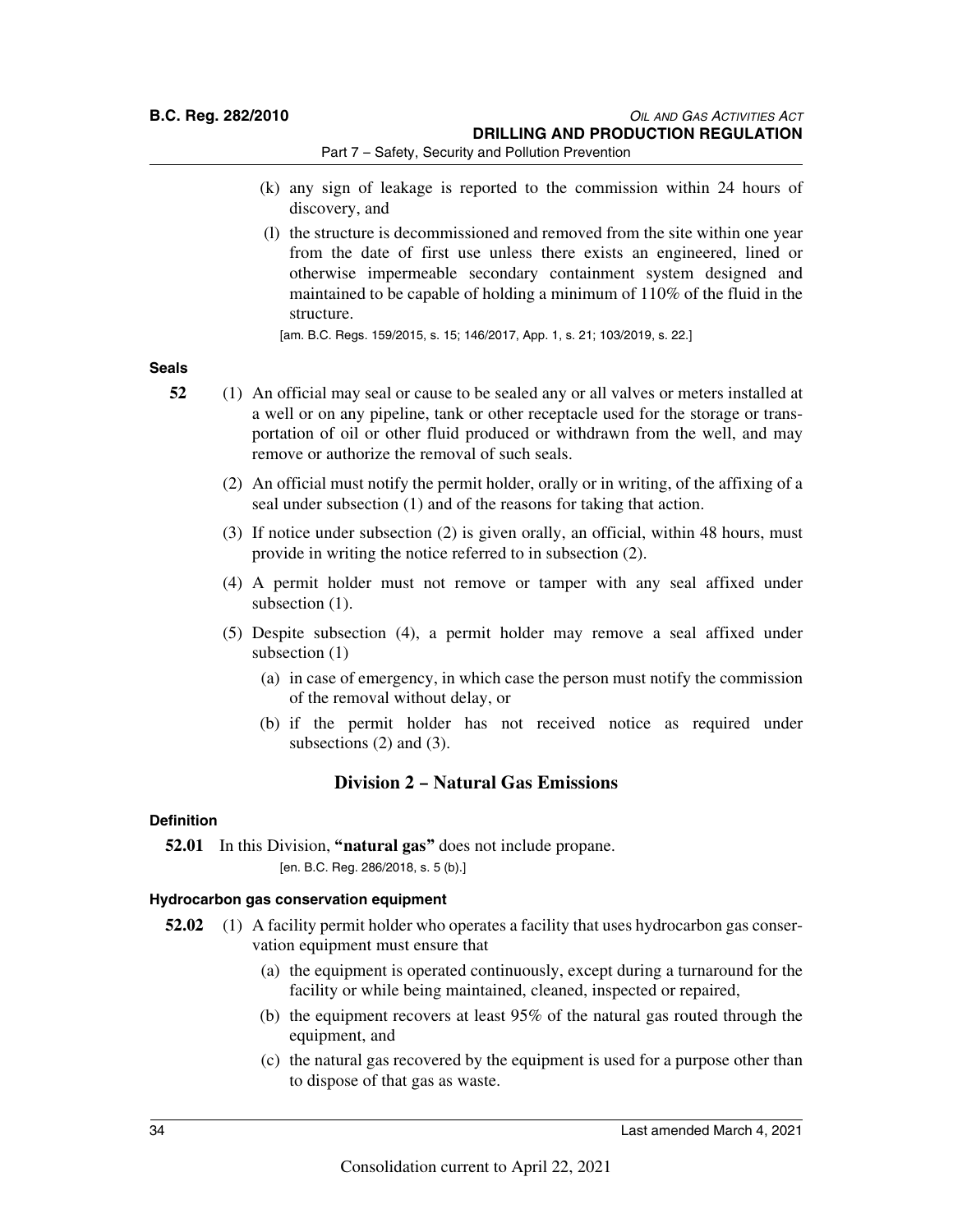**B.C. Reg. 282/2010** *OIL AND GAS ACTIVITIES ACT* **DRILLING AND PRODUCTION REGULATION**

Part 7 – Safety, Security and Pollution Prevention

- (k) any sign of leakage is reported to the commission within 24 hours of discovery, and
- (l) the structure is decommissioned and removed from the site within one year from the date of first use unless there exists an engineered, lined or otherwise impermeable secondary containment system designed and maintained to be capable of holding a minimum of 110% of the fluid in the structure.

[am. B.C. Regs. 159/2015, s. 15; 146/2017, App. 1, s. 21; 103/2019, s. 22.]

### **Seals**

- **52** (1) An official may seal or cause to be sealed any or all valves or meters installed at a well or on any pipeline, tank or other receptacle used for the storage or transportation of oil or other fluid produced or withdrawn from the well, and may remove or authorize the removal of such seals.
	- (2) An official must notify the permit holder, orally or in writing, of the affixing of a seal under subsection (1) and of the reasons for taking that action.
	- (3) If notice under subsection (2) is given orally, an official, within 48 hours, must provide in writing the notice referred to in subsection (2).
	- (4) A permit holder must not remove or tamper with any seal affixed under subsection  $(1)$ .
	- (5) Despite subsection (4), a permit holder may remove a seal affixed under subsection (1)
		- (a) in case of emergency, in which case the person must notify the commission of the removal without delay, or
		- (b) if the permit holder has not received notice as required under subsections (2) and (3).

### **Division 2 – Natural Gas Emissions**

### **Definition**

**52.01** In this Division, **"natural gas"** does not include propane. [en. B.C. Reg. 286/2018, s. 5 (b).]

### **Hydrocarbon gas conservation equipment**

- **52.02** (1) A facility permit holder who operates a facility that uses hydrocarbon gas conservation equipment must ensure that
	- (a) the equipment is operated continuously, except during a turnaround for the facility or while being maintained, cleaned, inspected or repaired,
	- (b) the equipment recovers at least 95% of the natural gas routed through the equipment, and
	- (c) the natural gas recovered by the equipment is used for a purpose other than to dispose of that gas as waste.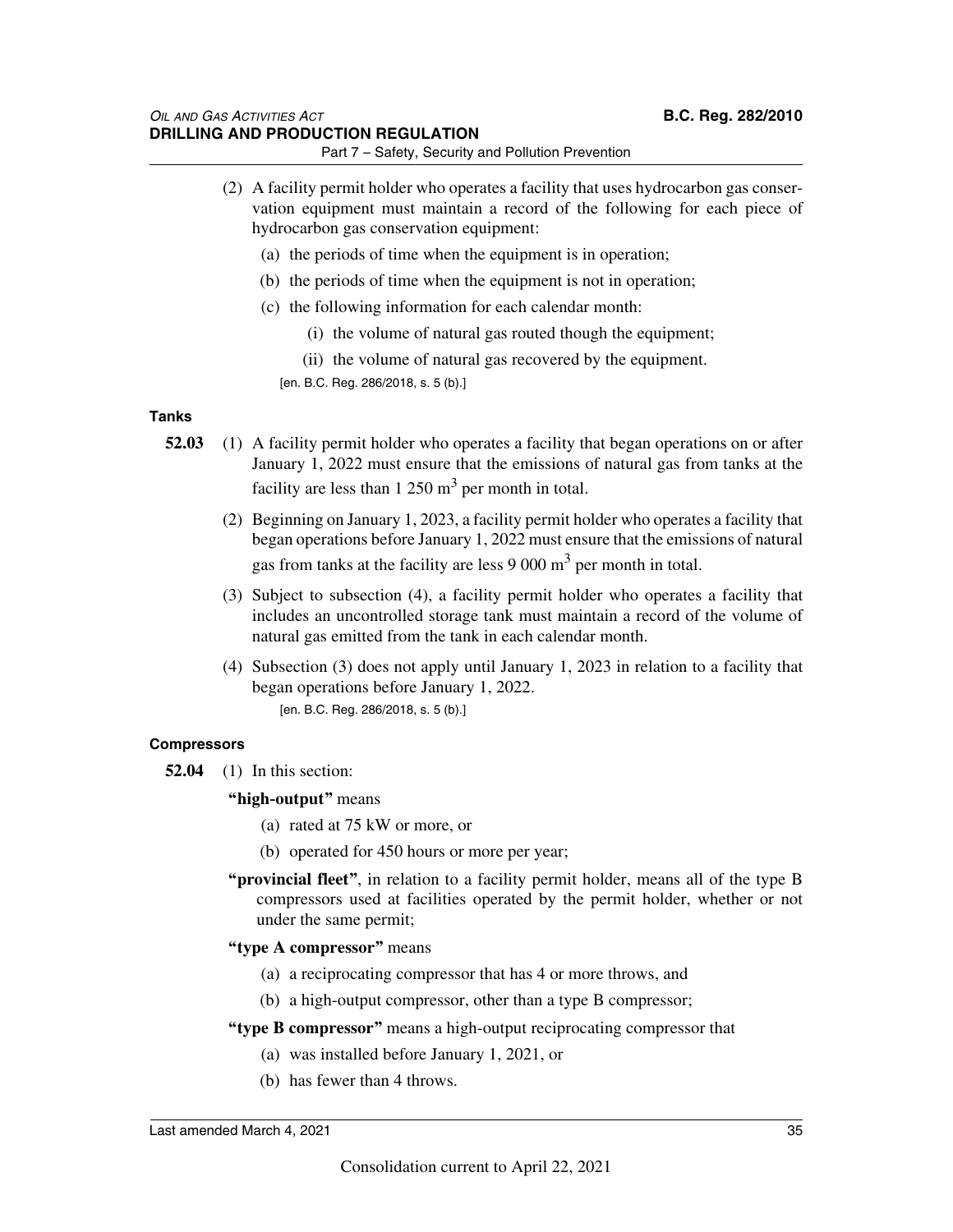- (2) A facility permit holder who operates a facility that uses hydrocarbon gas conservation equipment must maintain a record of the following for each piece of hydrocarbon gas conservation equipment:
	- (a) the periods of time when the equipment is in operation;
	- (b) the periods of time when the equipment is not in operation;
	- (c) the following information for each calendar month:
		- (i) the volume of natural gas routed though the equipment;
		- (ii) the volume of natural gas recovered by the equipment.
		- [en. B.C. Reg. 286/2018, s. 5 (b).]

### **Tanks**

- **52.03** (1) A facility permit holder who operates a facility that began operations on or after January 1, 2022 must ensure that the emissions of natural gas from tanks at the facility are less than  $1250 \text{ m}^3$  per month in total.
	- (2) Beginning on January 1, 2023, a facility permit holder who operates a facility that began operations before January 1, 2022 must ensure that the emissions of natural gas from tanks at the facility are less  $9000 \text{ m}^3$  per month in total.
	- (3) Subject to subsection (4), a facility permit holder who operates a facility that includes an uncontrolled storage tank must maintain a record of the volume of natural gas emitted from the tank in each calendar month.
	- (4) Subsection (3) does not apply until January 1, 2023 in relation to a facility that began operations before January 1, 2022. [en. B.C. Reg. 286/2018, s. 5 (b).]

### **Compressors**

- **52.04** (1) In this section:
	- **"high-output"** means
		- (a) rated at 75 kW or more, or
		- (b) operated for 450 hours or more per year;
	- **"provincial fleet"**, in relation to a facility permit holder, means all of the type B compressors used at facilities operated by the permit holder, whether or not under the same permit;
	- **"type A compressor"** means
		- (a) a reciprocating compressor that has 4 or more throws, and
		- (b) a high-output compressor, other than a type B compressor;
	- **"type B compressor"** means a high-output reciprocating compressor that
		- (a) was installed before January 1, 2021, or
		- (b) has fewer than 4 throws.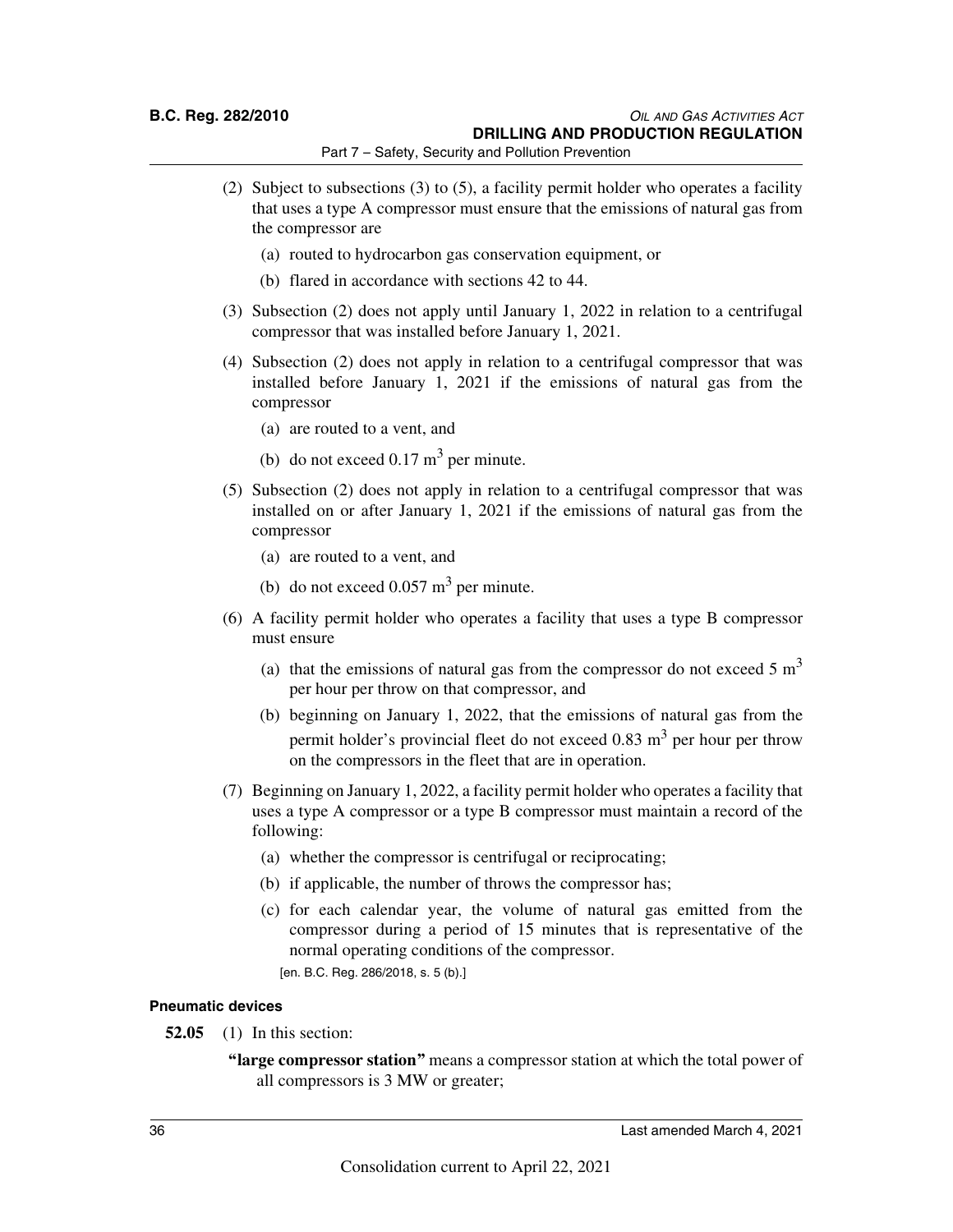- (2) Subject to subsections (3) to (5), a facility permit holder who operates a facility that uses a type A compressor must ensure that the emissions of natural gas from the compressor are
	- (a) routed to hydrocarbon gas conservation equipment, or
	- (b) flared in accordance with sections 42 to 44.
- (3) Subsection (2) does not apply until January 1, 2022 in relation to a centrifugal compressor that was installed before January 1, 2021.
- (4) Subsection (2) does not apply in relation to a centrifugal compressor that was installed before January 1, 2021 if the emissions of natural gas from the compressor
	- (a) are routed to a vent, and
	- (b) do not exceed  $0.17 \text{ m}^3$  per minute.
- (5) Subsection (2) does not apply in relation to a centrifugal compressor that was installed on or after January 1, 2021 if the emissions of natural gas from the compressor
	- (a) are routed to a vent, and
	- (b) do not exceed  $0.057 \text{ m}^3$  per minute.
- (6) A facility permit holder who operates a facility that uses a type B compressor must ensure
	- (a) that the emissions of natural gas from the compressor do not exceed  $5 \text{ m}^3$ per hour per throw on that compressor, and
	- (b) beginning on January 1, 2022, that the emissions of natural gas from the permit holder's provincial fleet do not exceed  $0.83 \text{ m}^3$  per hour per throw on the compressors in the fleet that are in operation.
- (7) Beginning on January 1, 2022, a facility permit holder who operates a facility that uses a type A compressor or a type B compressor must maintain a record of the following:
	- (a) whether the compressor is centrifugal or reciprocating;
	- (b) if applicable, the number of throws the compressor has;
	- (c) for each calendar year, the volume of natural gas emitted from the compressor during a period of 15 minutes that is representative of the normal operating conditions of the compressor.
		- [en. B.C. Reg. 286/2018, s. 5 (b).]

#### **Pneumatic devices**

- **52.05** (1) In this section:
	- **"large compressor station"** means a compressor station at which the total power of all compressors is 3 MW or greater;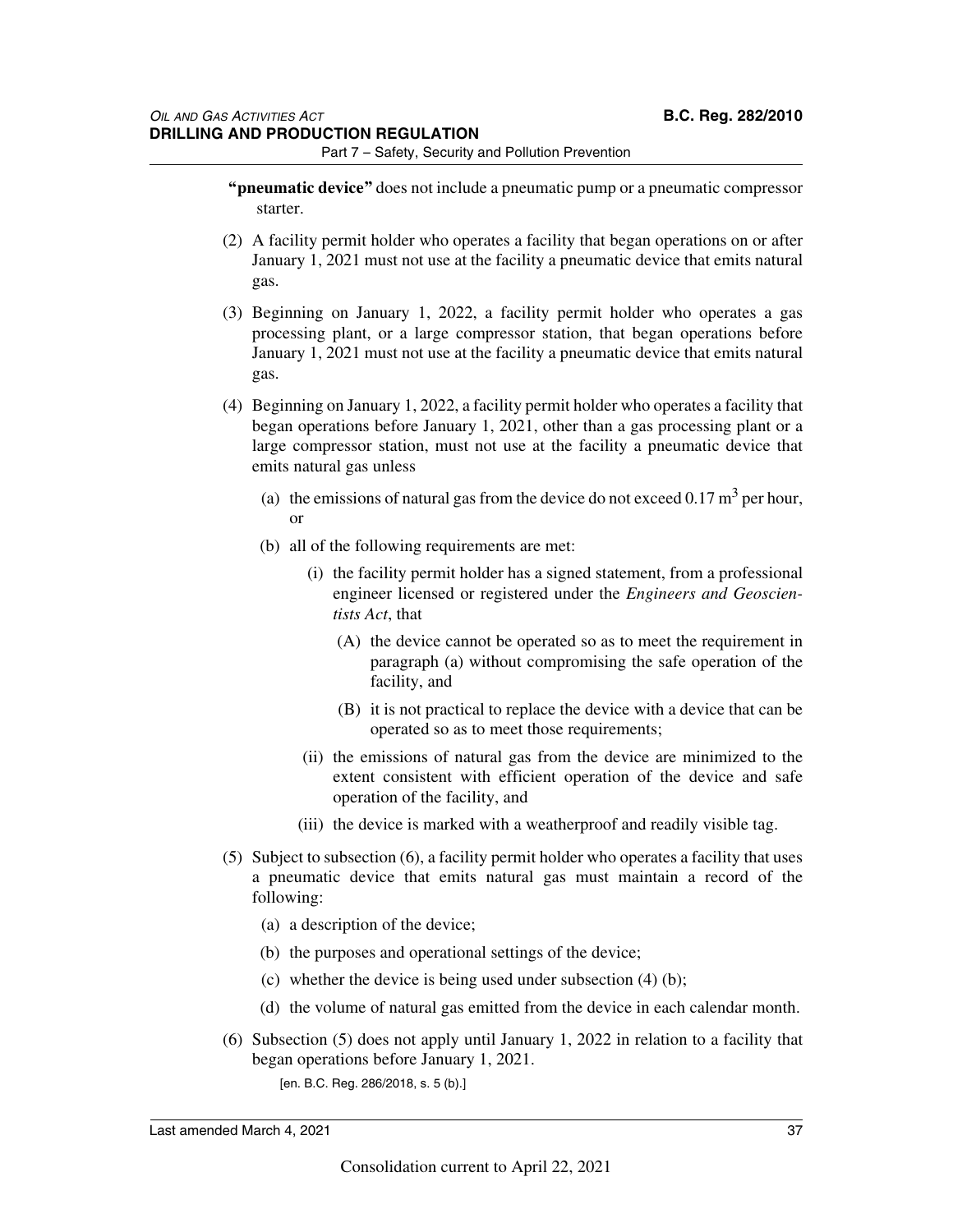- **"pneumatic device"** does not include a pneumatic pump or a pneumatic compressor starter.
- (2) A facility permit holder who operates a facility that began operations on or after January 1, 2021 must not use at the facility a pneumatic device that emits natural gas.
- (3) Beginning on January 1, 2022, a facility permit holder who operates a gas processing plant, or a large compressor station, that began operations before January 1, 2021 must not use at the facility a pneumatic device that emits natural gas.
- (4) Beginning on January 1, 2022, a facility permit holder who operates a facility that began operations before January 1, 2021, other than a gas processing plant or a large compressor station, must not use at the facility a pneumatic device that emits natural gas unless
	- (a) the emissions of natural gas from the device do not exceed  $0.17 \text{ m}^3$  per hour, or
	- (b) all of the following requirements are met:
		- (i) the facility permit holder has a signed statement, from a professional engineer licensed or registered under the *Engineers and Geoscientists Act*, that
			- (A) the device cannot be operated so as to meet the requirement in paragraph (a) without compromising the safe operation of the facility, and
			- (B) it is not practical to replace the device with a device that can be operated so as to meet those requirements;
		- (ii) the emissions of natural gas from the device are minimized to the extent consistent with efficient operation of the device and safe operation of the facility, and
		- (iii) the device is marked with a weatherproof and readily visible tag.
- (5) Subject to subsection (6), a facility permit holder who operates a facility that uses a pneumatic device that emits natural gas must maintain a record of the following:
	- (a) a description of the device;
	- (b) the purposes and operational settings of the device;
	- (c) whether the device is being used under subsection (4) (b);
	- (d) the volume of natural gas emitted from the device in each calendar month.
- (6) Subsection (5) does not apply until January 1, 2022 in relation to a facility that began operations before January 1, 2021.
	- [en. B.C. Reg. 286/2018, s. 5 (b).]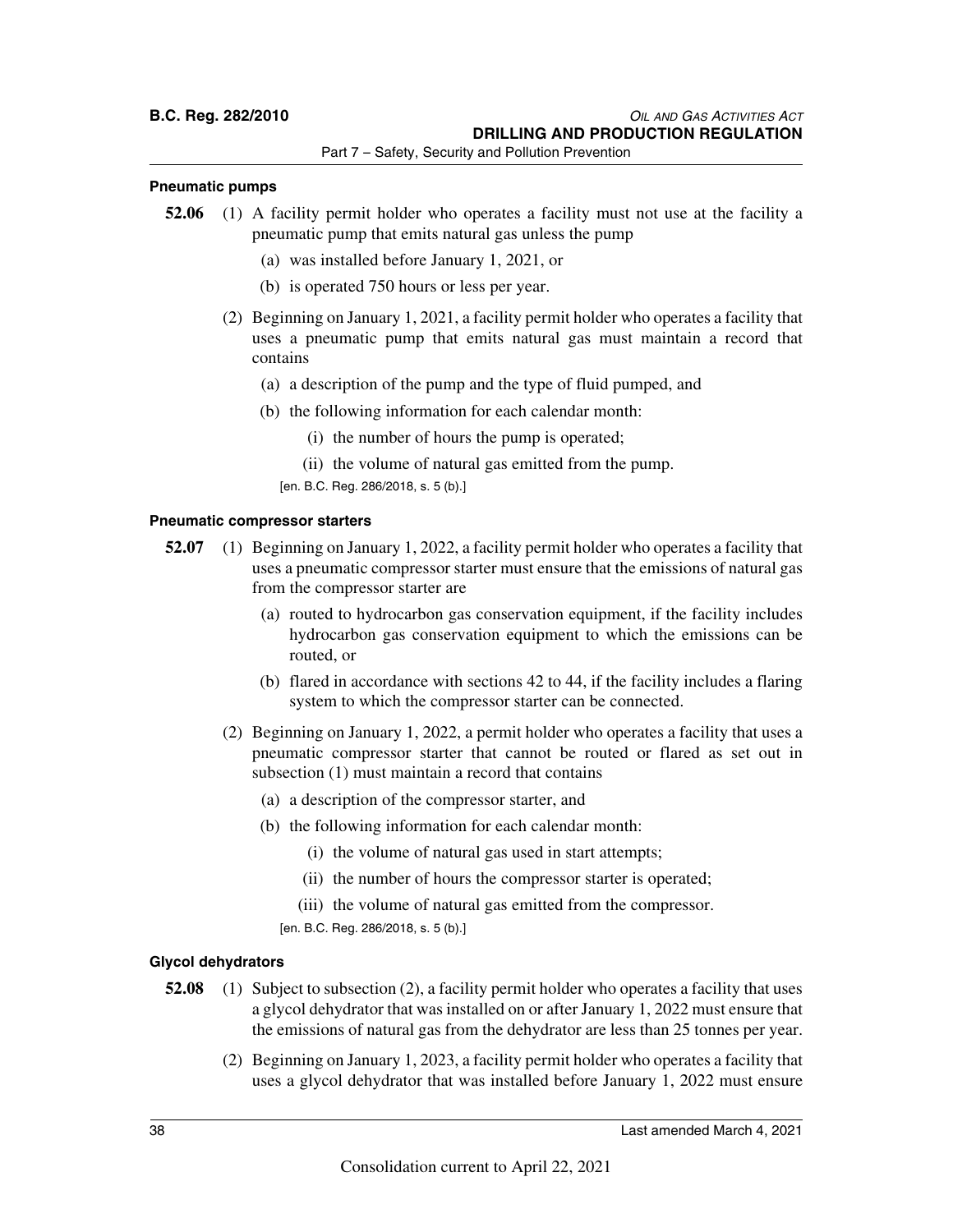#### **Pneumatic pumps**

- **52.06** (1) A facility permit holder who operates a facility must not use at the facility a pneumatic pump that emits natural gas unless the pump
	- (a) was installed before January 1, 2021, or
	- (b) is operated 750 hours or less per year.
	- (2) Beginning on January 1, 2021, a facility permit holder who operates a facility that uses a pneumatic pump that emits natural gas must maintain a record that contains
		- (a) a description of the pump and the type of fluid pumped, and
		- (b) the following information for each calendar month:
			- (i) the number of hours the pump is operated;
			- (ii) the volume of natural gas emitted from the pump.
			- [en. B.C. Reg. 286/2018, s. 5 (b).]

### **Pneumatic compressor starters**

- **52.07** (1) Beginning on January 1, 2022, a facility permit holder who operates a facility that uses a pneumatic compressor starter must ensure that the emissions of natural gas from the compressor starter are
	- (a) routed to hydrocarbon gas conservation equipment, if the facility includes hydrocarbon gas conservation equipment to which the emissions can be routed, or
	- (b) flared in accordance with sections 42 to 44, if the facility includes a flaring system to which the compressor starter can be connected.
	- (2) Beginning on January 1, 2022, a permit holder who operates a facility that uses a pneumatic compressor starter that cannot be routed or flared as set out in subsection (1) must maintain a record that contains
		- (a) a description of the compressor starter, and
		- (b) the following information for each calendar month:
			- (i) the volume of natural gas used in start attempts;
			- (ii) the number of hours the compressor starter is operated;
			- (iii) the volume of natural gas emitted from the compressor.
			- [en. B.C. Reg. 286/2018, s. 5 (b).]

### **Glycol dehydrators**

- **52.08** (1) Subject to subsection (2), a facility permit holder who operates a facility that uses a glycol dehydrator that was installed on or after January 1, 2022 must ensure that the emissions of natural gas from the dehydrator are less than 25 tonnes per year.
	- (2) Beginning on January 1, 2023, a facility permit holder who operates a facility that uses a glycol dehydrator that was installed before January 1, 2022 must ensure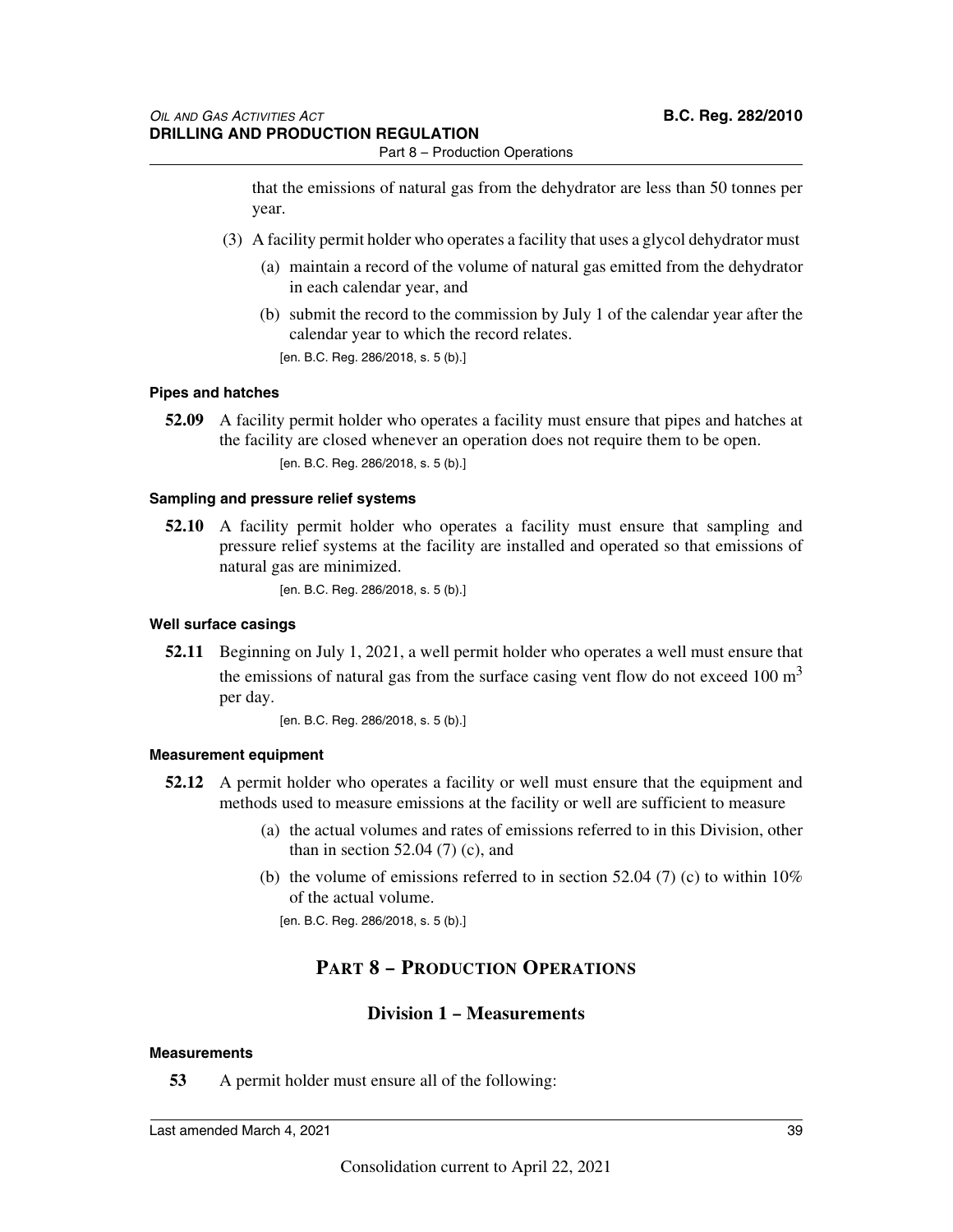that the emissions of natural gas from the dehydrator are less than 50 tonnes per year.

- (3) A facility permit holder who operates a facility that uses a glycol dehydrator must
	- (a) maintain a record of the volume of natural gas emitted from the dehydrator in each calendar year, and
	- (b) submit the record to the commission by July 1 of the calendar year after the calendar year to which the record relates. [en. B.C. Reg. 286/2018, s. 5 (b).]

**Pipes and hatches**

**52.09** A facility permit holder who operates a facility must ensure that pipes and hatches at the facility are closed whenever an operation does not require them to be open. [en. B.C. Reg. 286/2018, s. 5 (b).]

### **Sampling and pressure relief systems**

**52.10** A facility permit holder who operates a facility must ensure that sampling and pressure relief systems at the facility are installed and operated so that emissions of natural gas are minimized.

[en. B.C. Reg. 286/2018, s. 5 (b).]

### **Well surface casings**

**52.11** Beginning on July 1, 2021, a well permit holder who operates a well must ensure that the emissions of natural gas from the surface casing vent flow do not exceed 100  $m<sup>3</sup>$ per day.

[en. B.C. Reg. 286/2018, s. 5 (b).]

### **Measurement equipment**

- **52.12** A permit holder who operates a facility or well must ensure that the equipment and methods used to measure emissions at the facility or well are sufficient to measure
	- (a) the actual volumes and rates of emissions referred to in this Division, other than in section  $52.04$  (7) (c), and
	- (b) the volume of emissions referred to in section 52.04 (7) (c) to within  $10\%$ of the actual volume.

[en. B.C. Reg. 286/2018, s. 5 (b).]

### **PART 8 – PRODUCTION OPERATIONS**

### **Division 1 – Measurements**

### **Measurements**

**53** A permit holder must ensure all of the following: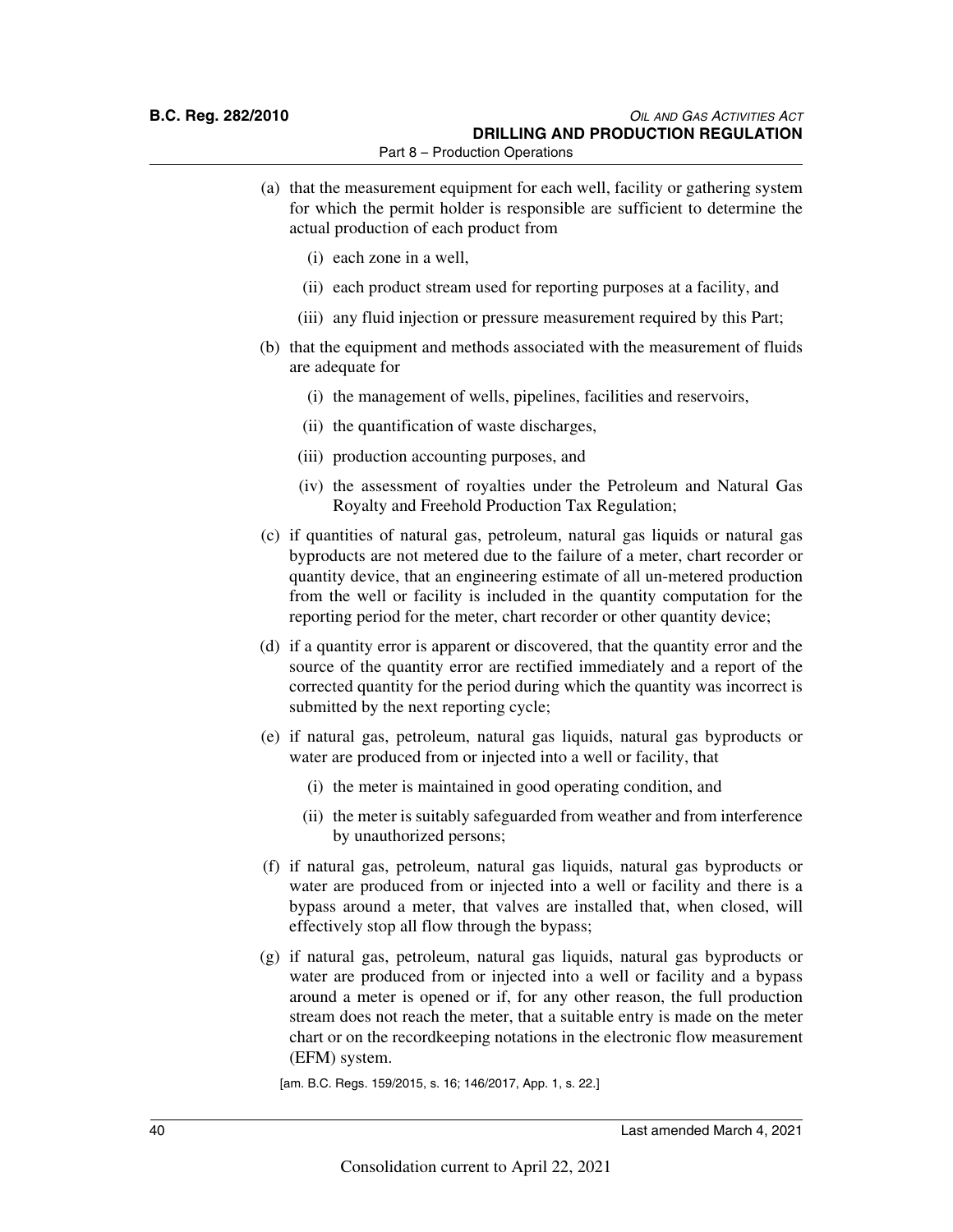- (a) that the measurement equipment for each well, facility or gathering system for which the permit holder is responsible are sufficient to determine the actual production of each product from
	- (i) each zone in a well,
	- (ii) each product stream used for reporting purposes at a facility, and
	- (iii) any fluid injection or pressure measurement required by this Part;
- (b) that the equipment and methods associated with the measurement of fluids are adequate for
	- (i) the management of wells, pipelines, facilities and reservoirs,
	- (ii) the quantification of waste discharges,
	- (iii) production accounting purposes, and
	- (iv) the assessment of royalties under the Petroleum and Natural Gas Royalty and Freehold Production Tax Regulation;
- (c) if quantities of natural gas, petroleum, natural gas liquids or natural gas byproducts are not metered due to the failure of a meter, chart recorder or quantity device, that an engineering estimate of all un-metered production from the well or facility is included in the quantity computation for the reporting period for the meter, chart recorder or other quantity device;
- (d) if a quantity error is apparent or discovered, that the quantity error and the source of the quantity error are rectified immediately and a report of the corrected quantity for the period during which the quantity was incorrect is submitted by the next reporting cycle;
- (e) if natural gas, petroleum, natural gas liquids, natural gas byproducts or water are produced from or injected into a well or facility, that
	- (i) the meter is maintained in good operating condition, and
	- (ii) the meter is suitably safeguarded from weather and from interference by unauthorized persons;
- (f) if natural gas, petroleum, natural gas liquids, natural gas byproducts or water are produced from or injected into a well or facility and there is a bypass around a meter, that valves are installed that, when closed, will effectively stop all flow through the bypass;
- (g) if natural gas, petroleum, natural gas liquids, natural gas byproducts or water are produced from or injected into a well or facility and a bypass around a meter is opened or if, for any other reason, the full production stream does not reach the meter, that a suitable entry is made on the meter chart or on the recordkeeping notations in the electronic flow measurement (EFM) system.

[am. B.C. Regs. 159/2015, s. 16; 146/2017, App. 1, s. 22.]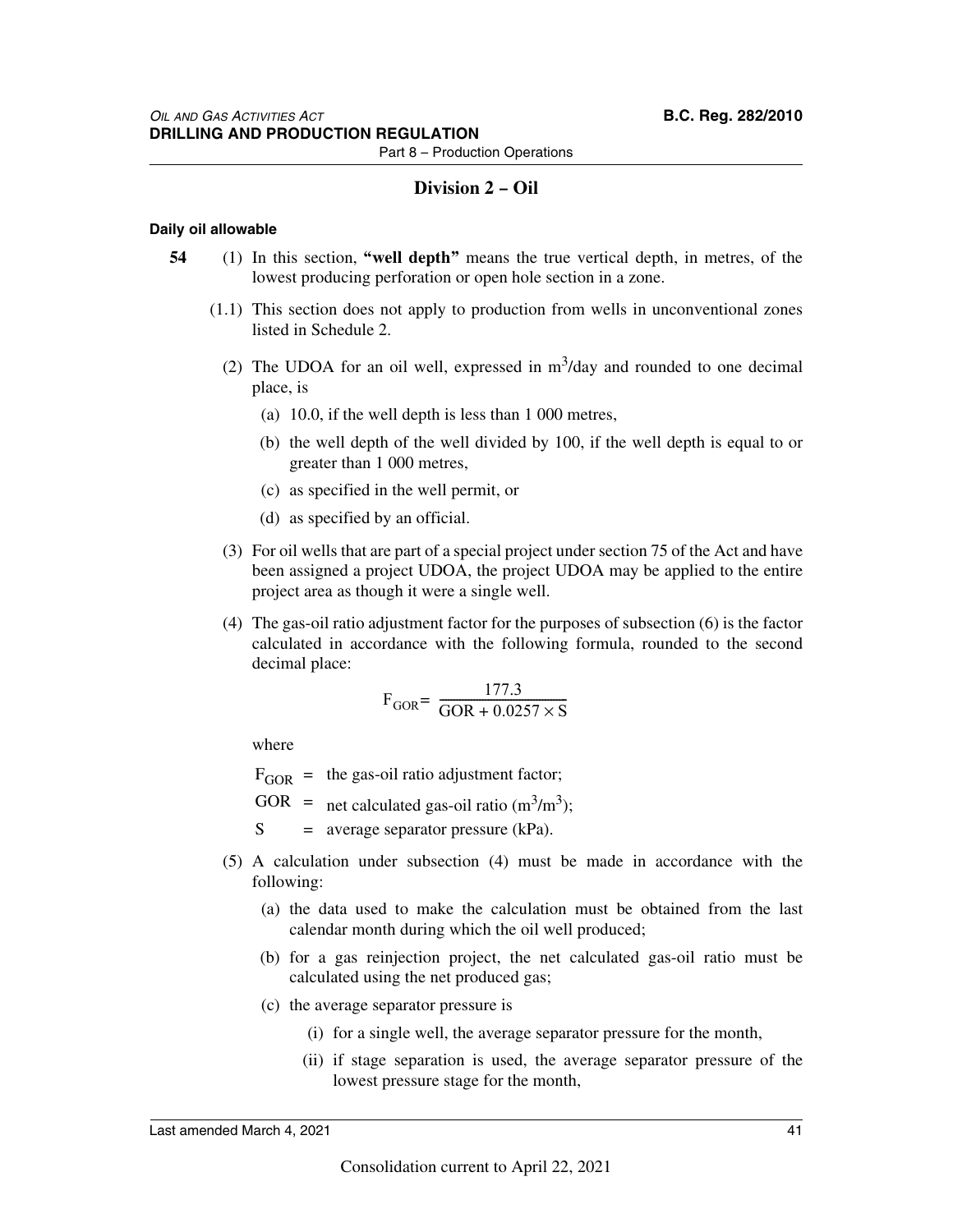### **Division 2 – Oil**

### **Daily oil allowable**

- **54** (1) In this section, **"well depth"** means the true vertical depth, in metres, of the lowest producing perforation or open hole section in a zone.
	- (1.1) This section does not apply to production from wells in unconventional zones listed in Schedule 2.
		- (2) The UDOA for an oil well, expressed in  $m<sup>3</sup>/day$  and rounded to one decimal place, is
			- (a) 10.0, if the well depth is less than 1 000 metres,
			- (b) the well depth of the well divided by 100, if the well depth is equal to or greater than 1 000 metres,
			- (c) as specified in the well permit, or
			- (d) as specified by an official.
		- (3) For oil wells that are part of a special project under section 75 of the Act and have been assigned a project UDOA, the project UDOA may be applied to the entire project area as though it were a single well.
		- (4) The gas-oil ratio adjustment factor for the purposes of subsection (6) is the factor calculated in accordance with the following formula, rounded to the second decimal place:

$$
\mathrm{F_{GOR}}{\rm{=}}\;\frac{\rm{177.3}}{{\rm{GOR}} + \rm{0.0257}\times \rm{S}}
$$

where

 $F_{\text{GOR}}$  = the gas-oil ratio adjustment factor;

GOR = net calculated gas-oil ratio  $(m^3/m^3)$ ;

 $S = average separator pressure (kPa)$ .

- (5) A calculation under subsection (4) must be made in accordance with the following:
	- (a) the data used to make the calculation must be obtained from the last calendar month during which the oil well produced;
	- (b) for a gas reinjection project, the net calculated gas-oil ratio must be calculated using the net produced gas;
	- (c) the average separator pressure is
		- (i) for a single well, the average separator pressure for the month,
		- (ii) if stage separation is used, the average separator pressure of the lowest pressure stage for the month,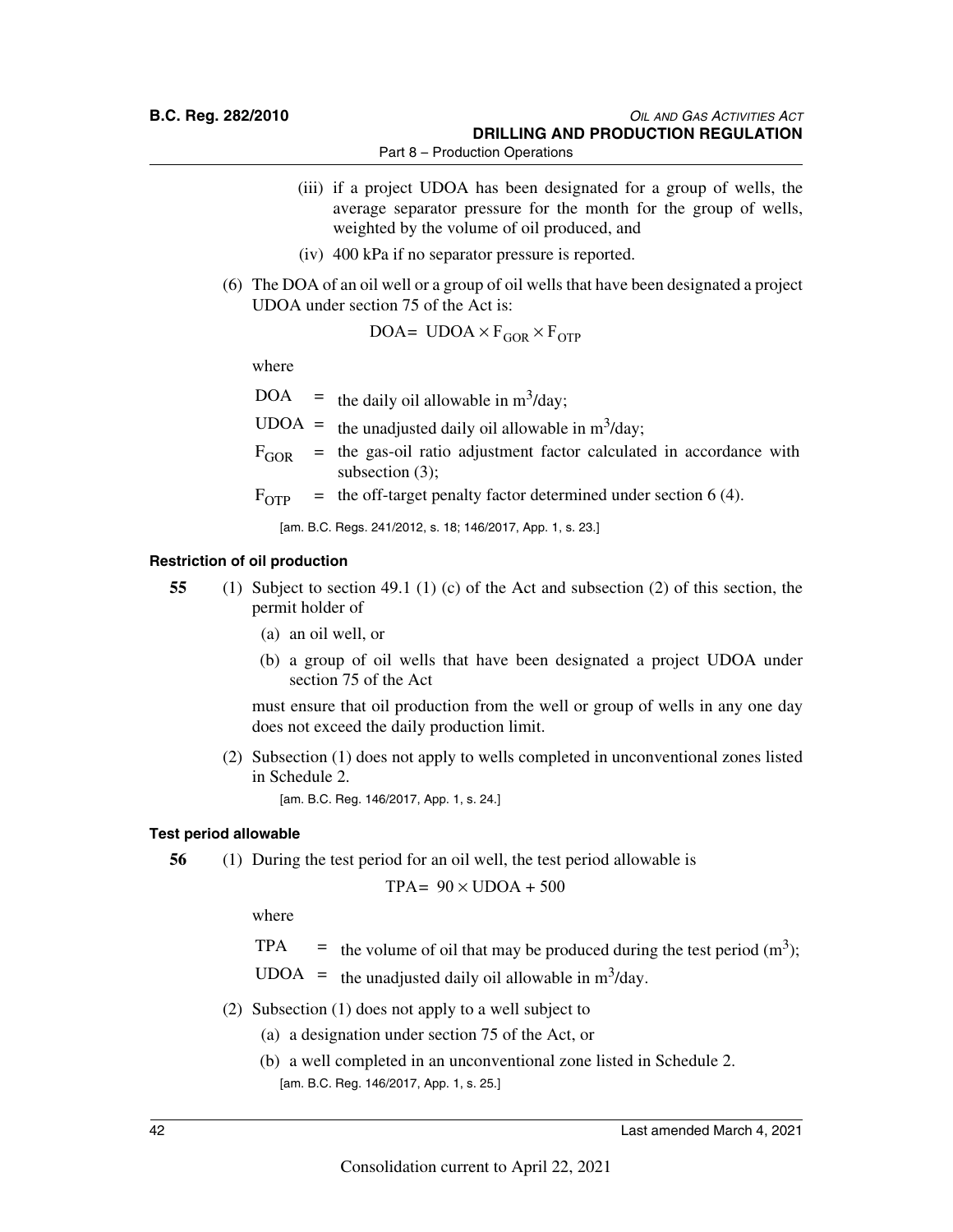- (iii) if a project UDOA has been designated for a group of wells, the average separator pressure for the month for the group of wells, weighted by the volume of oil produced, and
- (iv) 400 kPa if no separator pressure is reported.
- (6) The DOA of an oil well or a group of oil wells that have been designated a project UDOA under section 75 of the Act is:

$$
DOA = UDOA \times F_{GOR} \times F_{OTP}
$$

where

 $DOA =$  the daily oil allowable in m<sup>3</sup>/day;

UDOA = the unadjusted daily oil allowable in  $m^3$ /day;

- $F_{GOR}$  = the gas-oil ratio adjustment factor calculated in accordance with subsection (3);
- $F_{\text{OTP}}$  = the off-target penalty factor determined under section 6 (4).

[am. B.C. Regs. 241/2012, s. 18; 146/2017, App. 1, s. 23.]

### **Restriction of oil production**

- **55** (1) Subject to section 49.1 (1) (c) of the Act and subsection (2) of this section, the permit holder of
	- (a) an oil well, or
	- (b) a group of oil wells that have been designated a project UDOA under section 75 of the Act

must ensure that oil production from the well or group of wells in any one day does not exceed the daily production limit.

(2) Subsection (1) does not apply to wells completed in unconventional zones listed in Schedule 2.

[am. B.C. Reg. 146/2017, App. 1, s. 24.]

### **Test period allowable**

**56** (1) During the test period for an oil well, the test period allowable is

$$
TPA = 90 \times UDOA + 500
$$

where

- TPA  $=$  the volume of oil that may be produced during the test period (m<sup>3</sup>);
- UDOA = the unadjusted daily oil allowable in  $m^3$ /day.
- (2) Subsection (1) does not apply to a well subject to
	- (a) a designation under section 75 of the Act, or
	- (b) a well completed in an unconventional zone listed in Schedule 2. [am. B.C. Reg. 146/2017, App. 1, s. 25.]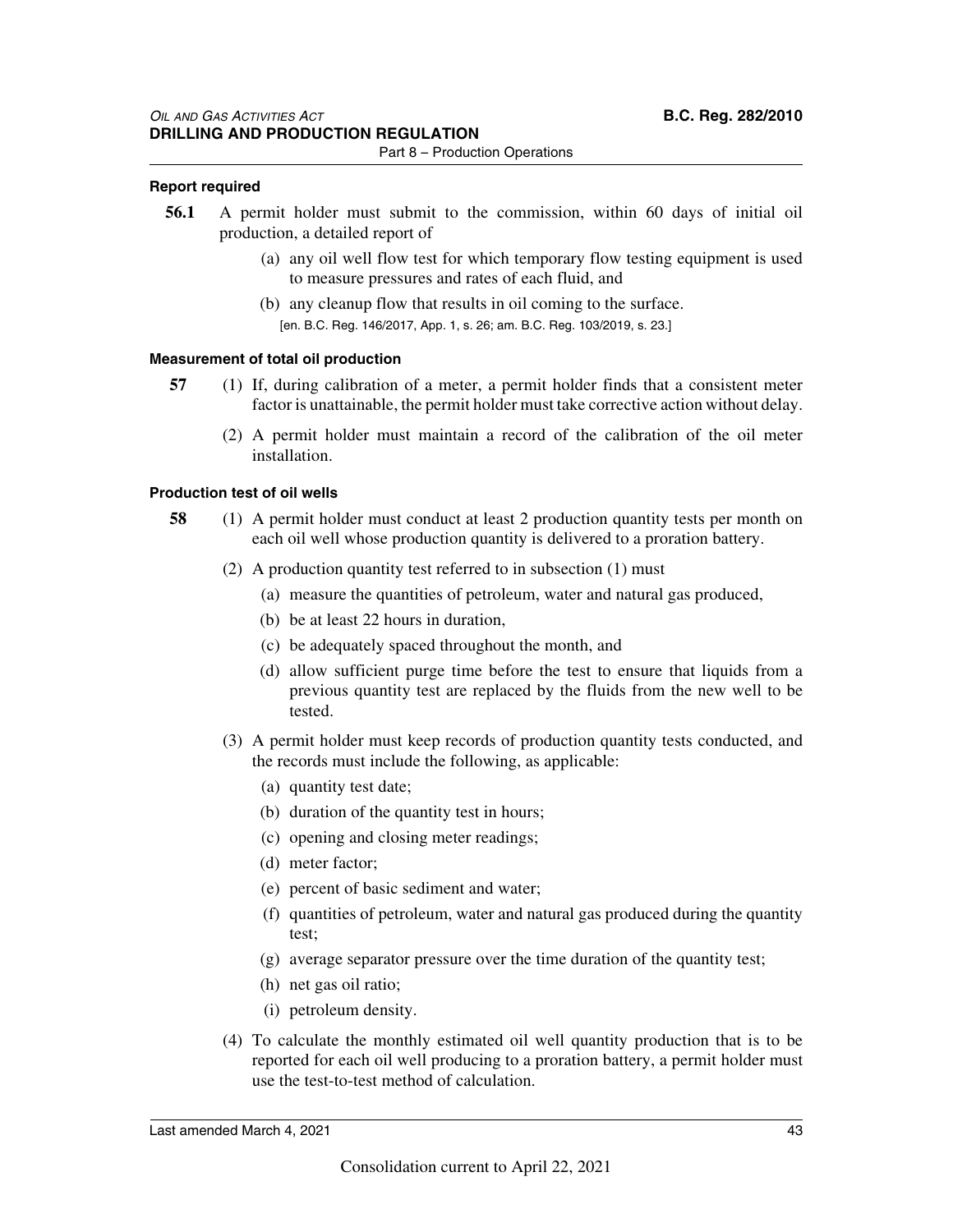### **Report required**

- **56.1** A permit holder must submit to the commission, within 60 days of initial oil production, a detailed report of
	- (a) any oil well flow test for which temporary flow testing equipment is used to measure pressures and rates of each fluid, and
	- (b) any cleanup flow that results in oil coming to the surface. [en. B.C. Reg. 146/2017, App. 1, s. 26; am. B.C. Reg. 103/2019, s. 23.]

### **Measurement of total oil production**

- **57** (1) If, during calibration of a meter, a permit holder finds that a consistent meter factor is unattainable, the permit holder must take corrective action without delay.
	- (2) A permit holder must maintain a record of the calibration of the oil meter installation.

### **Production test of oil wells**

- **58** (1) A permit holder must conduct at least 2 production quantity tests per month on each oil well whose production quantity is delivered to a proration battery.
	- (2) A production quantity test referred to in subsection (1) must
		- (a) measure the quantities of petroleum, water and natural gas produced,
		- (b) be at least 22 hours in duration,
		- (c) be adequately spaced throughout the month, and
		- (d) allow sufficient purge time before the test to ensure that liquids from a previous quantity test are replaced by the fluids from the new well to be tested.
	- (3) A permit holder must keep records of production quantity tests conducted, and the records must include the following, as applicable:
		- (a) quantity test date;
		- (b) duration of the quantity test in hours;
		- (c) opening and closing meter readings;
		- (d) meter factor;
		- (e) percent of basic sediment and water;
		- (f) quantities of petroleum, water and natural gas produced during the quantity test;
		- (g) average separator pressure over the time duration of the quantity test;
		- (h) net gas oil ratio;
		- (i) petroleum density.
	- (4) To calculate the monthly estimated oil well quantity production that is to be reported for each oil well producing to a proration battery, a permit holder must use the test-to-test method of calculation.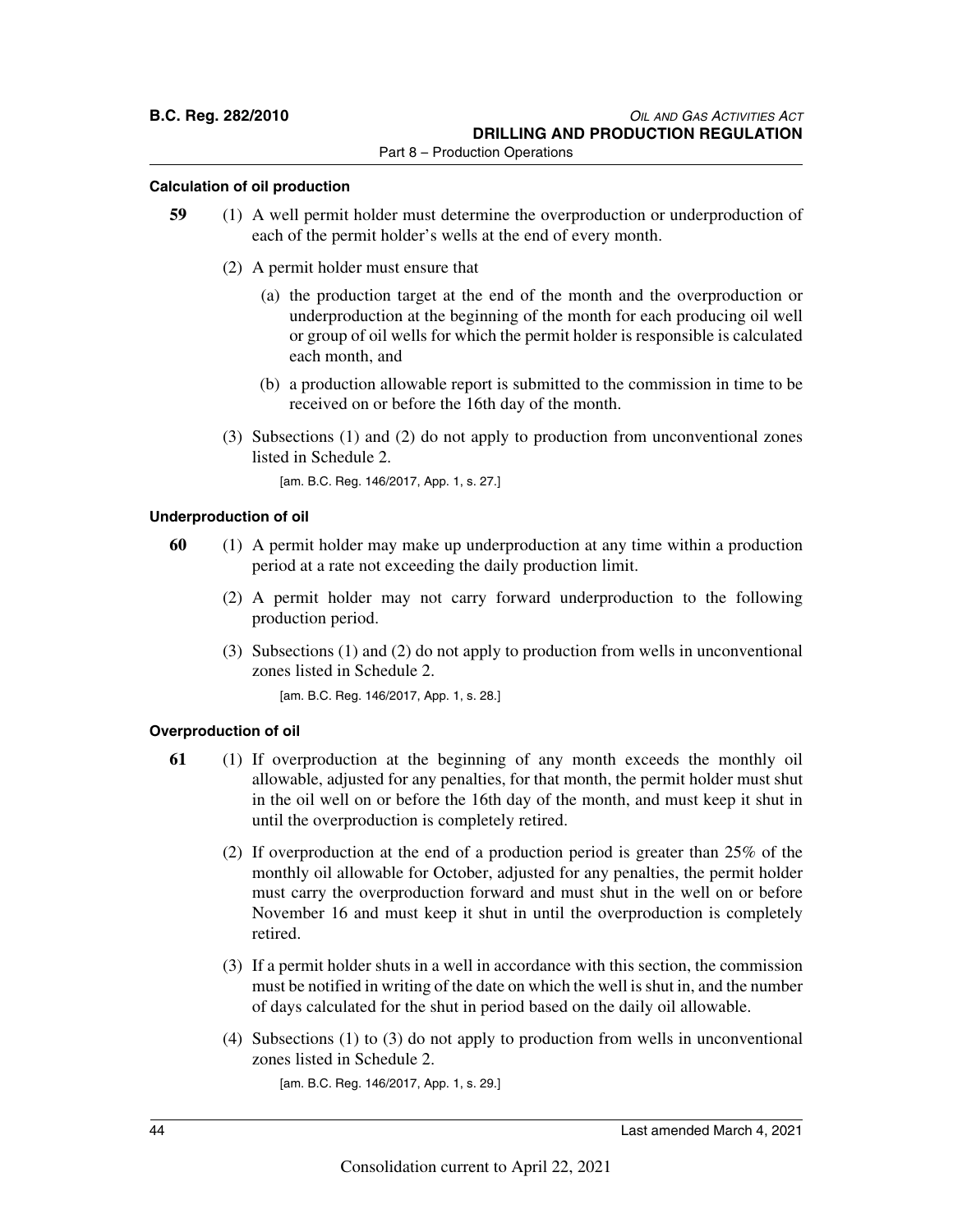### **Calculation of oil production**

- **59** (1) A well permit holder must determine the overproduction or underproduction of each of the permit holder's wells at the end of every month.
	- (2) A permit holder must ensure that
		- (a) the production target at the end of the month and the overproduction or underproduction at the beginning of the month for each producing oil well or group of oil wells for which the permit holder is responsible is calculated each month, and
		- (b) a production allowable report is submitted to the commission in time to be received on or before the 16th day of the month.
	- (3) Subsections (1) and (2) do not apply to production from unconventional zones listed in Schedule 2.

[am. B.C. Reg. 146/2017, App. 1, s. 27.]

### **Underproduction of oil**

- **60** (1) A permit holder may make up underproduction at any time within a production period at a rate not exceeding the daily production limit.
	- (2) A permit holder may not carry forward underproduction to the following production period.
	- (3) Subsections (1) and (2) do not apply to production from wells in unconventional zones listed in Schedule 2.

[am. B.C. Reg. 146/2017, App. 1, s. 28.]

### **Overproduction of oil**

- **61** (1) If overproduction at the beginning of any month exceeds the monthly oil allowable, adjusted for any penalties, for that month, the permit holder must shut in the oil well on or before the 16th day of the month, and must keep it shut in until the overproduction is completely retired.
	- (2) If overproduction at the end of a production period is greater than 25% of the monthly oil allowable for October, adjusted for any penalties, the permit holder must carry the overproduction forward and must shut in the well on or before November 16 and must keep it shut in until the overproduction is completely retired.
	- (3) If a permit holder shuts in a well in accordance with this section, the commission must be notified in writing of the date on which the well is shut in, and the number of days calculated for the shut in period based on the daily oil allowable.
	- (4) Subsections (1) to (3) do not apply to production from wells in unconventional zones listed in Schedule 2.

[am. B.C. Reg. 146/2017, App. 1, s. 29.]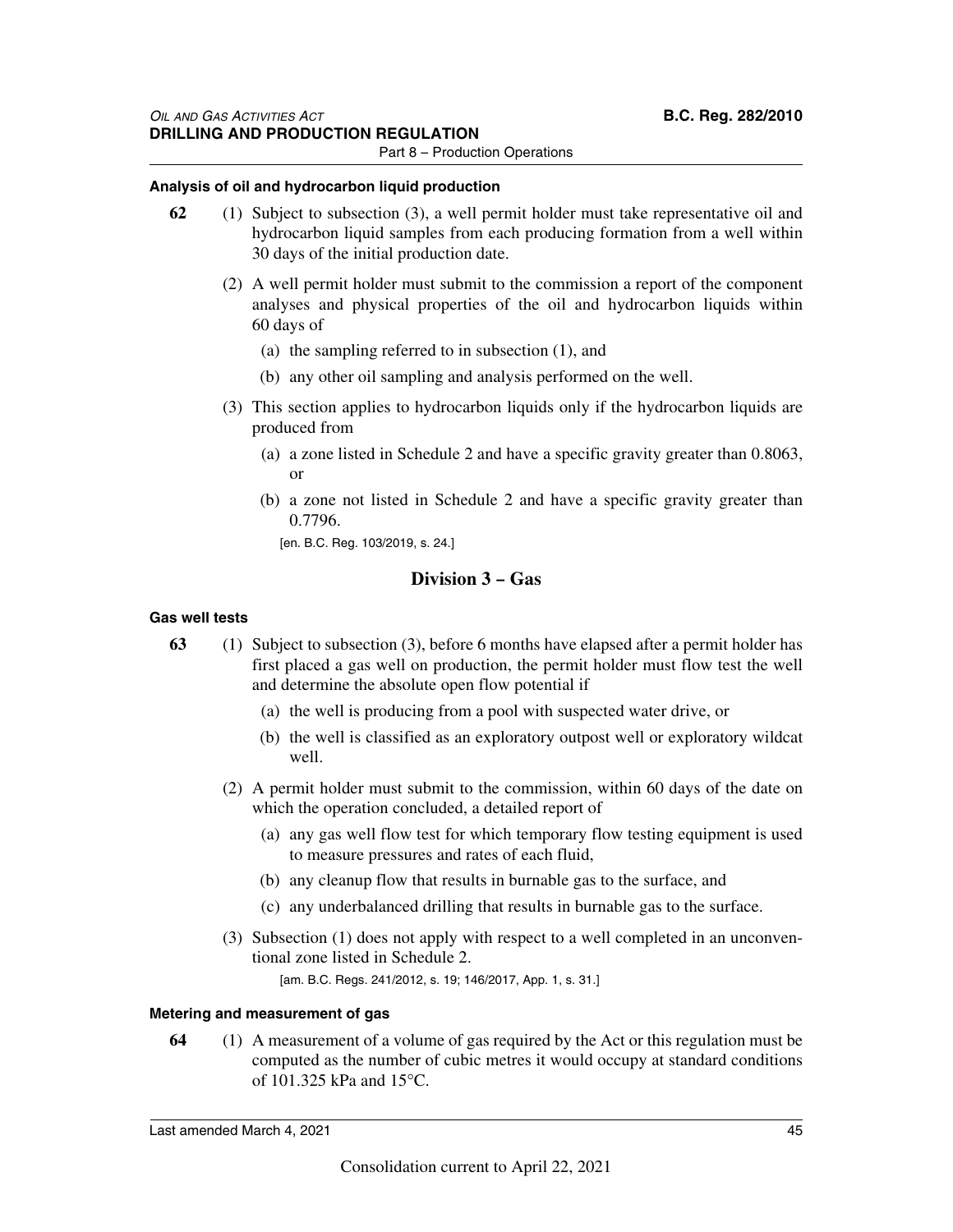### **Analysis of oil and hydrocarbon liquid production**

- **62** (1) Subject to subsection (3), a well permit holder must take representative oil and hydrocarbon liquid samples from each producing formation from a well within 30 days of the initial production date.
	- (2) A well permit holder must submit to the commission a report of the component analyses and physical properties of the oil and hydrocarbon liquids within 60 days of
		- (a) the sampling referred to in subsection (1), and
		- (b) any other oil sampling and analysis performed on the well.
	- (3) This section applies to hydrocarbon liquids only if the hydrocarbon liquids are produced from
		- (a) a zone listed in Schedule 2 and have a specific gravity greater than 0.8063, or
		- (b) a zone not listed in Schedule 2 and have a specific gravity greater than 0.7796.
			- [en. B.C. Reg. 103/2019, s. 24.]

### **Division 3 – Gas**

### **Gas well tests**

- **63** (1) Subject to subsection (3), before 6 months have elapsed after a permit holder has first placed a gas well on production, the permit holder must flow test the well and determine the absolute open flow potential if
	- (a) the well is producing from a pool with suspected water drive, or
	- (b) the well is classified as an exploratory outpost well or exploratory wildcat well.
	- (2) A permit holder must submit to the commission, within 60 days of the date on which the operation concluded, a detailed report of
		- (a) any gas well flow test for which temporary flow testing equipment is used to measure pressures and rates of each fluid,
		- (b) any cleanup flow that results in burnable gas to the surface, and
		- (c) any underbalanced drilling that results in burnable gas to the surface.
	- (3) Subsection (1) does not apply with respect to a well completed in an unconventional zone listed in Schedule 2.

[am. B.C. Regs. 241/2012, s. 19; 146/2017, App. 1, s. 31.]

### **Metering and measurement of gas**

**64** (1) A measurement of a volume of gas required by the Act or this regulation must be computed as the number of cubic metres it would occupy at standard conditions of 101.325 kPa and 15°C.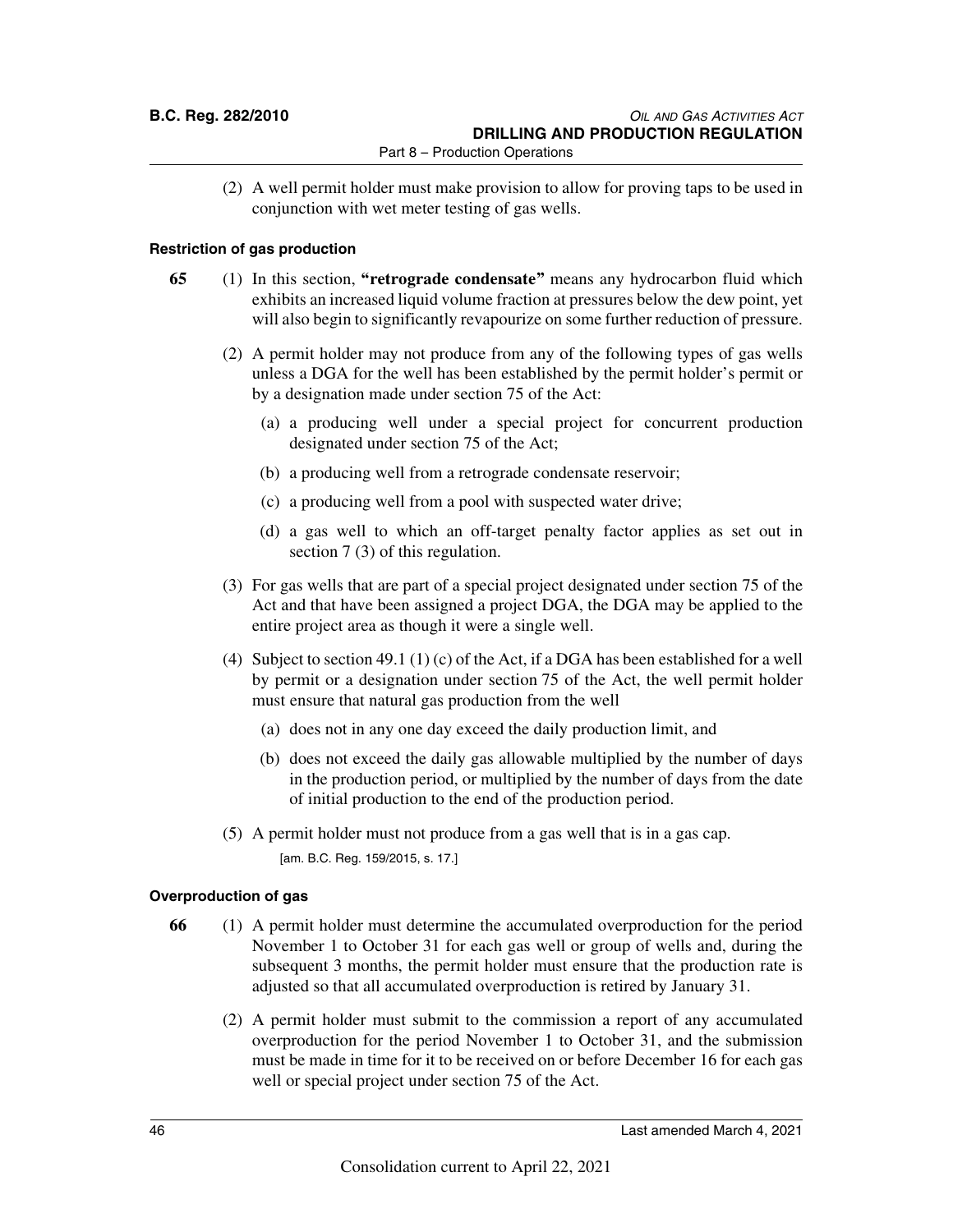(2) A well permit holder must make provision to allow for proving taps to be used in conjunction with wet meter testing of gas wells.

### **Restriction of gas production**

- **65** (1) In this section, **"retrograde condensate"** means any hydrocarbon fluid which exhibits an increased liquid volume fraction at pressures below the dew point, yet will also begin to significantly revapourize on some further reduction of pressure.
	- (2) A permit holder may not produce from any of the following types of gas wells unless a DGA for the well has been established by the permit holder's permit or by a designation made under section 75 of the Act:
		- (a) a producing well under a special project for concurrent production designated under section 75 of the Act;
		- (b) a producing well from a retrograde condensate reservoir;
		- (c) a producing well from a pool with suspected water drive;
		- (d) a gas well to which an off-target penalty factor applies as set out in section 7 (3) of this regulation.
	- (3) For gas wells that are part of a special project designated under section 75 of the Act and that have been assigned a project DGA, the DGA may be applied to the entire project area as though it were a single well.
	- (4) Subject to section 49.1 (1) (c) of the Act, if a DGA has been established for a well by permit or a designation under section 75 of the Act, the well permit holder must ensure that natural gas production from the well
		- (a) does not in any one day exceed the daily production limit, and
		- (b) does not exceed the daily gas allowable multiplied by the number of days in the production period, or multiplied by the number of days from the date of initial production to the end of the production period.
	- (5) A permit holder must not produce from a gas well that is in a gas cap.

[am. B.C. Reg. 159/2015, s. 17.]

### **Overproduction of gas**

- **66** (1) A permit holder must determine the accumulated overproduction for the period November 1 to October 31 for each gas well or group of wells and, during the subsequent 3 months, the permit holder must ensure that the production rate is adjusted so that all accumulated overproduction is retired by January 31.
	- (2) A permit holder must submit to the commission a report of any accumulated overproduction for the period November 1 to October 31, and the submission must be made in time for it to be received on or before December 16 for each gas well or special project under section 75 of the Act.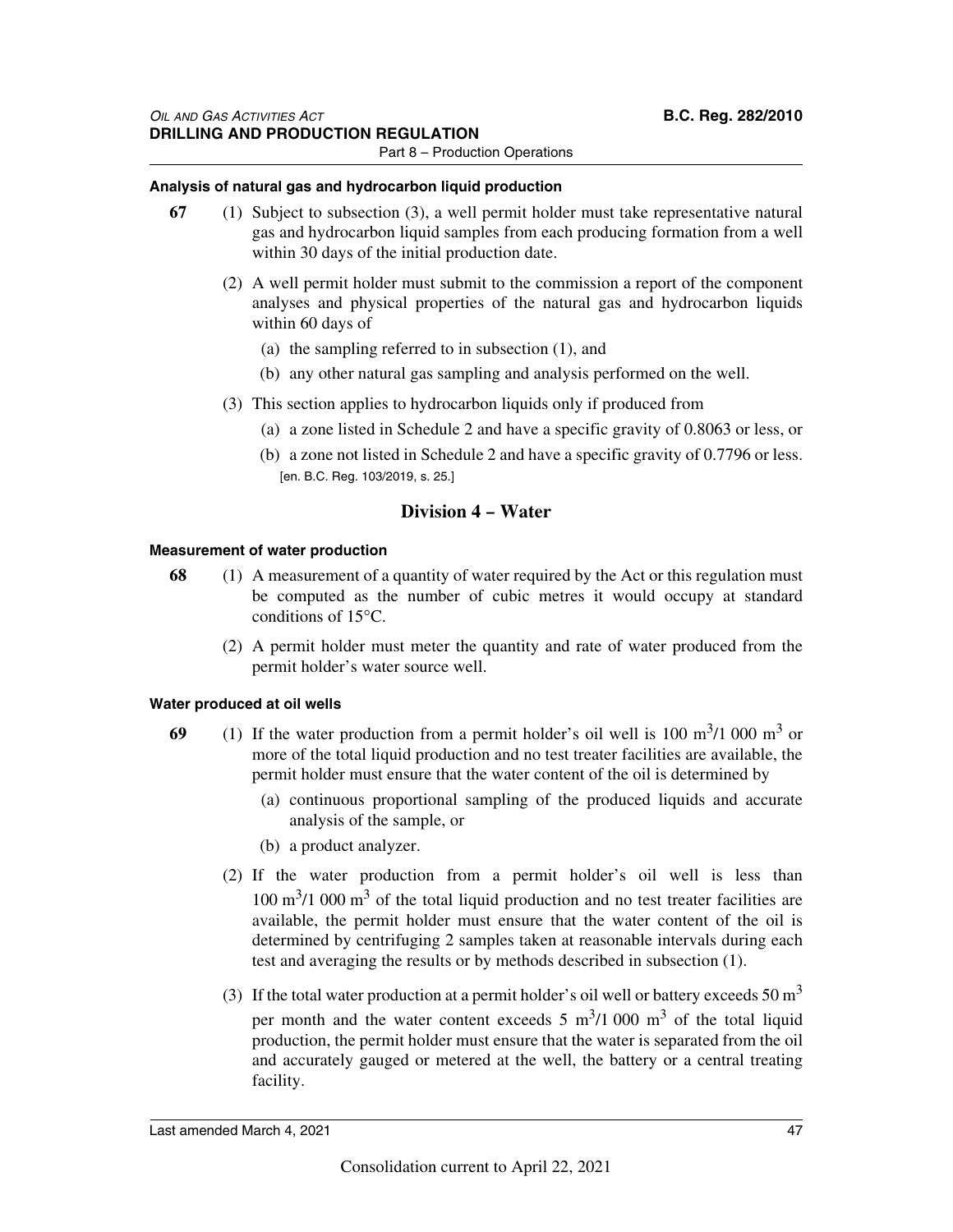### **Analysis of natural gas and hydrocarbon liquid production**

- **67** (1) Subject to subsection (3), a well permit holder must take representative natural gas and hydrocarbon liquid samples from each producing formation from a well within 30 days of the initial production date.
	- (2) A well permit holder must submit to the commission a report of the component analyses and physical properties of the natural gas and hydrocarbon liquids within 60 days of
		- (a) the sampling referred to in subsection (1), and
		- (b) any other natural gas sampling and analysis performed on the well.
	- (3) This section applies to hydrocarbon liquids only if produced from
		- (a) a zone listed in Schedule 2 and have a specific gravity of 0.8063 or less, or
		- (b) a zone not listed in Schedule 2 and have a specific gravity of 0.7796 or less. [en. B.C. Reg. 103/2019, s. 25.]

### **Division 4 – Water**

### **Measurement of water production**

- **68** (1) A measurement of a quantity of water required by the Act or this regulation must be computed as the number of cubic metres it would occupy at standard conditions of 15°C.
	- (2) A permit holder must meter the quantity and rate of water produced from the permit holder's water source well.

### **Water produced at oil wells**

- **69** (1) If the water production from a permit holder's oil well is 100  $\text{m}^3$ /1 000  $\text{m}^3$  or more of the total liquid production and no test treater facilities are available, the permit holder must ensure that the water content of the oil is determined by
	- (a) continuous proportional sampling of the produced liquids and accurate analysis of the sample, or
	- (b) a product analyzer.
	- (2) If the water production from a permit holder's oil well is less than  $100 \text{ m}^3/1000 \text{ m}^3$  of the total liquid production and no test treater facilities are available, the permit holder must ensure that the water content of the oil is determined by centrifuging 2 samples taken at reasonable intervals during each test and averaging the results or by methods described in subsection (1).
	- (3) If the total water production at a permit holder's oil well or battery exceeds 50  $m<sup>3</sup>$ per month and the water content exceeds  $5 \text{ m}^3/1000 \text{ m}^3$  of the total liquid production, the permit holder must ensure that the water is separated from the oil and accurately gauged or metered at the well, the battery or a central treating facility.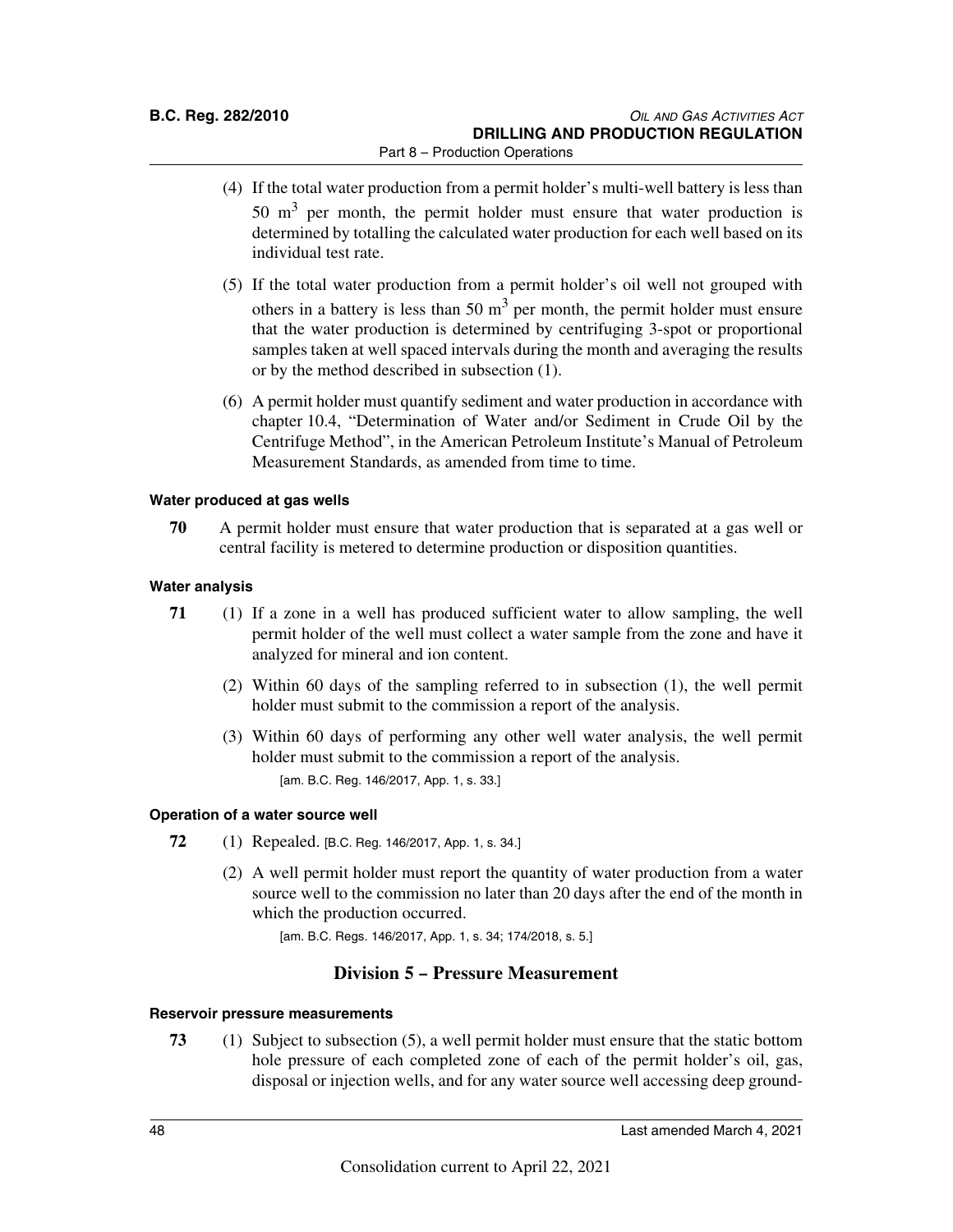- (4) If the total water production from a permit holder's multi-well battery is less than 50  $\text{m}^3$  per month, the permit holder must ensure that water production is determined by totalling the calculated water production for each well based on its individual test rate.
- (5) If the total water production from a permit holder's oil well not grouped with others in a battery is less than 50  $m<sup>3</sup>$  per month, the permit holder must ensure that the water production is determined by centrifuging 3-spot or proportional samples taken at well spaced intervals during the month and averaging the results or by the method described in subsection (1).
- (6) A permit holder must quantify sediment and water production in accordance with chapter 10.4, "Determination of Water and/or Sediment in Crude Oil by the Centrifuge Method", in the American Petroleum Institute's Manual of Petroleum Measurement Standards, as amended from time to time.

### **Water produced at gas wells**

**70** A permit holder must ensure that water production that is separated at a gas well or central facility is metered to determine production or disposition quantities.

### **Water analysis**

- **71** (1) If a zone in a well has produced sufficient water to allow sampling, the well permit holder of the well must collect a water sample from the zone and have it analyzed for mineral and ion content.
	- (2) Within 60 days of the sampling referred to in subsection (1), the well permit holder must submit to the commission a report of the analysis.
	- (3) Within 60 days of performing any other well water analysis, the well permit holder must submit to the commission a report of the analysis. [am. B.C. Reg. 146/2017, App. 1, s. 33.]

### **Operation of a water source well**

- **72** (1) Repealed. [B.C. Reg. 146/2017, App. 1, s. 34.]
	- (2) A well permit holder must report the quantity of water production from a water source well to the commission no later than 20 days after the end of the month in which the production occurred.

[am. B.C. Regs. 146/2017, App. 1, s. 34; 174/2018, s. 5.]

### **Division 5 – Pressure Measurement**

### **Reservoir pressure measurements**

**73** (1) Subject to subsection (5), a well permit holder must ensure that the static bottom hole pressure of each completed zone of each of the permit holder's oil, gas, disposal or injection wells, and for any water source well accessing deep ground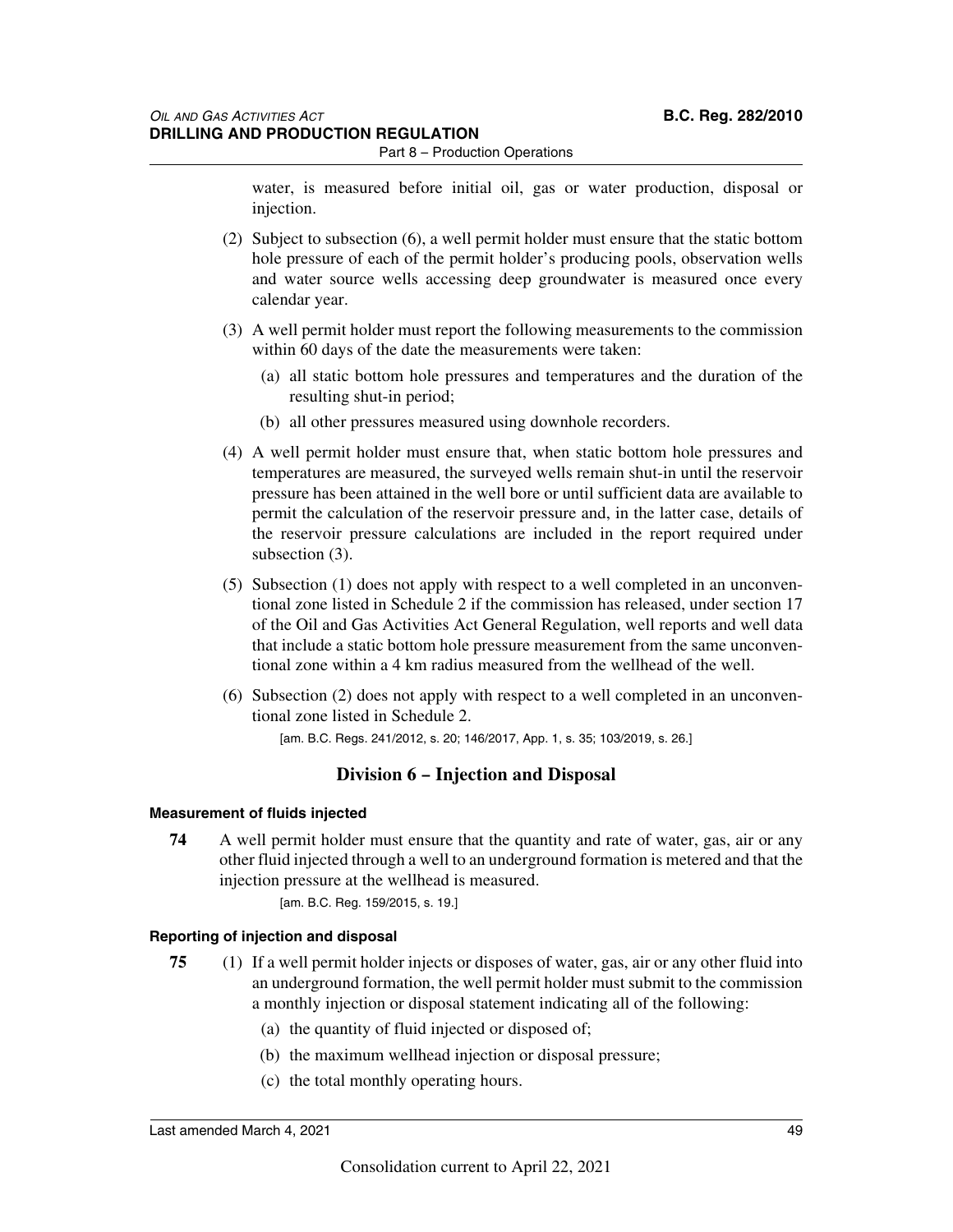water, is measured before initial oil, gas or water production, disposal or injection.

- (2) Subject to subsection (6), a well permit holder must ensure that the static bottom hole pressure of each of the permit holder's producing pools, observation wells and water source wells accessing deep groundwater is measured once every calendar year.
- (3) A well permit holder must report the following measurements to the commission within 60 days of the date the measurements were taken:
	- (a) all static bottom hole pressures and temperatures and the duration of the resulting shut-in period;
	- (b) all other pressures measured using downhole recorders.
- (4) A well permit holder must ensure that, when static bottom hole pressures and temperatures are measured, the surveyed wells remain shut-in until the reservoir pressure has been attained in the well bore or until sufficient data are available to permit the calculation of the reservoir pressure and, in the latter case, details of the reservoir pressure calculations are included in the report required under subsection (3).
- (5) Subsection (1) does not apply with respect to a well completed in an unconventional zone listed in Schedule 2 if the commission has released, under section 17 of the Oil and Gas Activities Act General Regulation, well reports and well data that include a static bottom hole pressure measurement from the same unconventional zone within a 4 km radius measured from the wellhead of the well.
- (6) Subsection (2) does not apply with respect to a well completed in an unconventional zone listed in Schedule 2.

[am. B.C. Regs. 241/2012, s. 20; 146/2017, App. 1, s. 35; 103/2019, s. 26.]

### **Division 6 – Injection and Disposal**

### **Measurement of fluids injected**

**74** A well permit holder must ensure that the quantity and rate of water, gas, air or any other fluid injected through a well to an underground formation is metered and that the injection pressure at the wellhead is measured.

[am. B.C. Reg. 159/2015, s. 19.]

### **Reporting of injection and disposal**

- **75** (1) If a well permit holder injects or disposes of water, gas, air or any other fluid into an underground formation, the well permit holder must submit to the commission a monthly injection or disposal statement indicating all of the following:
	- (a) the quantity of fluid injected or disposed of;
	- (b) the maximum wellhead injection or disposal pressure;
	- (c) the total monthly operating hours.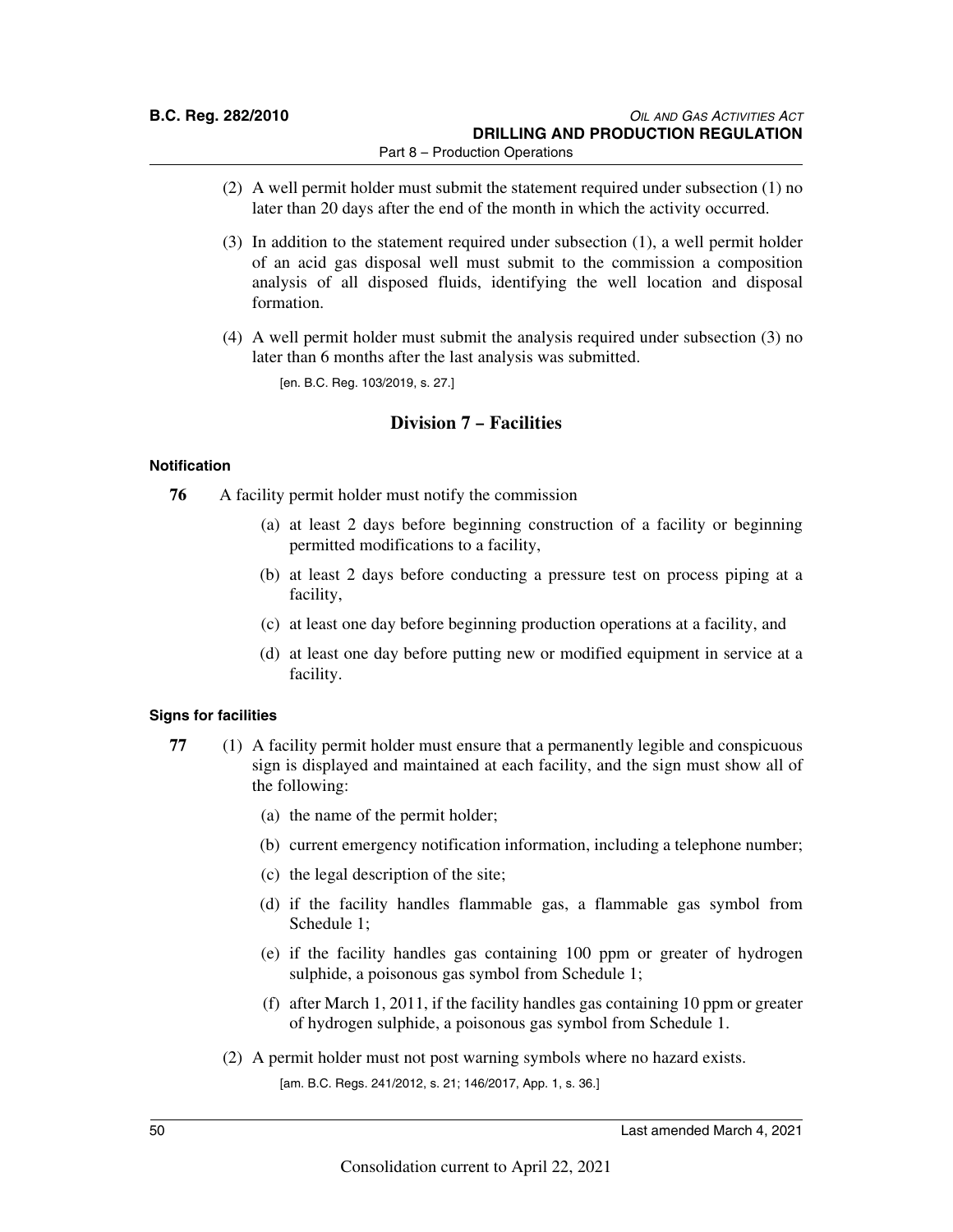- (2) A well permit holder must submit the statement required under subsection (1) no later than 20 days after the end of the month in which the activity occurred.
- (3) In addition to the statement required under subsection (1), a well permit holder of an acid gas disposal well must submit to the commission a composition analysis of all disposed fluids, identifying the well location and disposal formation.
- (4) A well permit holder must submit the analysis required under subsection (3) no later than 6 months after the last analysis was submitted.

[en. B.C. Reg. 103/2019, s. 27.]

### **Division 7 – Facilities**

### **Notification**

- **76** A facility permit holder must notify the commission
	- (a) at least 2 days before beginning construction of a facility or beginning permitted modifications to a facility,
	- (b) at least 2 days before conducting a pressure test on process piping at a facility,
	- (c) at least one day before beginning production operations at a facility, and
	- (d) at least one day before putting new or modified equipment in service at a facility.

### **Signs for facilities**

- **77** (1) A facility permit holder must ensure that a permanently legible and conspicuous sign is displayed and maintained at each facility, and the sign must show all of the following:
	- (a) the name of the permit holder;
	- (b) current emergency notification information, including a telephone number;
	- (c) the legal description of the site;
	- (d) if the facility handles flammable gas, a flammable gas symbol from Schedule 1;
	- (e) if the facility handles gas containing 100 ppm or greater of hydrogen sulphide, a poisonous gas symbol from Schedule 1;
	- (f) after March 1, 2011, if the facility handles gas containing 10 ppm or greater of hydrogen sulphide, a poisonous gas symbol from Schedule 1.
	- (2) A permit holder must not post warning symbols where no hazard exists. [am. B.C. Regs. 241/2012, s. 21; 146/2017, App. 1, s. 36.]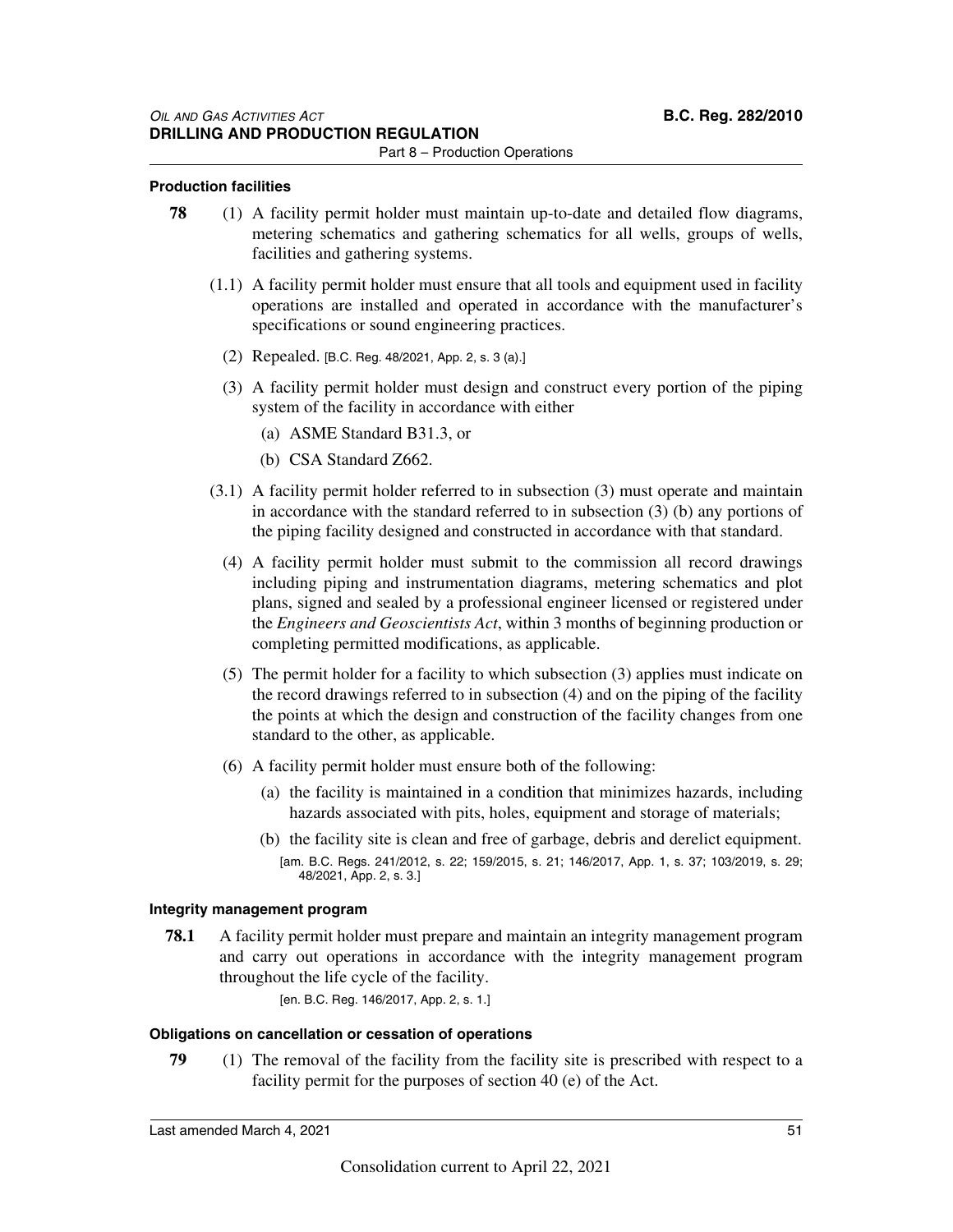### **Production facilities**

- **78** (1) A facility permit holder must maintain up-to-date and detailed flow diagrams, metering schematics and gathering schematics for all wells, groups of wells, facilities and gathering systems.
	- (1.1) A facility permit holder must ensure that all tools and equipment used in facility operations are installed and operated in accordance with the manufacturer's specifications or sound engineering practices.
		- (2) Repealed. [B.C. Reg. 48/2021, App. 2, s. 3 (a).]
		- (3) A facility permit holder must design and construct every portion of the piping system of the facility in accordance with either
			- (a) ASME Standard B31.3, or
			- (b) CSA Standard Z662.
	- (3.1) A facility permit holder referred to in subsection (3) must operate and maintain in accordance with the standard referred to in subsection  $(3)$  (b) any portions of the piping facility designed and constructed in accordance with that standard.
		- (4) A facility permit holder must submit to the commission all record drawings including piping and instrumentation diagrams, metering schematics and plot plans, signed and sealed by a professional engineer licensed or registered under the *Engineers and Geoscientists Act*, within 3 months of beginning production or completing permitted modifications, as applicable.
		- (5) The permit holder for a facility to which subsection (3) applies must indicate on the record drawings referred to in subsection (4) and on the piping of the facility the points at which the design and construction of the facility changes from one standard to the other, as applicable.
		- (6) A facility permit holder must ensure both of the following:
			- (a) the facility is maintained in a condition that minimizes hazards, including hazards associated with pits, holes, equipment and storage of materials;
			- (b) the facility site is clean and free of garbage, debris and derelict equipment. [am. B.C. Regs. 241/2012, s. 22; 159/2015, s. 21; 146/2017, App. 1, s. 37; 103/2019, s. 29; 48/2021, App. 2, s. 3.]

### **Integrity management program**

**78.1** A facility permit holder must prepare and maintain an integrity management program and carry out operations in accordance with the integrity management program throughout the life cycle of the facility.

[en. B.C. Reg. 146/2017, App. 2, s. 1.]

### **Obligations on cancellation or cessation of operations**

**79** (1) The removal of the facility from the facility site is prescribed with respect to a facility permit for the purposes of section 40 (e) of the Act.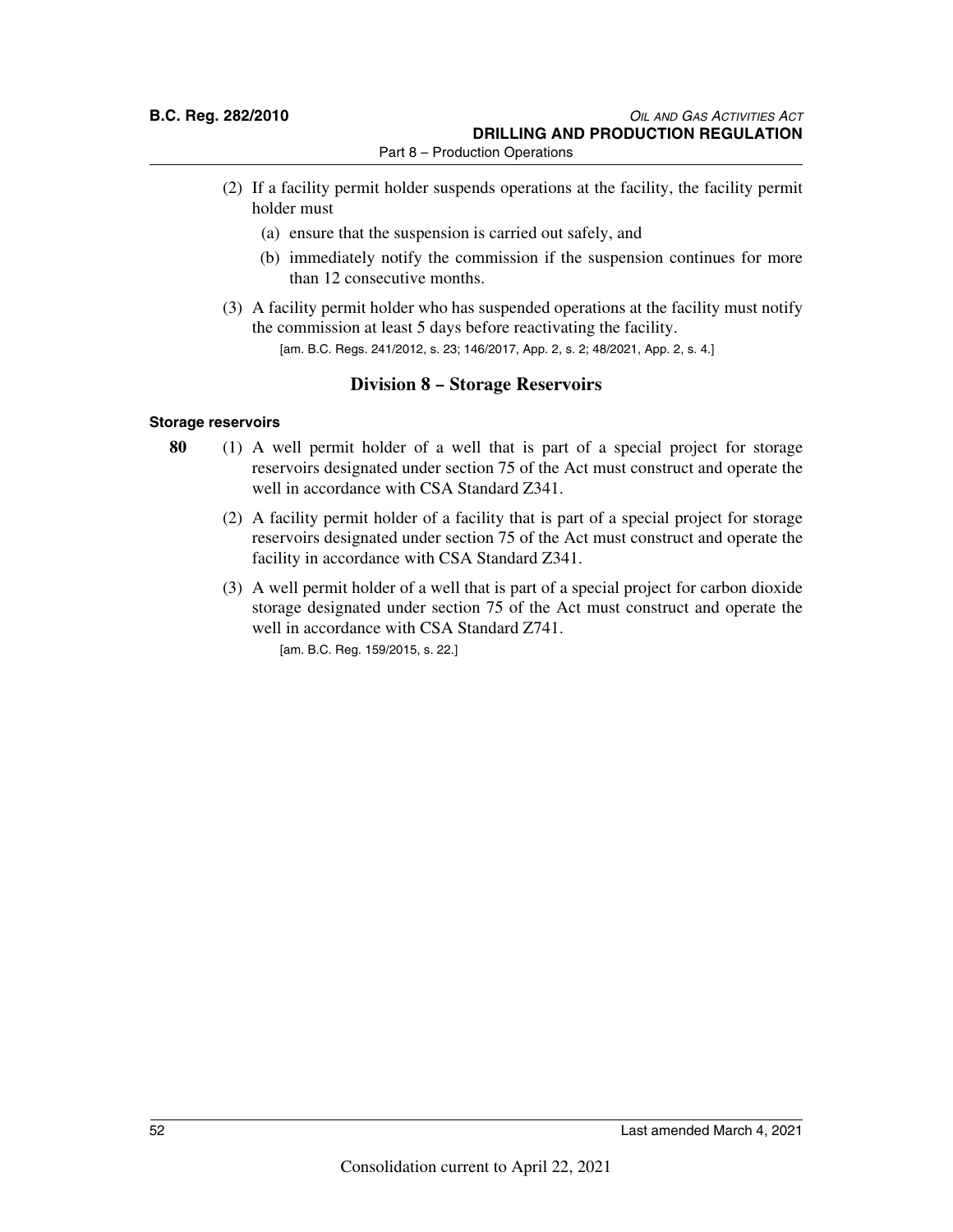- (2) If a facility permit holder suspends operations at the facility, the facility permit holder must
	- (a) ensure that the suspension is carried out safely, and
	- (b) immediately notify the commission if the suspension continues for more than 12 consecutive months.
- (3) A facility permit holder who has suspended operations at the facility must notify the commission at least 5 days before reactivating the facility. [am. B.C. Regs. 241/2012, s. 23; 146/2017, App. 2, s. 2; 48/2021, App. 2, s. 4.]

### **Division 8 – Storage Reservoirs**

### **Storage reservoirs**

- **80** (1) A well permit holder of a well that is part of a special project for storage reservoirs designated under section 75 of the Act must construct and operate the well in accordance with CSA Standard Z341.
	- (2) A facility permit holder of a facility that is part of a special project for storage reservoirs designated under section 75 of the Act must construct and operate the facility in accordance with CSA Standard Z341.
	- (3) A well permit holder of a well that is part of a special project for carbon dioxide storage designated under section 75 of the Act must construct and operate the well in accordance with CSA Standard Z741. [am. B.C. Reg. 159/2015, s. 22.]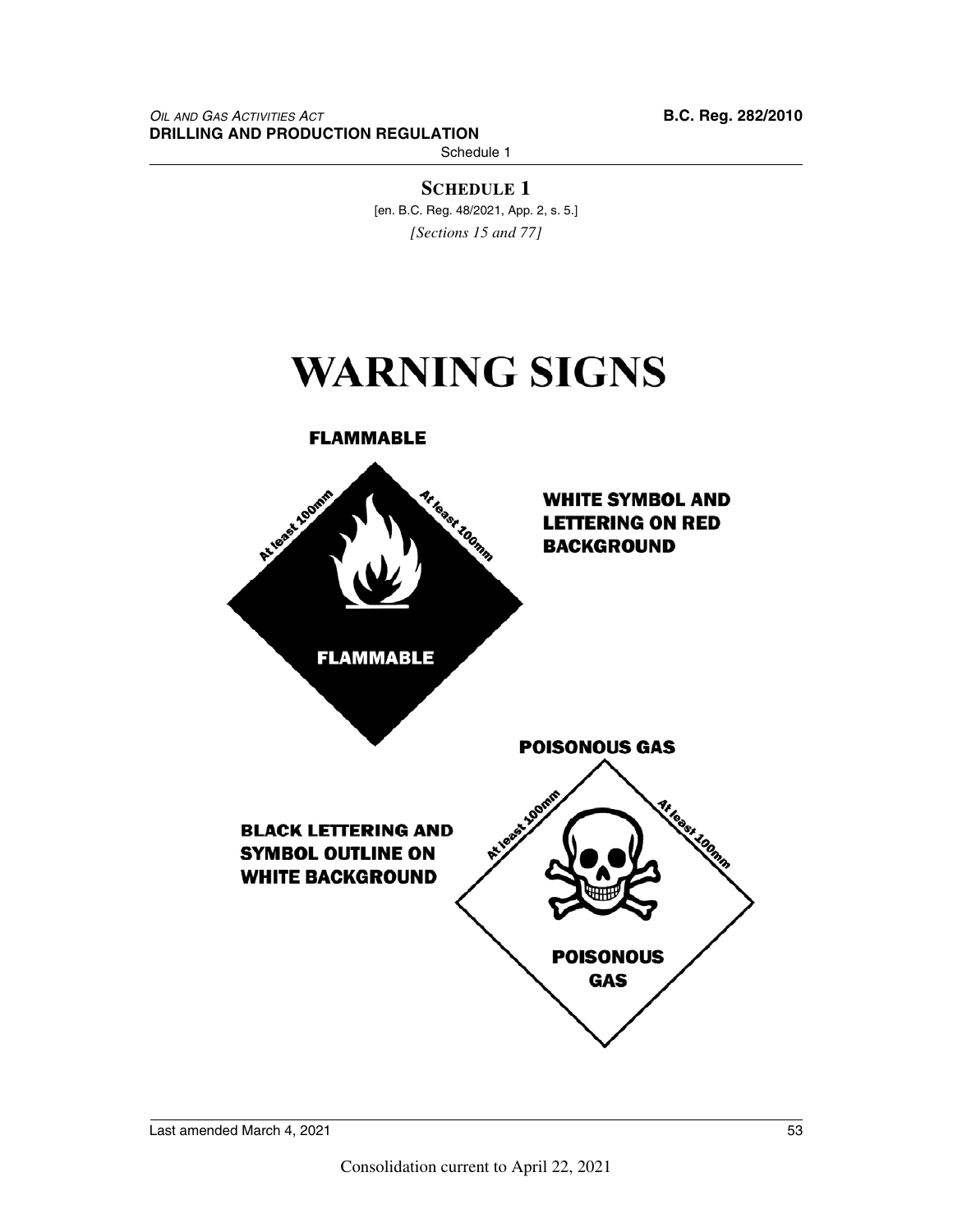Schedule 1

**SCHEDULE 1** [en. B.C. Reg. 48/2021, App. 2, s. 5.] *[Sections 15 and 77]*

# **WARNING SIGNS**